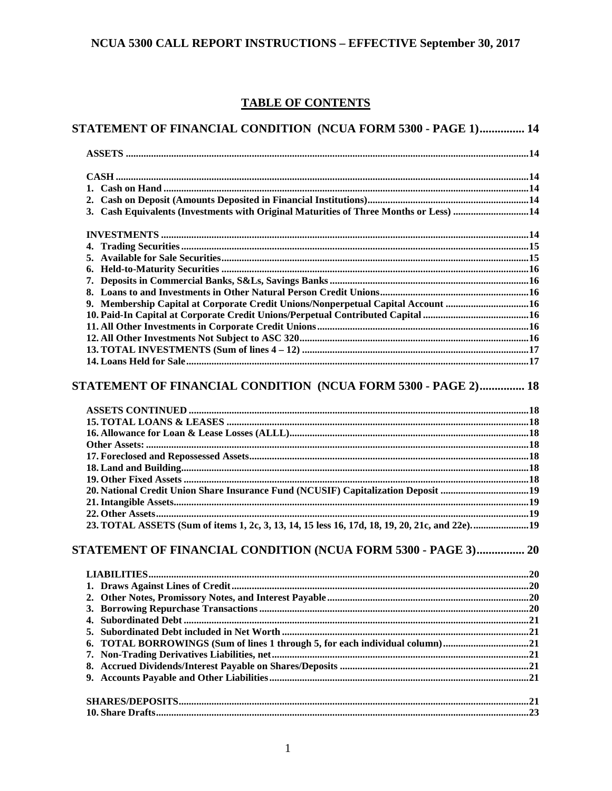# **TABLE OF CONTENTS**

| STATEMENT OF FINANCIAL CONDITION (NCUA FORM 5300 - PAGE 1) 14                         |  |
|---------------------------------------------------------------------------------------|--|
|                                                                                       |  |
|                                                                                       |  |
|                                                                                       |  |
|                                                                                       |  |
| 3. Cash Equivalents (Investments with Original Maturities of Three Months or Less) 14 |  |
|                                                                                       |  |
|                                                                                       |  |
|                                                                                       |  |
|                                                                                       |  |
|                                                                                       |  |
|                                                                                       |  |
| 9. Membership Capital at Corporate Credit Unions/Nonperpetual Capital Account 16      |  |
|                                                                                       |  |
|                                                                                       |  |
|                                                                                       |  |
|                                                                                       |  |
|                                                                                       |  |
| STATEMENT OF FINANCIAL CONDITION (NCUA FORM 5300 - PAGE 2) 18                         |  |
|                                                                                       |  |
|                                                                                       |  |
|                                                                                       |  |
|                                                                                       |  |
|                                                                                       |  |
|                                                                                       |  |
|                                                                                       |  |
| 20. National Credit Union Share Insurance Fund (NCUSIF) Capitalization Deposit 19     |  |
|                                                                                       |  |
|                                                                                       |  |
|                                                                                       |  |
| STATEMENT OF FINANCIAL CONDITION (NCUA FORM 5300 - PAGE 3) 20                         |  |
|                                                                                       |  |
|                                                                                       |  |
|                                                                                       |  |
|                                                                                       |  |
| 4.                                                                                    |  |
| 5.                                                                                    |  |
| TOTAL BORROWINGS (Sum of lines 1 through 5, for each individual column) 21<br>6.      |  |
| 7.                                                                                    |  |
|                                                                                       |  |
|                                                                                       |  |
|                                                                                       |  |
|                                                                                       |  |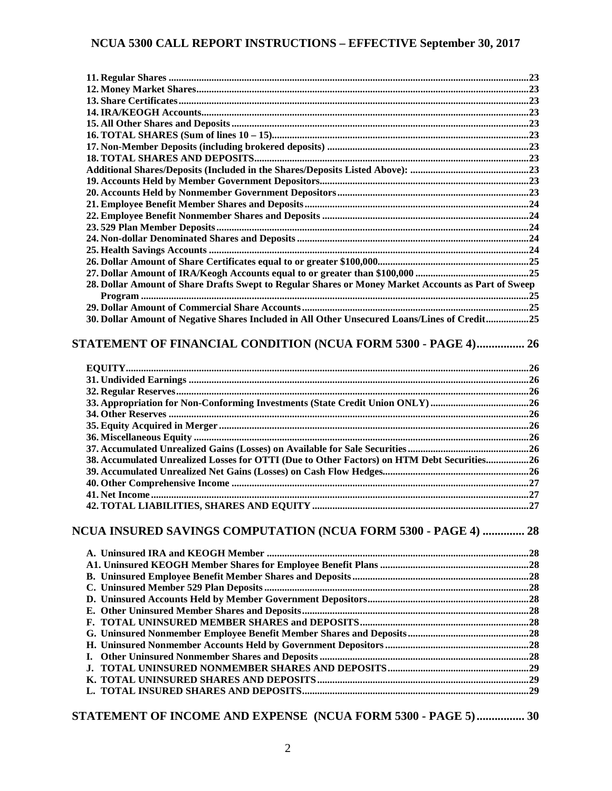| 28. Dollar Amount of Share Drafts Swept to Regular Shares or Money Market Accounts as Part of Sweep |  |
|-----------------------------------------------------------------------------------------------------|--|
|                                                                                                     |  |
|                                                                                                     |  |
| 30. Dollar Amount of Negative Shares Included in All Other Unsecured Loans/Lines of Credit25        |  |
|                                                                                                     |  |
| STATEMENT OF FINANCIAL CONDITION (NCUA FORM 5300 - PAGE 4) 26                                       |  |
|                                                                                                     |  |
|                                                                                                     |  |
| 33. Appropriation for Non-Conforming Investments (State Credit Union ONLY) 26                       |  |
|                                                                                                     |  |
|                                                                                                     |  |
|                                                                                                     |  |
|                                                                                                     |  |
| 38. Accumulated Unrealized Losses for OTTI (Due to Other Factors) on HTM Debt Securities26          |  |
|                                                                                                     |  |
|                                                                                                     |  |
|                                                                                                     |  |
|                                                                                                     |  |
| NCUA INSURED SAVINGS COMPUTATION (NCUA FORM 5300 - PAGE 4)  28                                      |  |
|                                                                                                     |  |
|                                                                                                     |  |
|                                                                                                     |  |
|                                                                                                     |  |
|                                                                                                     |  |
|                                                                                                     |  |
|                                                                                                     |  |
|                                                                                                     |  |
|                                                                                                     |  |
|                                                                                                     |  |
| I.                                                                                                  |  |
|                                                                                                     |  |
|                                                                                                     |  |
|                                                                                                     |  |
|                                                                                                     |  |

# **[STATEMENT OF INCOME AND EXPENSE \(NCUA FORM 5300 -](#page-29-0) PAGE 5)................ 30**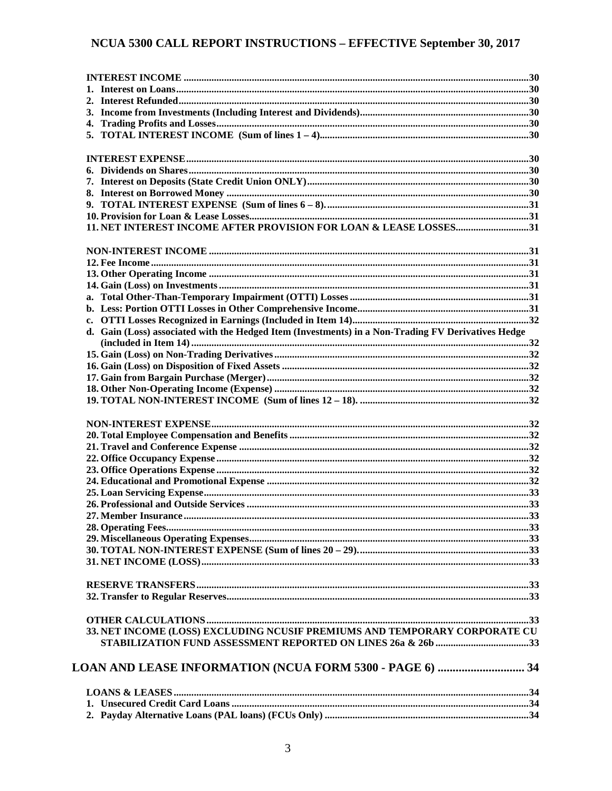| 11. NET INTEREST INCOME AFTER PROVISION FOR LOAN & LEASE LOSSES31                                  |  |
|----------------------------------------------------------------------------------------------------|--|
|                                                                                                    |  |
|                                                                                                    |  |
|                                                                                                    |  |
|                                                                                                    |  |
|                                                                                                    |  |
| a.                                                                                                 |  |
|                                                                                                    |  |
|                                                                                                    |  |
| d. Gain (Loss) associated with the Hedged Item (Investments) in a Non-Trading FV Derivatives Hedge |  |
|                                                                                                    |  |
|                                                                                                    |  |
|                                                                                                    |  |
|                                                                                                    |  |
|                                                                                                    |  |
|                                                                                                    |  |
|                                                                                                    |  |
|                                                                                                    |  |
|                                                                                                    |  |
|                                                                                                    |  |
|                                                                                                    |  |
|                                                                                                    |  |
|                                                                                                    |  |
|                                                                                                    |  |
|                                                                                                    |  |
|                                                                                                    |  |
|                                                                                                    |  |
|                                                                                                    |  |
|                                                                                                    |  |
|                                                                                                    |  |
|                                                                                                    |  |
|                                                                                                    |  |
|                                                                                                    |  |
| 33. NET INCOME (LOSS) EXCLUDING NCUSIF PREMIUMS AND TEMPORARY CORPORATE CU                         |  |
|                                                                                                    |  |
|                                                                                                    |  |
| LOAN AND LEASE INFORMATION (NCUA FORM 5300 - PAGE 6)  34                                           |  |
|                                                                                                    |  |
|                                                                                                    |  |
|                                                                                                    |  |
|                                                                                                    |  |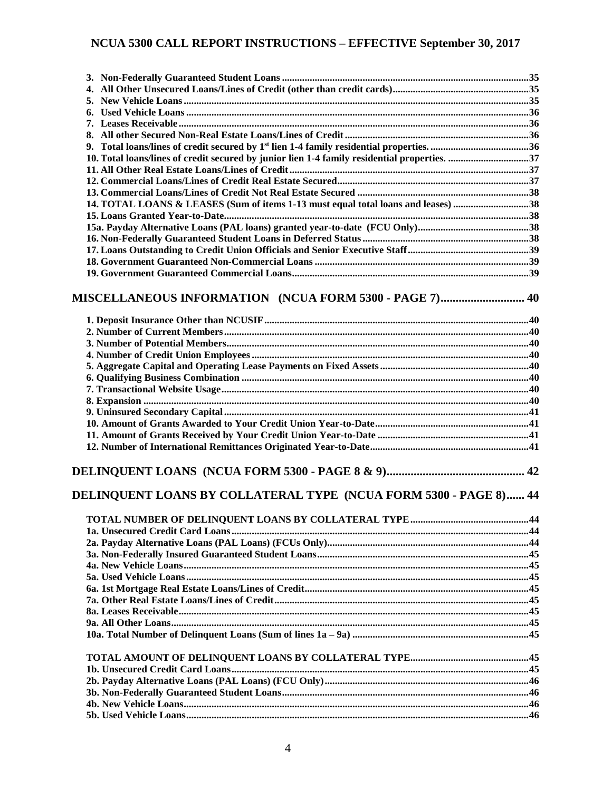| 10. Total loans/lines of credit secured by junior lien 1-4 family residential properties. 37 |  |
|----------------------------------------------------------------------------------------------|--|
|                                                                                              |  |
|                                                                                              |  |
|                                                                                              |  |
| 14. TOTAL LOANS & LEASES (Sum of items 1-13 must equal total loans and leases) 38            |  |
|                                                                                              |  |
|                                                                                              |  |
|                                                                                              |  |
|                                                                                              |  |
|                                                                                              |  |
| MISCELLANEOUS INFORMATION (NCUA FORM 5300 - PAGE 7) 40                                       |  |
|                                                                                              |  |
|                                                                                              |  |
|                                                                                              |  |
|                                                                                              |  |
|                                                                                              |  |
|                                                                                              |  |
|                                                                                              |  |
|                                                                                              |  |
|                                                                                              |  |
|                                                                                              |  |
|                                                                                              |  |
|                                                                                              |  |
|                                                                                              |  |
| DELINQUENT LOANS BY COLLATERAL TYPE (NCUA FORM 5300 - PAGE 8) 44                             |  |
|                                                                                              |  |
|                                                                                              |  |
|                                                                                              |  |
|                                                                                              |  |
|                                                                                              |  |
|                                                                                              |  |
|                                                                                              |  |
|                                                                                              |  |
|                                                                                              |  |
|                                                                                              |  |
|                                                                                              |  |
|                                                                                              |  |
|                                                                                              |  |
|                                                                                              |  |
|                                                                                              |  |
|                                                                                              |  |
|                                                                                              |  |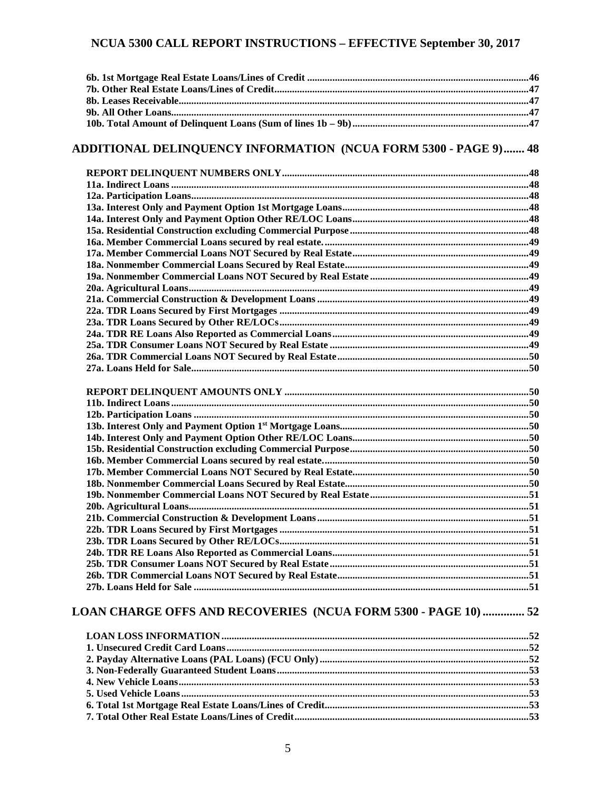# ADDITIONAL DELINQUENCY INFORMATION (NCUA FORM 5300 - PAGE 9) ....... 48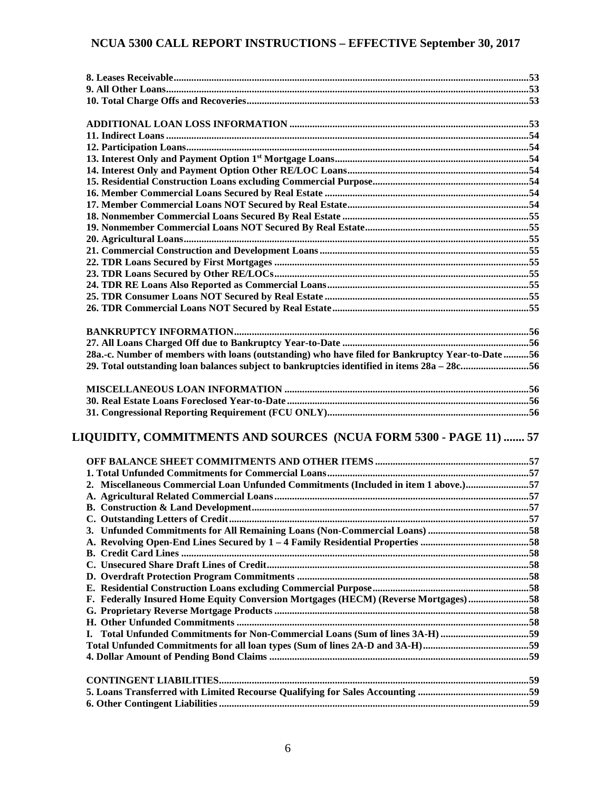| 28a.-c. Number of members with loans (outstanding) who have filed for Bankruptcy Year-to-Date 56 |  |
|--------------------------------------------------------------------------------------------------|--|
| 29. Total outstanding loan balances subject to bankruptcies identified in items 28a – 28c56      |  |
|                                                                                                  |  |
|                                                                                                  |  |
|                                                                                                  |  |
|                                                                                                  |  |
|                                                                                                  |  |
| LIQUIDITY, COMMITMENTS AND SOURCES (NCUA FORM 5300 - PAGE 11)  57                                |  |
|                                                                                                  |  |
|                                                                                                  |  |
|                                                                                                  |  |
| 2. Miscellaneous Commercial Loan Unfunded Commitments (Included in item 1 above.)57              |  |
|                                                                                                  |  |
|                                                                                                  |  |
|                                                                                                  |  |
|                                                                                                  |  |
|                                                                                                  |  |
|                                                                                                  |  |
|                                                                                                  |  |
|                                                                                                  |  |
|                                                                                                  |  |
|                                                                                                  |  |
| F. Federally Insured Home Equity Conversion Mortgages (HECM) (Reverse Mortgages) 58              |  |
|                                                                                                  |  |
|                                                                                                  |  |
| Total Unfunded Commitments for Non-Commercial Loans (Sum of lines 3A-H) 59<br>L.                 |  |
|                                                                                                  |  |
|                                                                                                  |  |
|                                                                                                  |  |
|                                                                                                  |  |
|                                                                                                  |  |
|                                                                                                  |  |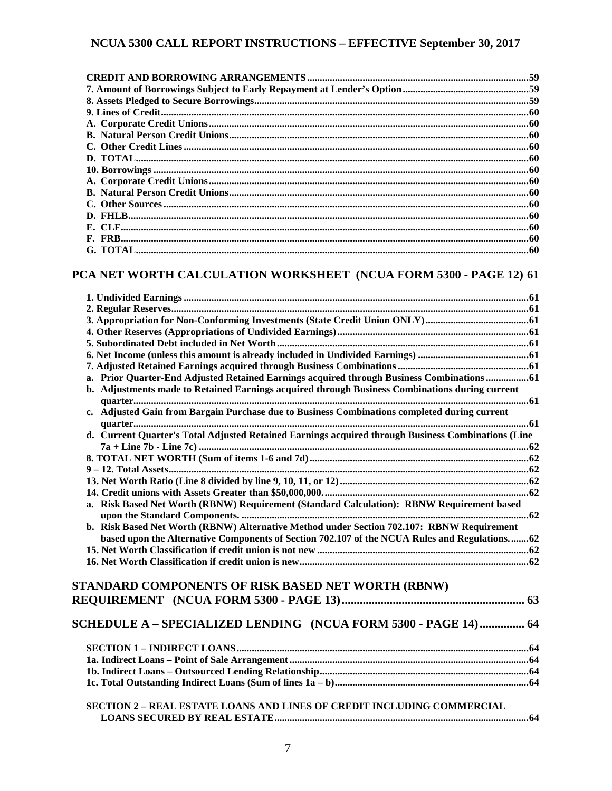# **[PCA NET WORTH CALCULATION WORKSHEET \(NCUA FORM 5300 -](#page-60-0) PAGE 12) 61**

| a. Prior Quarter-End Adjusted Retained Earnings acquired through Business Combinations61           |  |
|----------------------------------------------------------------------------------------------------|--|
| b. Adjustments made to Retained Earnings acquired through Business Combinations during current     |  |
|                                                                                                    |  |
| c. Adjusted Gain from Bargain Purchase due to Business Combinations completed during current       |  |
|                                                                                                    |  |
| d. Current Quarter's Total Adjusted Retained Earnings acquired through Business Combinations (Line |  |
|                                                                                                    |  |
|                                                                                                    |  |
|                                                                                                    |  |
|                                                                                                    |  |
|                                                                                                    |  |
| a. Risk Based Net Worth (RBNW) Requirement (Standard Calculation): RBNW Requirement based          |  |
|                                                                                                    |  |
| b. Risk Based Net Worth (RBNW) Alternative Method under Section 702.107: RBNW Requirement          |  |
| based upon the Alternative Components of Section 702.107 of the NCUA Rules and Regulations62       |  |
|                                                                                                    |  |
|                                                                                                    |  |
|                                                                                                    |  |
| STANDARD COMPONENTS OF RISK BASED NET WORTH (RBNW)                                                 |  |
|                                                                                                    |  |
|                                                                                                    |  |
| SCHEDULE A – SPECIALIZED LENDING (NCUA FORM 5300 - PAGE 14)  64                                    |  |
|                                                                                                    |  |
|                                                                                                    |  |
|                                                                                                    |  |
|                                                                                                    |  |
|                                                                                                    |  |
|                                                                                                    |  |
| <b>SECTION 2 - REAL ESTATE LOANS AND LINES OF CREDIT INCLUDING COMMERCIAL</b>                      |  |
|                                                                                                    |  |
|                                                                                                    |  |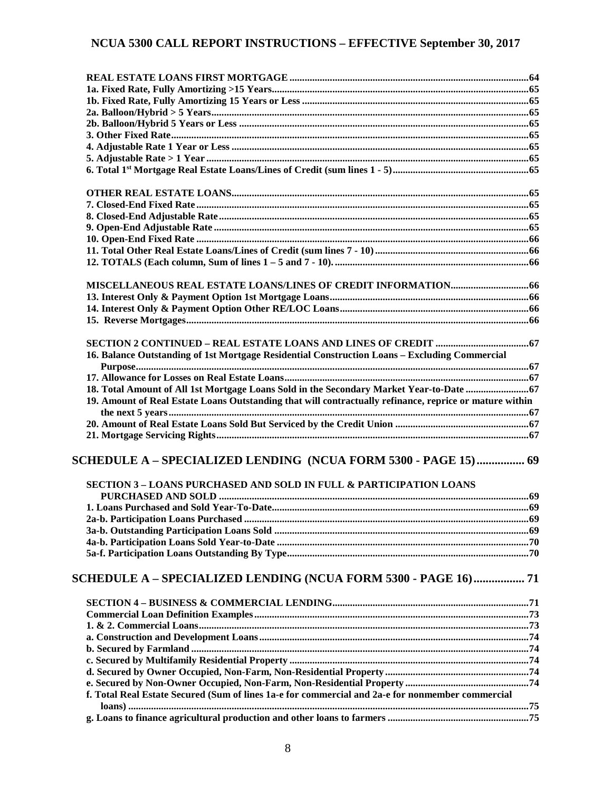| 16. Balance Outstanding of 1st Mortgage Residential Construction Loans - Excluding Commercial           |  |
|---------------------------------------------------------------------------------------------------------|--|
|                                                                                                         |  |
|                                                                                                         |  |
| 18. Total Amount of All 1st Mortgage Loans Sold in the Secondary Market Year-to-Date  67                |  |
| 19. Amount of Real Estate Loans Outstanding that will contractually refinance, reprice or mature within |  |
|                                                                                                         |  |
|                                                                                                         |  |
|                                                                                                         |  |
| 59 SCHEDULE A – SPECIALIZED LENDING   (NCUA FORM 5300 - PAGE 15)  69                                    |  |
| <b>SECTION 3 - LOANS PURCHASED AND SOLD IN FULL &amp; PARTICIPATION LOANS</b>                           |  |
|                                                                                                         |  |
|                                                                                                         |  |
|                                                                                                         |  |
|                                                                                                         |  |
|                                                                                                         |  |
|                                                                                                         |  |
| SCHEDULE A - SPECIALIZED LENDING (NCUA FORM 5300 - PAGE 16)  71                                         |  |
|                                                                                                         |  |
|                                                                                                         |  |
|                                                                                                         |  |
|                                                                                                         |  |
|                                                                                                         |  |
|                                                                                                         |  |
|                                                                                                         |  |
|                                                                                                         |  |
| f. Total Real Estate Secured (Sum of lines 1a-e for commercial and 2a-e for nonmember commercial        |  |
|                                                                                                         |  |
|                                                                                                         |  |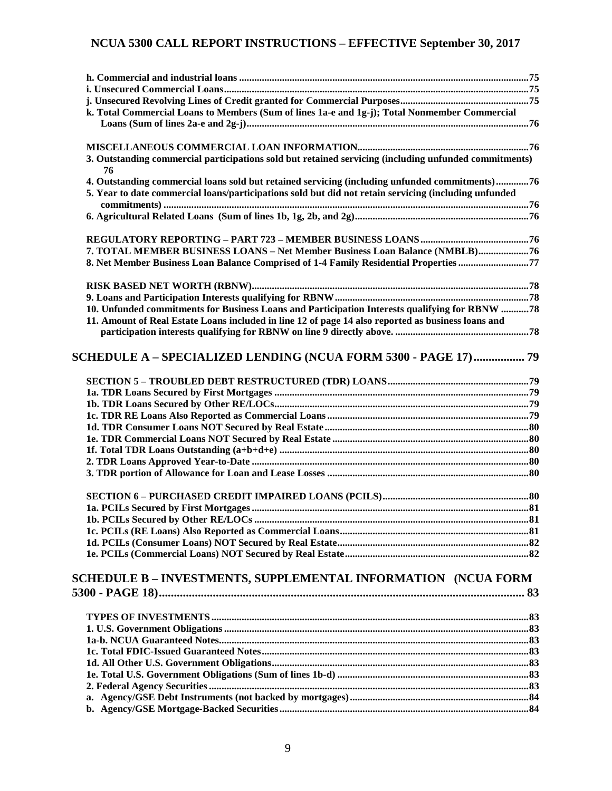| k. Total Commercial Loans to Members (Sum of lines 1a-e and 1g-j); Total Nonmember Commercial                                                                                                           |  |
|---------------------------------------------------------------------------------------------------------------------------------------------------------------------------------------------------------|--|
|                                                                                                                                                                                                         |  |
|                                                                                                                                                                                                         |  |
| 3. Outstanding commercial participations sold but retained servicing (including unfunded commitments)<br>76                                                                                             |  |
| 4. Outstanding commercial loans sold but retained servicing (including unfunded commitments)76<br>5. Year to date commercial loans/participations sold but did not retain servicing (including unfunded |  |
|                                                                                                                                                                                                         |  |
|                                                                                                                                                                                                         |  |
| 7. TOTAL MEMBER BUSINESS LOANS - Net Member Business Loan Balance (NMBLB)76                                                                                                                             |  |
| 8. Net Member Business Loan Balance Comprised of 1-4 Family Residential Properties 77                                                                                                                   |  |
|                                                                                                                                                                                                         |  |
|                                                                                                                                                                                                         |  |
| 10. Unfunded commitments for Business Loans and Participation Interests qualifying for RBNW 78                                                                                                          |  |
| 11. Amount of Real Estate Loans included in line 12 of page 14 also reported as business loans and                                                                                                      |  |
|                                                                                                                                                                                                         |  |
| SCHEDULE A – SPECIALIZED LENDING (NCUA FORM 5300 - PAGE 17)  79                                                                                                                                         |  |
|                                                                                                                                                                                                         |  |
|                                                                                                                                                                                                         |  |
|                                                                                                                                                                                                         |  |
|                                                                                                                                                                                                         |  |
|                                                                                                                                                                                                         |  |
|                                                                                                                                                                                                         |  |
|                                                                                                                                                                                                         |  |
|                                                                                                                                                                                                         |  |
|                                                                                                                                                                                                         |  |
|                                                                                                                                                                                                         |  |
|                                                                                                                                                                                                         |  |
|                                                                                                                                                                                                         |  |
|                                                                                                                                                                                                         |  |
|                                                                                                                                                                                                         |  |
|                                                                                                                                                                                                         |  |
| SCHEDULE B – INVESTMENTS, SUPPLEMENTAL INFORMATION   (NCUA FORM                                                                                                                                         |  |
|                                                                                                                                                                                                         |  |
|                                                                                                                                                                                                         |  |
|                                                                                                                                                                                                         |  |
|                                                                                                                                                                                                         |  |
|                                                                                                                                                                                                         |  |
|                                                                                                                                                                                                         |  |
|                                                                                                                                                                                                         |  |
|                                                                                                                                                                                                         |  |
|                                                                                                                                                                                                         |  |
|                                                                                                                                                                                                         |  |
|                                                                                                                                                                                                         |  |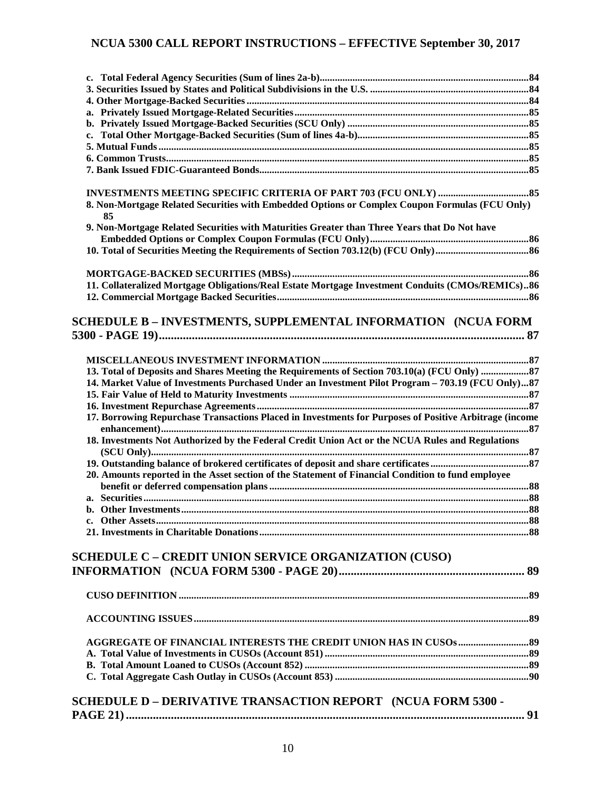| 8. Non-Mortgage Related Securities with Embedded Options or Complex Coupon Formulas (FCU Only)         |  |
|--------------------------------------------------------------------------------------------------------|--|
| 85                                                                                                     |  |
| 9. Non-Mortgage Related Securities with Maturities Greater than Three Years that Do Not have           |  |
|                                                                                                        |  |
|                                                                                                        |  |
|                                                                                                        |  |
|                                                                                                        |  |
| 11. Collateralized Mortgage Obligations/Real Estate Mortgage Investment Conduits (CMOs/REMICs)86       |  |
|                                                                                                        |  |
|                                                                                                        |  |
| SCHEDULE B - INVESTMENTS, SUPPLEMENTAL INFORMATION (NCUA FORM                                          |  |
|                                                                                                        |  |
|                                                                                                        |  |
|                                                                                                        |  |
|                                                                                                        |  |
| 14. Market Value of Investments Purchased Under an Investment Pilot Program - 703.19 (FCU Only)87      |  |
|                                                                                                        |  |
|                                                                                                        |  |
| 17. Borrowing Repurchase Transactions Placed in Investments for Purposes of Positive Arbitrage (income |  |
| 18. Investments Not Authorized by the Federal Credit Union Act or the NCUA Rules and Regulations       |  |
|                                                                                                        |  |
|                                                                                                        |  |
| 20. Amounts reported in the Asset section of the Statement of Financial Condition to fund employee     |  |
|                                                                                                        |  |
|                                                                                                        |  |
|                                                                                                        |  |
|                                                                                                        |  |
|                                                                                                        |  |
|                                                                                                        |  |
| <b>SCHEDULE C - CREDIT UNION SERVICE ORGANIZATION (CUSO)</b>                                           |  |
|                                                                                                        |  |
|                                                                                                        |  |
|                                                                                                        |  |
|                                                                                                        |  |
|                                                                                                        |  |
|                                                                                                        |  |
|                                                                                                        |  |
|                                                                                                        |  |
|                                                                                                        |  |
|                                                                                                        |  |
|                                                                                                        |  |
| SCHEDULE D - DERIVATIVE TRANSACTION REPORT (NCUA FORM 5300 -                                           |  |
|                                                                                                        |  |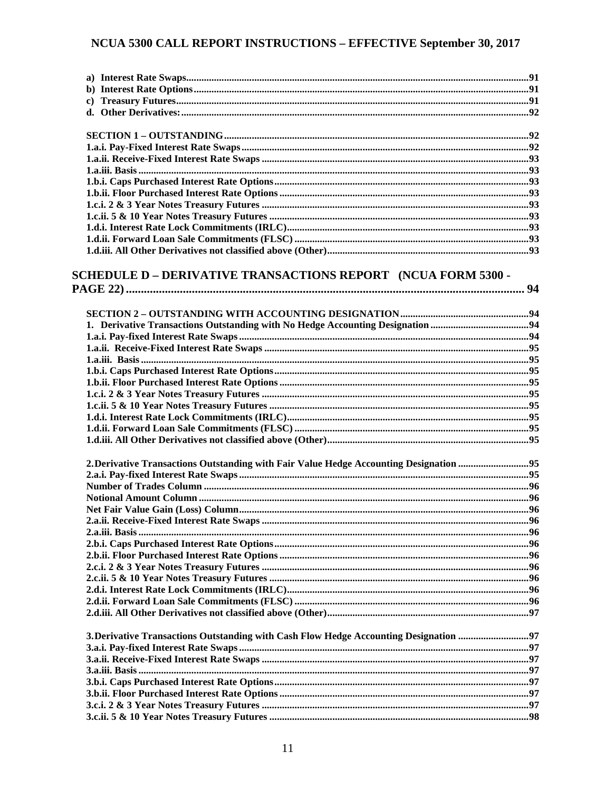| <b>SCHEDULE D – DERIVATIVE TRANSACTIONS REPORT (NCUA FORM 5300 -</b>                   |  |
|----------------------------------------------------------------------------------------|--|
|                                                                                        |  |
|                                                                                        |  |
|                                                                                        |  |
|                                                                                        |  |
|                                                                                        |  |
|                                                                                        |  |
|                                                                                        |  |
|                                                                                        |  |
|                                                                                        |  |
|                                                                                        |  |
|                                                                                        |  |
|                                                                                        |  |
|                                                                                        |  |
|                                                                                        |  |
|                                                                                        |  |
|                                                                                        |  |
| 2. Derivative Transactions Outstanding with Fair Value Hedge Accounting Designation 95 |  |
|                                                                                        |  |
|                                                                                        |  |
|                                                                                        |  |
|                                                                                        |  |
|                                                                                        |  |
|                                                                                        |  |
|                                                                                        |  |
|                                                                                        |  |
|                                                                                        |  |
|                                                                                        |  |
|                                                                                        |  |
|                                                                                        |  |
|                                                                                        |  |
|                                                                                        |  |
| 3. Derivative Transactions Outstanding with Cash Flow Hedge Accounting Designation 97  |  |
|                                                                                        |  |
|                                                                                        |  |
|                                                                                        |  |
|                                                                                        |  |
|                                                                                        |  |
|                                                                                        |  |
|                                                                                        |  |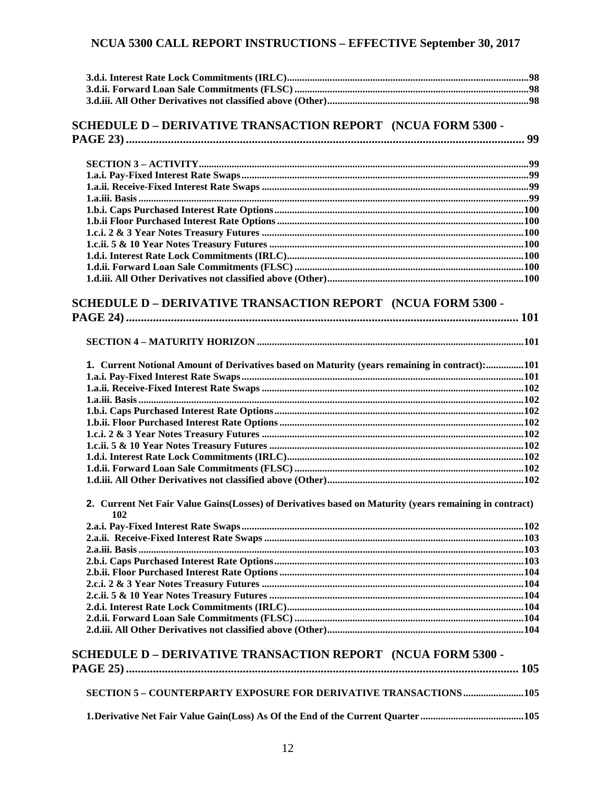#### SCHEDULE D - DERIVATIVE TRANSACTION REPORT (NCUA FORM 5300 -**PAGE 23)**

# **SCHEDULE D - DERIVATIVE TRANSACTION REPORT (NCUA FORM 5300 -**

|--|

| 1. Current Notional Amount of Derivatives based on Maturity (years remaining in contract):101 |  |
|-----------------------------------------------------------------------------------------------|--|
|                                                                                               |  |
|                                                                                               |  |
|                                                                                               |  |
|                                                                                               |  |
|                                                                                               |  |
|                                                                                               |  |
|                                                                                               |  |
|                                                                                               |  |
|                                                                                               |  |
|                                                                                               |  |
|                                                                                               |  |

#### 2. Current Net Fair Value Gains(Losses) of Derivatives based on Maturity (years remaining in contract) 102

## **SCHEDULE D - DERIVATIVE TRANSACTION REPORT (NCUA FORM 5300 -**

| <b>SECTION 5 – COUNTERPARTY EXPOSURE FOR DERIVATIVE TRANSACTIONS  105</b> |
|---------------------------------------------------------------------------|
|                                                                           |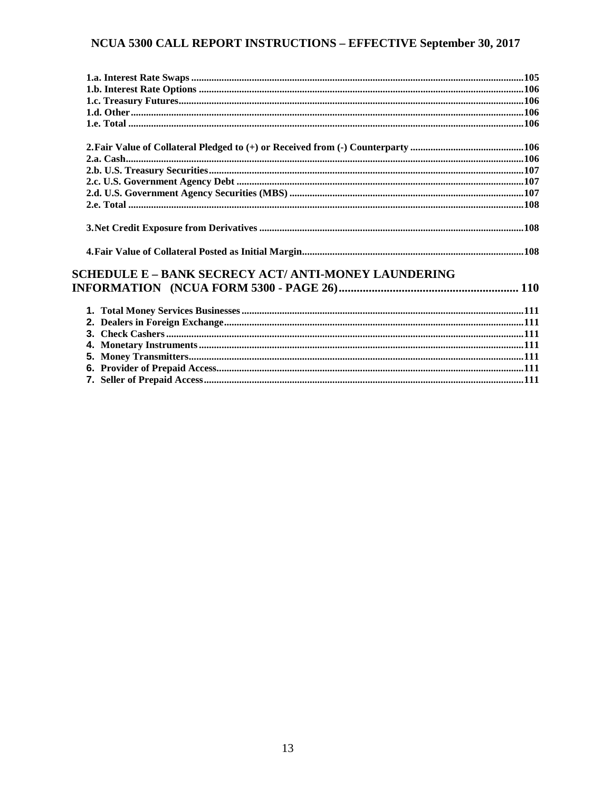| <b>SCHEDULE E - BANK SECRECY ACT/ ANTI-MONEY LAUNDERING</b> |  |
|-------------------------------------------------------------|--|
|                                                             |  |
|                                                             |  |
|                                                             |  |
|                                                             |  |
|                                                             |  |
|                                                             |  |
|                                                             |  |
|                                                             |  |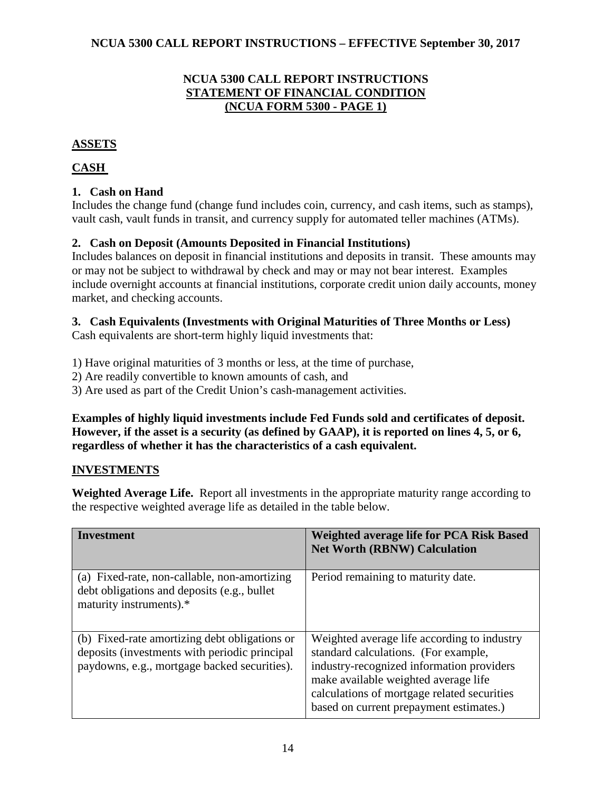#### **NCUA 5300 CALL REPORT INSTRUCTIONS STATEMENT OF FINANCIAL CONDITION (NCUA FORM 5300 - PAGE 1)**

#### <span id="page-13-1"></span><span id="page-13-0"></span>**ASSETS**

# <span id="page-13-2"></span>**CASH**

## <span id="page-13-3"></span>**1. Cash on Hand**

Includes the change fund (change fund includes coin, currency, and cash items, such as stamps), vault cash, vault funds in transit, and currency supply for automated teller machines (ATMs).

## <span id="page-13-4"></span>**2. Cash on Deposit (Amounts Deposited in Financial Institutions)**

Includes balances on deposit in financial institutions and deposits in transit. These amounts may or may not be subject to withdrawal by check and may or may not bear interest. Examples include overnight accounts at financial institutions, corporate credit union daily accounts, money market, and checking accounts.

#### <span id="page-13-5"></span>**3. Cash Equivalents (Investments with Original Maturities of Three Months or Less)**

Cash equivalents are short-term highly liquid investments that:

1) Have original maturities of 3 months or less, at the time of purchase,

2) Are readily convertible to known amounts of cash, and

3) Are used as part of the Credit Union's cash-management activities.

**Examples of highly liquid investments include Fed Funds sold and certificates of deposit. However, if the asset is a security (as defined by GAAP), it is reported on lines 4, 5, or 6, regardless of whether it has the characteristics of a cash equivalent.**

## <span id="page-13-6"></span>**INVESTMENTS**

**Weighted Average Life.** Report all investments in the appropriate maturity range according to the respective weighted average life as detailed in the table below.

| Investment                                                                                                                                     | <b>Weighted average life for PCA Risk Based</b><br><b>Net Worth (RBNW) Calculation</b>                                                                                                                                                                             |
|------------------------------------------------------------------------------------------------------------------------------------------------|--------------------------------------------------------------------------------------------------------------------------------------------------------------------------------------------------------------------------------------------------------------------|
| (a) Fixed-rate, non-callable, non-amortizing<br>debt obligations and deposits (e.g., bullet<br>maturity instruments).*                         | Period remaining to maturity date.                                                                                                                                                                                                                                 |
| (b) Fixed-rate amortizing debt obligations or<br>deposits (investments with periodic principal<br>paydowns, e.g., mortgage backed securities). | Weighted average life according to industry<br>standard calculations. (For example,<br>industry-recognized information providers<br>make available weighted average life<br>calculations of mortgage related securities<br>based on current prepayment estimates.) |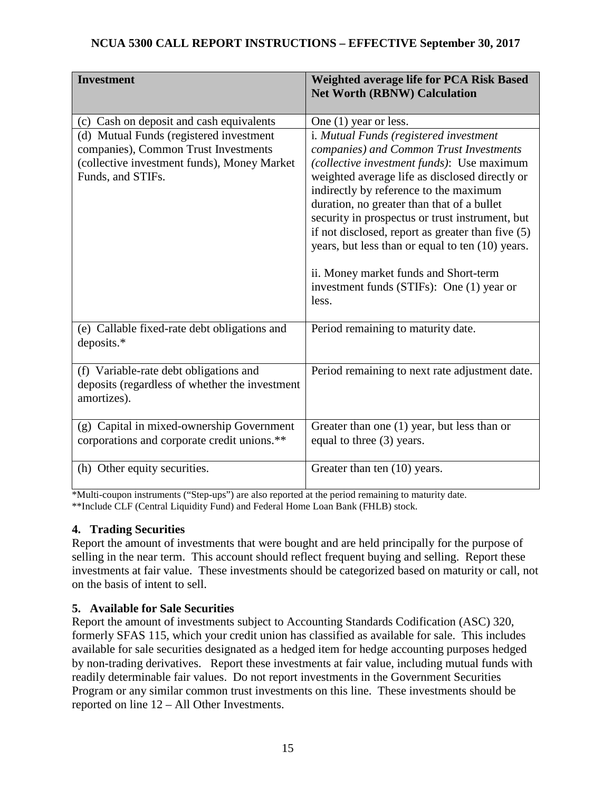| <b>Investment</b>                                                                                                                                   | Weighted average life for PCA Risk Based<br><b>Net Worth (RBNW) Calculation</b>                                                                                                                                                                                                                                                                                                                                                                                                                                                      |
|-----------------------------------------------------------------------------------------------------------------------------------------------------|--------------------------------------------------------------------------------------------------------------------------------------------------------------------------------------------------------------------------------------------------------------------------------------------------------------------------------------------------------------------------------------------------------------------------------------------------------------------------------------------------------------------------------------|
| (c) Cash on deposit and cash equivalents                                                                                                            | One $(1)$ year or less.                                                                                                                                                                                                                                                                                                                                                                                                                                                                                                              |
| (d) Mutual Funds (registered investment<br>companies), Common Trust Investments<br>(collective investment funds), Money Market<br>Funds, and STIFs. | i. Mutual Funds (registered investment<br>companies) and Common Trust Investments<br>(collective investment funds): Use maximum<br>weighted average life as disclosed directly or<br>indirectly by reference to the maximum<br>duration, no greater than that of a bullet<br>security in prospectus or trust instrument, but<br>if not disclosed, report as greater than five (5)<br>years, but less than or equal to ten (10) years.<br>ii. Money market funds and Short-term<br>investment funds (STIFs): One (1) year or<br>less. |
| (e) Callable fixed-rate debt obligations and<br>deposits.*                                                                                          | Period remaining to maturity date.                                                                                                                                                                                                                                                                                                                                                                                                                                                                                                   |
| (f) Variable-rate debt obligations and<br>deposits (regardless of whether the investment<br>amortizes).                                             | Period remaining to next rate adjustment date.                                                                                                                                                                                                                                                                                                                                                                                                                                                                                       |
| (g) Capital in mixed-ownership Government<br>corporations and corporate credit unions.**                                                            | Greater than one $(1)$ year, but less than or<br>equal to three (3) years.                                                                                                                                                                                                                                                                                                                                                                                                                                                           |
| (h) Other equity securities.                                                                                                                        | Greater than ten (10) years.                                                                                                                                                                                                                                                                                                                                                                                                                                                                                                         |

\*Multi-coupon instruments ("Step-ups") are also reported at the period remaining to maturity date. \*\*Include CLF (Central Liquidity Fund) and Federal Home Loan Bank (FHLB) stock.

# <span id="page-14-0"></span>**4. Trading Securities**

Report the amount of investments that were bought and are held principally for the purpose of selling in the near term. This account should reflect frequent buying and selling. Report these investments at fair value. These investments should be categorized based on maturity or call, not on the basis of intent to sell.

## <span id="page-14-1"></span>**5. Available for Sale Securities**

Report the amount of investments subject to Accounting Standards Codification (ASC) 320, formerly SFAS 115, which your credit union has classified as available for sale. This includes available for sale securities designated as a hedged item for hedge accounting purposes hedged by non-trading derivatives. Report these investments at fair value, including mutual funds with readily determinable fair values. Do not report investments in the Government Securities Program or any similar common trust investments on this line. These investments should be reported on line 12 – All Other Investments.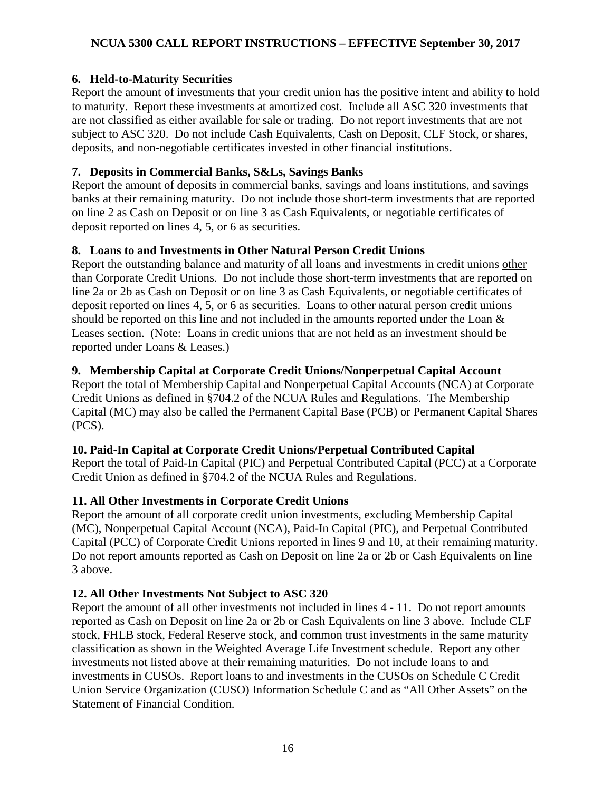## <span id="page-15-0"></span>**6. Held-to-Maturity Securities**

Report the amount of investments that your credit union has the positive intent and ability to hold to maturity. Report these investments at amortized cost. Include all ASC 320 investments that are not classified as either available for sale or trading. Do not report investments that are not subject to ASC 320. Do not include Cash Equivalents, Cash on Deposit, CLF Stock, or shares, deposits, and non-negotiable certificates invested in other financial institutions.

## <span id="page-15-1"></span>**7. Deposits in Commercial Banks, S&Ls, Savings Banks**

Report the amount of deposits in commercial banks, savings and loans institutions, and savings banks at their remaining maturity. Do not include those short-term investments that are reported on line 2 as Cash on Deposit or on line 3 as Cash Equivalents, or negotiable certificates of deposit reported on lines 4, 5, or 6 as securities.

# <span id="page-15-2"></span>**8. Loans to and Investments in Other Natural Person Credit Unions**

Report the outstanding balance and maturity of all loans and investments in credit unions other than Corporate Credit Unions. Do not include those short-term investments that are reported on line 2a or 2b as Cash on Deposit or on line 3 as Cash Equivalents, or negotiable certificates of deposit reported on lines 4, 5, or 6 as securities. Loans to other natural person credit unions should be reported on this line and not included in the amounts reported under the Loan  $\&$ Leases section. (Note: Loans in credit unions that are not held as an investment should be reported under Loans & Leases.)

# <span id="page-15-3"></span>**9. Membership Capital at Corporate Credit Unions/Nonperpetual Capital Account**

Report the total of Membership Capital and Nonperpetual Capital Accounts (NCA) at Corporate Credit Unions as defined in §704.2 of the NCUA Rules and Regulations. The Membership Capital (MC) may also be called the Permanent Capital Base (PCB) or Permanent Capital Shares (PCS).

## <span id="page-15-4"></span>**10. Paid-In Capital at Corporate Credit Unions/Perpetual Contributed Capital**

Report the total of Paid-In Capital (PIC) and Perpetual Contributed Capital (PCC) at a Corporate Credit Union as defined in §704.2 of the NCUA Rules and Regulations.

# <span id="page-15-5"></span>**11. All Other Investments in Corporate Credit Unions**

Report the amount of all corporate credit union investments, excluding Membership Capital (MC), Nonperpetual Capital Account (NCA), Paid-In Capital (PIC), and Perpetual Contributed Capital (PCC) of Corporate Credit Unions reported in lines 9 and 10, at their remaining maturity. Do not report amounts reported as Cash on Deposit on line 2a or 2b or Cash Equivalents on line 3 above.

## <span id="page-15-6"></span>**12. All Other Investments Not Subject to ASC 320**

Report the amount of all other investments not included in lines 4 - 11. Do not report amounts reported as Cash on Deposit on line 2a or 2b or Cash Equivalents on line 3 above. Include CLF stock, FHLB stock, Federal Reserve stock, and common trust investments in the same maturity classification as shown in the Weighted Average Life Investment schedule. Report any other investments not listed above at their remaining maturities. Do not include loans to and investments in CUSOs. Report loans to and investments in the CUSOs on Schedule C Credit Union Service Organization (CUSO) Information Schedule C and as "All Other Assets" on the Statement of Financial Condition.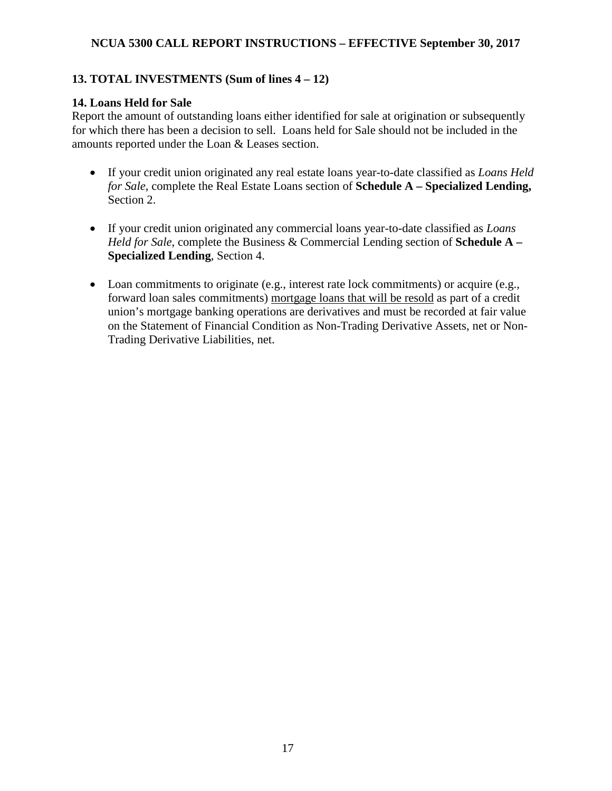#### <span id="page-16-0"></span>**13. TOTAL INVESTMENTS (Sum of lines 4 – 12)**

#### <span id="page-16-1"></span>**14. Loans Held for Sale**

Report the amount of outstanding loans either identified for sale at origination or subsequently for which there has been a decision to sell.Loans held for Sale should not be included in the amounts reported under the Loan & Leases section.

- If your credit union originated any real estate loans year-to-date classified as *Loans Held for Sale*, complete the Real Estate Loans section of **Schedule A – Specialized Lending,**  Section 2.
- If your credit union originated any commercial loans year-to-date classified as *Loans Held for Sale*, complete the Business & Commercial Lending section of **Schedule A – Specialized Lending**, Section 4.
- Loan commitments to originate (e.g., interest rate lock commitments) or acquire (e.g., forward loan sales commitments) mortgage loans that will be resold as part of a credit union's mortgage banking operations are derivatives and must be recorded at fair value on the Statement of Financial Condition as Non-Trading Derivative Assets, net or Non-Trading Derivative Liabilities, net.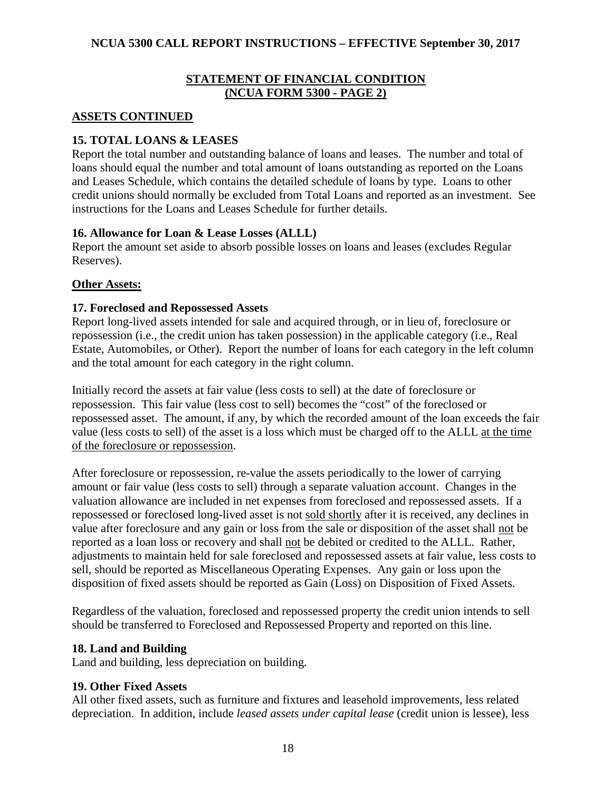#### **STATEMENT OF FINANCIAL CONDITION (NCUA FORM 5300 - PAGE 2)**

#### <span id="page-17-1"></span><span id="page-17-0"></span>**ASSETS CONTINUED**

## <span id="page-17-2"></span>**15. TOTAL LOANS & LEASES**

Report the total number and outstanding balance of loans and leases. The number and total of loans should equal the number and total amount of loans outstanding as reported on the Loans and Leases Schedule, which contains the detailed schedule of loans by type. Loans to other credit unions should normally be excluded from Total Loans and reported as an investment. See instructions for the Loans and Leases Schedule for further details.

#### <span id="page-17-3"></span>**16. Allowance for Loan & Lease Losses (ALLL)**

Report the amount set aside to absorb possible losses on loans and leases (excludes Regular Reserves).

#### <span id="page-17-4"></span>**Other Assets:**

#### <span id="page-17-5"></span>**17. Foreclosed and Repossessed Assets**

Report long-lived assets intended for sale and acquired through, or in lieu of, foreclosure or repossession (i.e., the credit union has taken possession) in the applicable category (i.e., Real Estate, Automobiles, or Other). Report the number of loans for each category in the left column and the total amount for each category in the right column.

Initially record the assets at fair value (less costs to sell) at the date of foreclosure or repossession. This fair value (less cost to sell) becomes the "cost" of the foreclosed or repossessed asset. The amount, if any, by which the recorded amount of the loan exceeds the fair value (less costs to sell) of the asset is a loss which must be charged off to the ALLL at the time of the foreclosure or repossession.

After foreclosure or repossession, re-value the assets periodically to the lower of carrying amount or fair value (less costs to sell) through a separate valuation account. Changes in the valuation allowance are included in net expenses from foreclosed and repossessed assets. If a repossessed or foreclosed long-lived asset is not sold shortly after it is received, any declines in value after foreclosure and any gain or loss from the sale or disposition of the asset shall not be reported as a loan loss or recovery and shall not be debited or credited to the ALLL. Rather, adjustments to maintain held for sale foreclosed and repossessed assets at fair value, less costs to sell, should be reported as Miscellaneous Operating Expenses. Any gain or loss upon the disposition of fixed assets should be reported as Gain (Loss) on Disposition of Fixed Assets.

Regardless of the valuation, foreclosed and repossessed property the credit union intends to sell should be transferred to Foreclosed and Repossessed Property and reported on this line.

#### <span id="page-17-6"></span>**18. Land and Building**

Land and building, less depreciation on building.

## <span id="page-17-7"></span>**19. Other Fixed Assets**

All other fixed assets, such as furniture and fixtures and leasehold improvements, less related depreciation. In addition, include *leased assets under capital lease* (credit union is lessee), less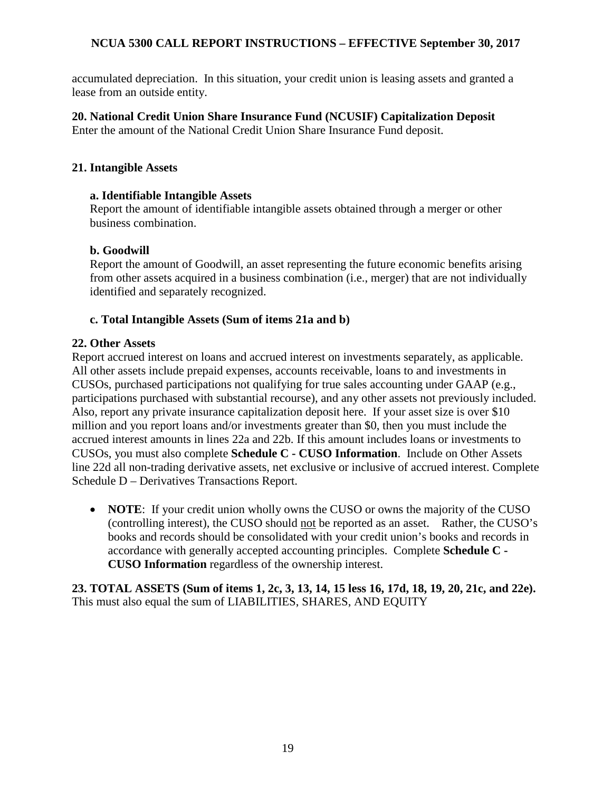accumulated depreciation. In this situation, your credit union is leasing assets and granted a lease from an outside entity.

<span id="page-18-0"></span>**20. National Credit Union Share Insurance Fund (NCUSIF) Capitalization Deposit** Enter the amount of the National Credit Union Share Insurance Fund deposit.

#### <span id="page-18-1"></span>**21. Intangible Assets**

#### **a. Identifiable Intangible Assets**

Report the amount of identifiable intangible assets obtained through a merger or other business combination.

#### **b. Goodwill**

Report the amount of Goodwill, an asset representing the future economic benefits arising from other assets acquired in a business combination (i.e., merger) that are not individually identified and separately recognized.

#### **c. Total Intangible Assets (Sum of items 21a and b)**

#### <span id="page-18-2"></span>**22. Other Assets**

Report accrued interest on loans and accrued interest on investments separately, as applicable. All other assets include prepaid expenses, accounts receivable, loans to and investments in CUSOs, purchased participations not qualifying for true sales accounting under GAAP (e.g., participations purchased with substantial recourse), and any other assets not previously included. Also, report any private insurance capitalization deposit here. If your asset size is over \$10 million and you report loans and/or investments greater than \$0, then you must include the accrued interest amounts in lines 22a and 22b. If this amount includes loans or investments to CUSOs, you must also complete **Schedule C - CUSO Information**. Include on Other Assets line 22d all non-trading derivative assets, net exclusive or inclusive of accrued interest. Complete Schedule D – Derivatives Transactions Report.

• **NOTE:** If your credit union wholly owns the CUSO or owns the majority of the CUSO (controlling interest), the CUSO should not be reported as an asset. Rather, the CUSO's books and records should be consolidated with your credit union's books and records in accordance with generally accepted accounting principles. Complete **Schedule C - CUSO Information** regardless of the ownership interest.

<span id="page-18-3"></span>**23. TOTAL ASSETS (Sum of items 1, 2c, 3, 13, 14, 15 less 16, 17d, 18, 19, 20, 21c, and 22e).**  This must also equal the sum of LIABILITIES, SHARES, AND EQUITY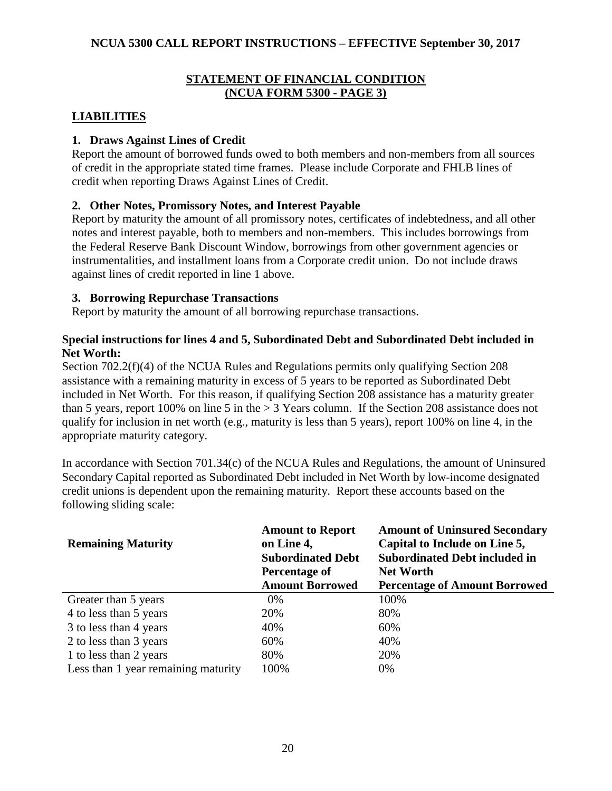#### **STATEMENT OF FINANCIAL CONDITION (NCUA FORM 5300 - PAGE 3)**

## <span id="page-19-1"></span><span id="page-19-0"></span>**LIABILITIES**

#### <span id="page-19-2"></span>**1. Draws Against Lines of Credit**

Report the amount of borrowed funds owed to both members and non-members from all sources of credit in the appropriate stated time frames. Please include Corporate and FHLB lines of credit when reporting Draws Against Lines of Credit.

## <span id="page-19-3"></span>**2. Other Notes, Promissory Notes, and Interest Payable**

Report by maturity the amount of all promissory notes, certificates of indebtedness, and all other notes and interest payable, both to members and non-members. This includes borrowings from the Federal Reserve Bank Discount Window, borrowings from other government agencies or instrumentalities, and installment loans from a Corporate credit union. Do not include draws against lines of credit reported in line 1 above.

#### <span id="page-19-4"></span>**3. Borrowing Repurchase Transactions**

Report by maturity the amount of all borrowing repurchase transactions.

#### **Special instructions for lines 4 and 5, Subordinated Debt and Subordinated Debt included in Net Worth:**

Section 702.2(f)(4) of the NCUA Rules and Regulations permits only qualifying Section 208 assistance with a remaining maturity in excess of 5 years to be reported as Subordinated Debt included in Net Worth. For this reason, if qualifying Section 208 assistance has a maturity greater than 5 years, report 100% on line 5 in the > 3 Years column. If the Section 208 assistance does not qualify for inclusion in net worth (e.g., maturity is less than 5 years), report 100% on line 4, in the appropriate maturity category.

In accordance with Section 701.34(c) of the NCUA Rules and Regulations, the amount of Uninsured Secondary Capital reported as Subordinated Debt included in Net Worth by low-income designated credit unions is dependent upon the remaining maturity. Report these accounts based on the following sliding scale:

| <b>Remaining Maturity</b>           | <b>Amount to Report</b><br>on Line 4,<br><b>Subordinated Debt</b><br>Percentage of | <b>Amount of Uninsured Secondary</b><br>Capital to Include on Line 5,<br><b>Subordinated Debt included in</b><br><b>Net Worth</b> |
|-------------------------------------|------------------------------------------------------------------------------------|-----------------------------------------------------------------------------------------------------------------------------------|
|                                     | <b>Amount Borrowed</b>                                                             | <b>Percentage of Amount Borrowed</b>                                                                                              |
| Greater than 5 years                | $0\%$                                                                              | 100%                                                                                                                              |
| 4 to less than 5 years              | 20%                                                                                | 80%                                                                                                                               |
| 3 to less than 4 years              | 40%                                                                                | 60%                                                                                                                               |
| 2 to less than 3 years              | 60%                                                                                | 40%                                                                                                                               |
| 1 to less than 2 years              | 80%                                                                                | 20%                                                                                                                               |
| Less than 1 year remaining maturity | 100%                                                                               | 0%                                                                                                                                |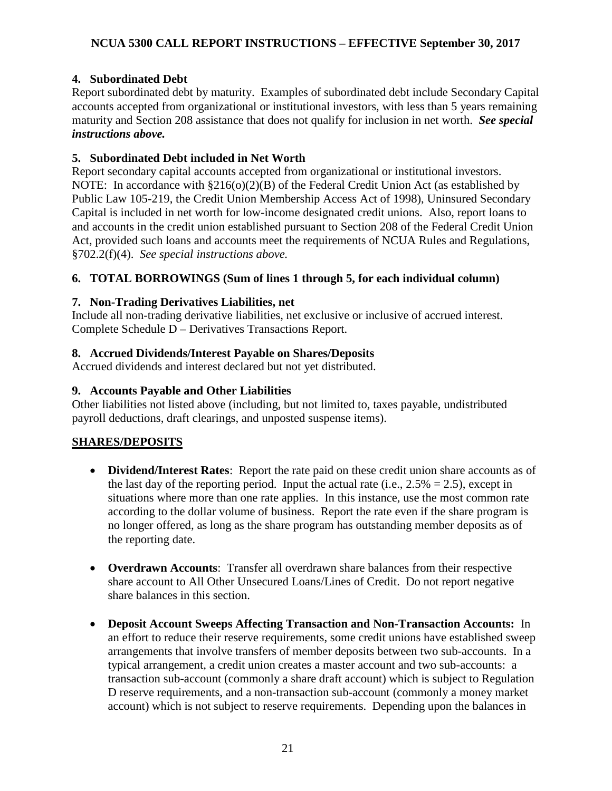## <span id="page-20-0"></span>**4. Subordinated Debt**

Report subordinated debt by maturity. Examples of subordinated debt include Secondary Capital accounts accepted from organizational or institutional investors, with less than 5 years remaining maturity and Section 208 assistance that does not qualify for inclusion in net worth. *See special instructions above.*

## <span id="page-20-1"></span>**5. Subordinated Debt included in Net Worth**

Report secondary capital accounts accepted from organizational or institutional investors. NOTE: In accordance with  $\S216(0)(2)(B)$  of the Federal Credit Union Act (as established by Public Law 105-219, the Credit Union Membership Access Act of 1998), Uninsured Secondary Capital is included in net worth for low-income designated credit unions. Also, report loans to and accounts in the credit union established pursuant to Section 208 of the Federal Credit Union Act, provided such loans and accounts meet the requirements of NCUA Rules and Regulations, §702.2(f)(4). *See special instructions above.* 

# <span id="page-20-2"></span>**6. TOTAL BORROWINGS (Sum of lines 1 through 5, for each individual column)**

# <span id="page-20-3"></span>**7. Non-Trading Derivatives Liabilities, net**

Include all non-trading derivative liabilities, net exclusive or inclusive of accrued interest. Complete Schedule D – Derivatives Transactions Report.

## <span id="page-20-4"></span>**8. Accrued Dividends/Interest Payable on Shares/Deposits**

Accrued dividends and interest declared but not yet distributed.

# <span id="page-20-5"></span>**9. Accounts Payable and Other Liabilities**

Other liabilities not listed above (including, but not limited to, taxes payable, undistributed payroll deductions, draft clearings, and unposted suspense items).

# <span id="page-20-6"></span>**SHARES/DEPOSITS**

- **Dividend/Interest Rates**: Report the rate paid on these credit union share accounts as of the last day of the reporting period. Input the actual rate (i.e.,  $2.5\% = 2.5$ ), except in situations where more than one rate applies. In this instance, use the most common rate according to the dollar volume of business. Report the rate even if the share program is no longer offered, as long as the share program has outstanding member deposits as of the reporting date.
- **Overdrawn Accounts**: Transfer all overdrawn share balances from their respective share account to All Other Unsecured Loans/Lines of Credit. Do not report negative share balances in this section.
- **Deposit Account Sweeps Affecting Transaction and Non-Transaction Accounts:** In an effort to reduce their reserve requirements, some credit unions have established sweep arrangements that involve transfers of member deposits between two sub-accounts. In a typical arrangement, a credit union creates a master account and two sub-accounts: a transaction sub-account (commonly a share draft account) which is subject to Regulation D reserve requirements, and a non-transaction sub-account (commonly a money market account) which is not subject to reserve requirements. Depending upon the balances in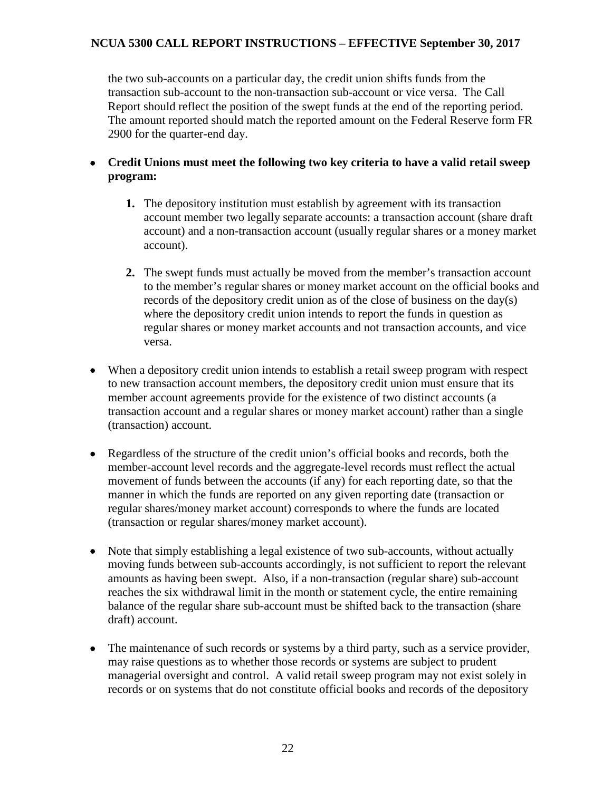the two sub-accounts on a particular day, the credit union shifts funds from the transaction sub-account to the non-transaction sub-account or vice versa. The Call Report should reflect the position of the swept funds at the end of the reporting period. The amount reported should match the reported amount on the Federal Reserve form FR 2900 for the quarter-end day.

- **Credit Unions must meet the following two key criteria to have a valid retail sweep program:**
	- **1.** The depository institution must establish by agreement with its transaction account member two legally separate accounts: a transaction account (share draft account) and a non-transaction account (usually regular shares or a money market account).
	- **2.** The swept funds must actually be moved from the member's transaction account to the member's regular shares or money market account on the official books and records of the depository credit union as of the close of business on the day(s) where the depository credit union intends to report the funds in question as regular shares or money market accounts and not transaction accounts, and vice versa.
- When a depository credit union intends to establish a retail sweep program with respect to new transaction account members, the depository credit union must ensure that its member account agreements provide for the existence of two distinct accounts (a transaction account and a regular shares or money market account) rather than a single (transaction) account.
- Regardless of the structure of the credit union's official books and records, both the member-account level records and the aggregate-level records must reflect the actual movement of funds between the accounts (if any) for each reporting date, so that the manner in which the funds are reported on any given reporting date (transaction or regular shares/money market account) corresponds to where the funds are located (transaction or regular shares/money market account).
- Note that simply establishing a legal existence of two sub-accounts, without actually moving funds between sub-accounts accordingly, is not sufficient to report the relevant amounts as having been swept. Also, if a non-transaction (regular share) sub-account reaches the six withdrawal limit in the month or statement cycle, the entire remaining balance of the regular share sub-account must be shifted back to the transaction (share draft) account.
- The maintenance of such records or systems by a third party, such as a service provider, may raise questions as to whether those records or systems are subject to prudent managerial oversight and control. A valid retail sweep program may not exist solely in records or on systems that do not constitute official books and records of the depository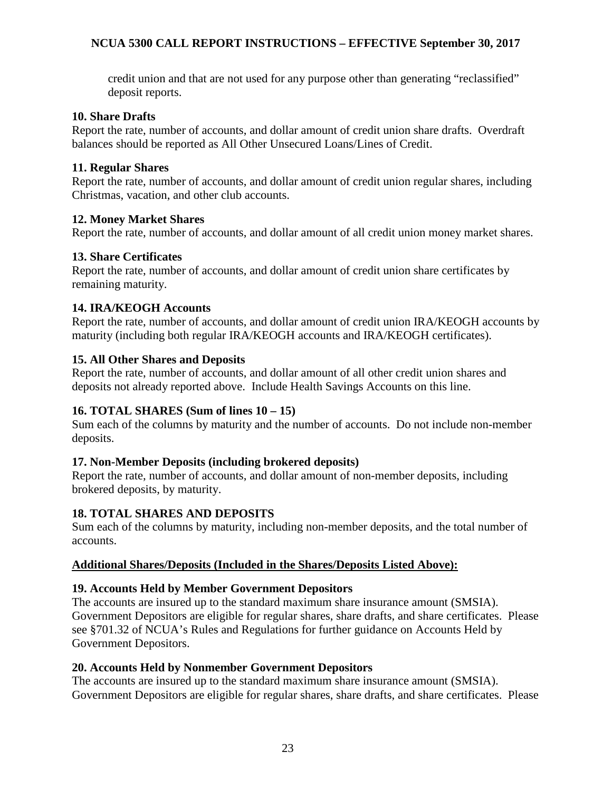credit union and that are not used for any purpose other than generating "reclassified" deposit reports.

#### <span id="page-22-0"></span>**10. Share Drafts**

Report the rate, number of accounts, and dollar amount of credit union share drafts. Overdraft balances should be reported as All Other Unsecured Loans/Lines of Credit.

#### <span id="page-22-1"></span>**11. Regular Shares**

Report the rate, number of accounts, and dollar amount of credit union regular shares, including Christmas, vacation, and other club accounts.

#### <span id="page-22-2"></span>**12. Money Market Shares**

Report the rate, number of accounts, and dollar amount of all credit union money market shares.

#### <span id="page-22-3"></span>**13. Share Certificates**

Report the rate, number of accounts, and dollar amount of credit union share certificates by remaining maturity.

#### <span id="page-22-4"></span>**14. IRA/KEOGH Accounts**

Report the rate, number of accounts, and dollar amount of credit union IRA/KEOGH accounts by maturity (including both regular IRA/KEOGH accounts and IRA/KEOGH certificates).

#### <span id="page-22-5"></span>**15. All Other Shares and Deposits**

Report the rate, number of accounts, and dollar amount of all other credit union shares and deposits not already reported above. Include Health Savings Accounts on this line.

#### <span id="page-22-6"></span>**16. TOTAL SHARES (Sum of lines 10 – 15)**

Sum each of the columns by maturity and the number of accounts. Do not include non-member deposits.

#### <span id="page-22-7"></span>**17. Non-Member Deposits (including brokered deposits)**

Report the rate, number of accounts, and dollar amount of non-member deposits, including brokered deposits, by maturity.

#### <span id="page-22-8"></span>**18. TOTAL SHARES AND DEPOSITS**

Sum each of the columns by maturity, including non-member deposits, and the total number of accounts.

#### <span id="page-22-9"></span>**Additional Shares/Deposits (Included in the Shares/Deposits Listed Above):**

#### <span id="page-22-10"></span>**19. Accounts Held by Member Government Depositors**

The accounts are insured up to the standard maximum share insurance amount (SMSIA). Government Depositors are eligible for regular shares, share drafts, and share certificates. Please see §701.32 of NCUA's Rules and Regulations for further guidance on Accounts Held by Government Depositors.

#### <span id="page-22-11"></span>**20. Accounts Held by Nonmember Government Depositors**

The accounts are insured up to the standard maximum share insurance amount (SMSIA). Government Depositors are eligible for regular shares, share drafts, and share certificates. Please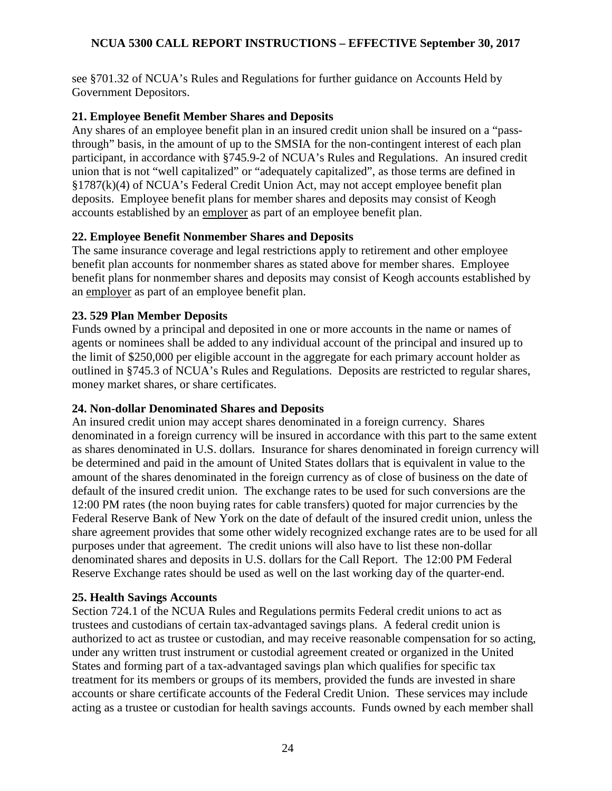see §701.32 of NCUA's Rules and Regulations for further guidance on Accounts Held by Government Depositors.

#### <span id="page-23-0"></span>**21. Employee Benefit Member Shares and Deposits**

Any shares of an employee benefit plan in an insured credit union shall be insured on a "passthrough" basis, in the amount of up to the SMSIA for the non-contingent interest of each plan participant, in accordance with §745.9-2 of NCUA's Rules and Regulations. An insured credit union that is not "well capitalized" or "adequately capitalized", as those terms are defined in §1787(k)(4) of NCUA's Federal Credit Union Act, may not accept employee benefit plan deposits. Employee benefit plans for member shares and deposits may consist of Keogh accounts established by an employer as part of an employee benefit plan.

## <span id="page-23-1"></span>**22. Employee Benefit Nonmember Shares and Deposits**

The same insurance coverage and legal restrictions apply to retirement and other employee benefit plan accounts for nonmember shares as stated above for member shares. Employee benefit plans for nonmember shares and deposits may consist of Keogh accounts established by an employer as part of an employee benefit plan.

#### <span id="page-23-2"></span>**23. 529 Plan Member Deposits**

Funds owned by a principal and deposited in one or more accounts in the name or names of agents or nominees shall be added to any individual account of the principal and insured up to the limit of \$250,000 per eligible account in the aggregate for each primary account holder as outlined in §745.3 of NCUA's Rules and Regulations. Deposits are restricted to regular shares, money market shares, or share certificates.

#### <span id="page-23-3"></span>**24. Non-dollar Denominated Shares and Deposits**

An insured credit union may accept shares denominated in a foreign currency. Shares denominated in a foreign currency will be insured in accordance with this part to the same extent as shares denominated in U.S. dollars. Insurance for shares denominated in foreign currency will be determined and paid in the amount of United States dollars that is equivalent in value to the amount of the shares denominated in the foreign currency as of close of business on the date of default of the insured credit union. The exchange rates to be used for such conversions are the 12:00 PM rates (the noon buying rates for cable transfers) quoted for major currencies by the Federal Reserve Bank of New York on the date of default of the insured credit union, unless the share agreement provides that some other widely recognized exchange rates are to be used for all purposes under that agreement. The credit unions will also have to list these non-dollar denominated shares and deposits in U.S. dollars for the Call Report. The 12:00 PM Federal Reserve Exchange rates should be used as well on the last working day of the quarter-end.

#### <span id="page-23-4"></span>**25. Health Savings Accounts**

Section 724.1 of the NCUA Rules and Regulations permits Federal credit unions to act as trustees and custodians of certain tax-advantaged savings plans. A federal credit union is authorized to act as trustee or custodian, and may receive reasonable compensation for so acting, under any written trust instrument or custodial agreement created or organized in the United States and forming part of a tax-advantaged savings plan which qualifies for specific tax treatment for its members or groups of its members, provided the funds are invested in share accounts or share certificate accounts of the Federal Credit Union. These services may include acting as a trustee or custodian for health savings accounts. Funds owned by each member shall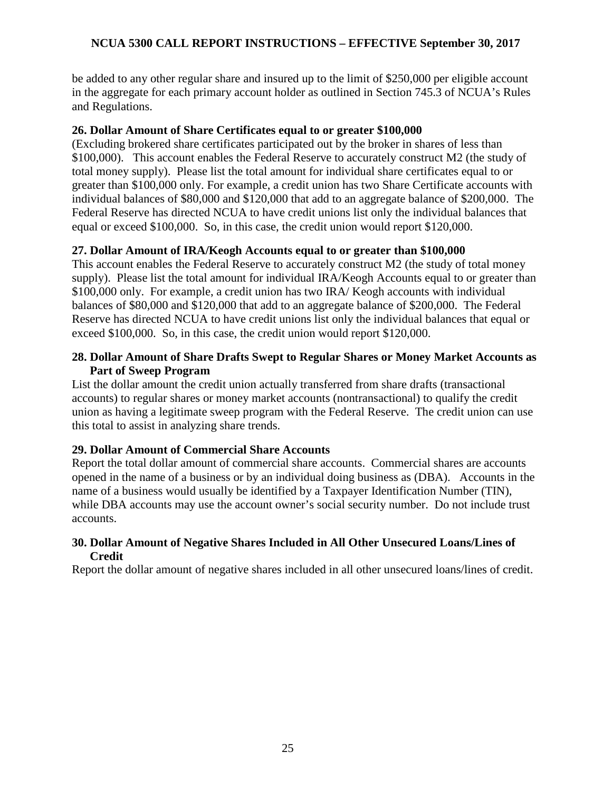be added to any other regular share and insured up to the limit of \$250,000 per eligible account in the aggregate for each primary account holder as outlined in Section 745.3 of NCUA's Rules and Regulations.

#### <span id="page-24-0"></span>**26. Dollar Amount of Share Certificates equal to or greater \$100,000**

(Excluding brokered share certificates participated out by the broker in shares of less than \$100,000). This account enables the Federal Reserve to accurately construct M2 (the study of total money supply). Please list the total amount for individual share certificates equal to or greater than \$100,000 only. For example, a credit union has two Share Certificate accounts with individual balances of \$80,000 and \$120,000 that add to an aggregate balance of \$200,000. The Federal Reserve has directed NCUA to have credit unions list only the individual balances that equal or exceed \$100,000. So, in this case, the credit union would report \$120,000.

#### <span id="page-24-1"></span>**27. Dollar Amount of IRA/Keogh Accounts equal to or greater than \$100,000**

This account enables the Federal Reserve to accurately construct M2 (the study of total money supply). Please list the total amount for individual IRA/Keogh Accounts equal to or greater than \$100,000 only. For example, a credit union has two IRA/ Keogh accounts with individual balances of \$80,000 and \$120,000 that add to an aggregate balance of \$200,000. The Federal Reserve has directed NCUA to have credit unions list only the individual balances that equal or exceed \$100,000. So, in this case, the credit union would report \$120,000.

#### <span id="page-24-2"></span>**28. Dollar Amount of Share Drafts Swept to Regular Shares or Money Market Accounts as Part of Sweep Program**

List the dollar amount the credit union actually transferred from share drafts (transactional accounts) to regular shares or money market accounts (nontransactional) to qualify the credit union as having a legitimate sweep program with the Federal Reserve. The credit union can use this total to assist in analyzing share trends.

## <span id="page-24-3"></span>**29. Dollar Amount of Commercial Share Accounts**

Report the total dollar amount of commercial share accounts. Commercial shares are accounts opened in the name of a business or by an individual doing business as (DBA). Accounts in the name of a business would usually be identified by a Taxpayer Identification Number (TIN), while DBA accounts may use the account owner's social security number. Do not include trust accounts.

#### <span id="page-24-4"></span>**30. Dollar Amount of Negative Shares Included in All Other Unsecured Loans/Lines of Credit**

Report the dollar amount of negative shares included in all other unsecured loans/lines of credit.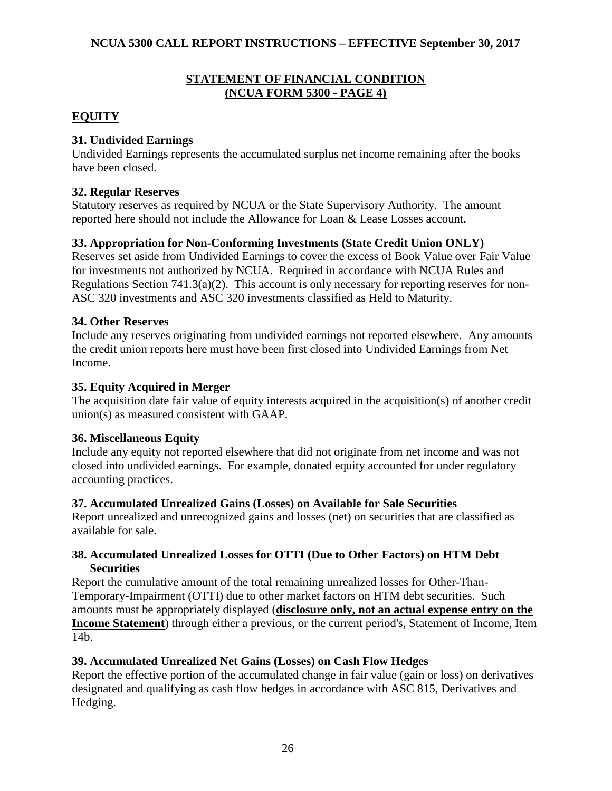#### **STATEMENT OF FINANCIAL CONDITION (NCUA FORM 5300 - PAGE 4)**

# <span id="page-25-1"></span><span id="page-25-0"></span>**EQUITY**

## <span id="page-25-2"></span>**31. Undivided Earnings**

Undivided Earnings represents the accumulated surplus net income remaining after the books have been closed.

#### <span id="page-25-3"></span>**32. Regular Reserves**

Statutory reserves as required by NCUA or the State Supervisory Authority. The amount reported here should not include the Allowance for Loan & Lease Losses account.

# <span id="page-25-4"></span>**33. Appropriation for Non-Conforming Investments (State Credit Union ONLY)**

Reserves set aside from Undivided Earnings to cover the excess of Book Value over Fair Value for investments not authorized by NCUA. Required in accordance with NCUA Rules and Regulations Section 741.3(a)(2). This account is only necessary for reporting reserves for non-ASC 320 investments and ASC 320 investments classified as Held to Maturity.

## <span id="page-25-5"></span>**34. Other Reserves**

Include any reserves originating from undivided earnings not reported elsewhere. Any amounts the credit union reports here must have been first closed into Undivided Earnings from Net Income.

#### <span id="page-25-6"></span>**35. Equity Acquired in Merger**

The acquisition date fair value of equity interests acquired in the acquisition(s) of another credit union(s) as measured consistent with GAAP.

#### <span id="page-25-7"></span>**36. Miscellaneous Equity**

Include any equity not reported elsewhere that did not originate from net income and was not closed into undivided earnings. For example, donated equity accounted for under regulatory accounting practices.

## <span id="page-25-8"></span>**37. Accumulated Unrealized Gains (Losses) on Available for Sale Securities**

Report unrealized and unrecognized gains and losses (net) on securities that are classified as available for sale.

#### <span id="page-25-9"></span>**38. Accumulated Unrealized Losses for OTTI (Due to Other Factors) on HTM Debt Securities**

Report the cumulative amount of the total remaining unrealized losses for Other-Than-Temporary-Impairment (OTTI) due to other market factors on HTM debt securities. Such amounts must be appropriately displayed (**disclosure only, not an actual expense entry on the Income Statement**) through either a previous, or the current period's, Statement of Income, Item 14b.

## <span id="page-25-10"></span>**39. Accumulated Unrealized Net Gains (Losses) on Cash Flow Hedges**

Report the effective portion of the accumulated change in fair value (gain or loss) on derivatives designated and qualifying as cash flow hedges in accordance with ASC 815, Derivatives and Hedging.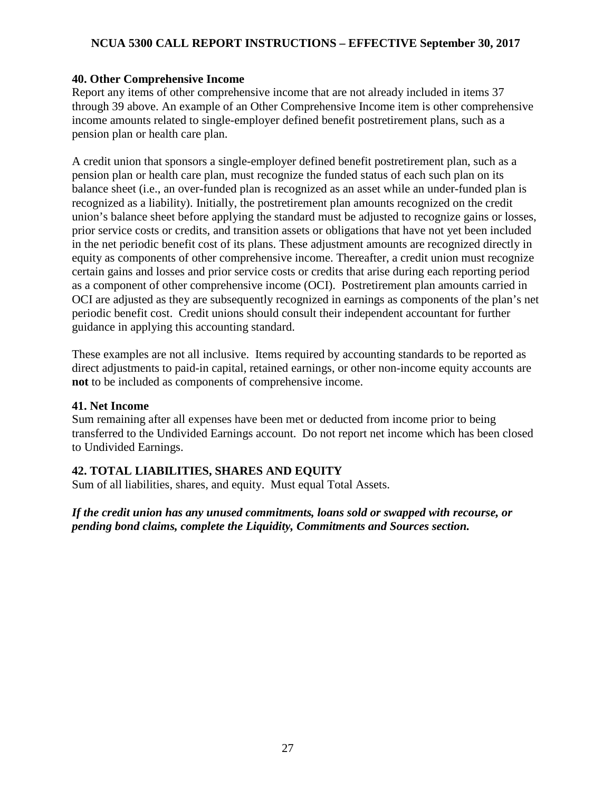#### <span id="page-26-0"></span>**40. Other Comprehensive Income**

Report any items of other comprehensive income that are not already included in items 37 through 39 above. An example of an Other Comprehensive Income item is other comprehensive income amounts related to single-employer defined benefit postretirement plans, such as a pension plan or health care plan.

A credit union that sponsors a single-employer defined benefit postretirement plan, such as a pension plan or health care plan, must recognize the funded status of each such plan on its balance sheet (i.e., an over-funded plan is recognized as an asset while an under-funded plan is recognized as a liability). Initially, the postretirement plan amounts recognized on the credit union's balance sheet before applying the standard must be adjusted to recognize gains or losses, prior service costs or credits, and transition assets or obligations that have not yet been included in the net periodic benefit cost of its plans. These adjustment amounts are recognized directly in equity as components of other comprehensive income. Thereafter, a credit union must recognize certain gains and losses and prior service costs or credits that arise during each reporting period as a component of other comprehensive income (OCI). Postretirement plan amounts carried in OCI are adjusted as they are subsequently recognized in earnings as components of the plan's net periodic benefit cost. Credit unions should consult their independent accountant for further guidance in applying this accounting standard.

These examples are not all inclusive. Items required by accounting standards to be reported as direct adjustments to paid-in capital, retained earnings, or other non-income equity accounts are **not** to be included as components of comprehensive income.

#### <span id="page-26-1"></span>**41. Net Income**

Sum remaining after all expenses have been met or deducted from income prior to being transferred to the Undivided Earnings account. Do not report net income which has been closed to Undivided Earnings.

## <span id="page-26-2"></span>**42. TOTAL LIABILITIES, SHARES AND EQUITY**

Sum of all liabilities, shares, and equity. Must equal Total Assets.

*If the credit union has any unused commitments, loans sold or swapped with recourse, or pending bond claims, complete the Liquidity, Commitments and Sources section.*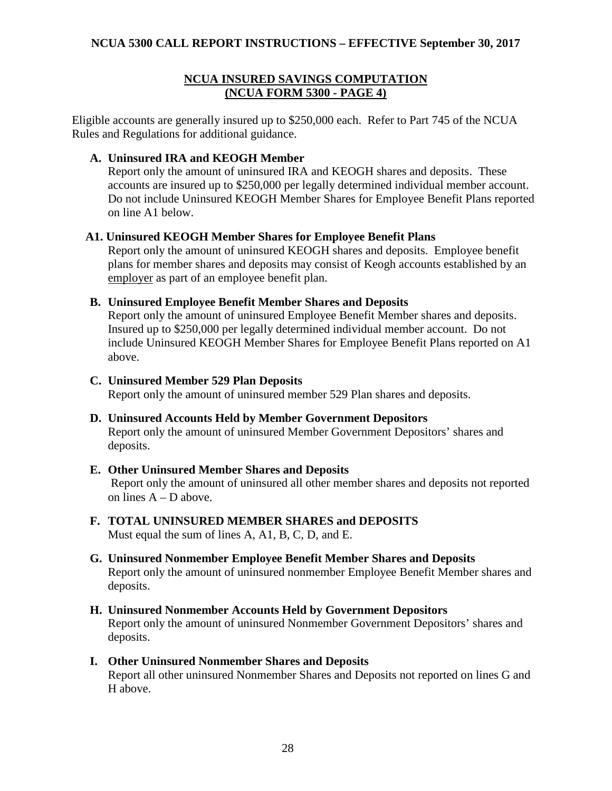#### **NCUA INSURED SAVINGS COMPUTATION (NCUA FORM 5300 - PAGE 4)**

<span id="page-27-0"></span>Eligible accounts are generally insured up to \$250,000 each. Refer to Part 745 of the NCUA Rules and Regulations for additional guidance.

#### <span id="page-27-1"></span>**A. Uninsured IRA and KEOGH Member**

Report only the amount of uninsured IRA and KEOGH shares and deposits. These accounts are insured up to \$250,000 per legally determined individual member account. Do not include Uninsured KEOGH Member Shares for Employee Benefit Plans reported on line A1 below.

#### <span id="page-27-2"></span>**A1. Uninsured KEOGH Member Shares for Employee Benefit Plans**

Report only the amount of uninsured KEOGH shares and deposits. Employee benefit plans for member shares and deposits may consist of Keogh accounts established by an employer as part of an employee benefit plan.

#### <span id="page-27-3"></span>**B. Uninsured Employee Benefit Member Shares and Deposits**

Report only the amount of uninsured Employee Benefit Member shares and deposits. Insured up to \$250,000 per legally determined individual member account. Do not include Uninsured KEOGH Member Shares for Employee Benefit Plans reported on A1 above.

#### <span id="page-27-4"></span>**C. Uninsured Member 529 Plan Deposits**

Report only the amount of uninsured member 529 Plan shares and deposits.

#### <span id="page-27-5"></span>**D. Uninsured Accounts Held by Member Government Depositors**

Report only the amount of uninsured Member Government Depositors' shares and deposits.

#### <span id="page-27-6"></span>**E. Other Uninsured Member Shares and Deposits**

Report only the amount of uninsured all other member shares and deposits not reported on lines A – D above.

# <span id="page-27-7"></span>**F. TOTAL UNINSURED MEMBER SHARES and DEPOSITS**

Must equal the sum of lines A, A1, B, C, D, and E.

#### <span id="page-27-8"></span>**G. Uninsured Nonmember Employee Benefit Member Shares and Deposits** Report only the amount of uninsured nonmember Employee Benefit Member shares and deposits.

## <span id="page-27-9"></span>**H. Uninsured Nonmember Accounts Held by Government Depositors**

Report only the amount of uninsured Nonmember Government Depositors' shares and deposits.

#### <span id="page-27-10"></span>**I. Other Uninsured Nonmember Shares and Deposits**

Report all other uninsured Nonmember Shares and Deposits not reported on lines G and H above.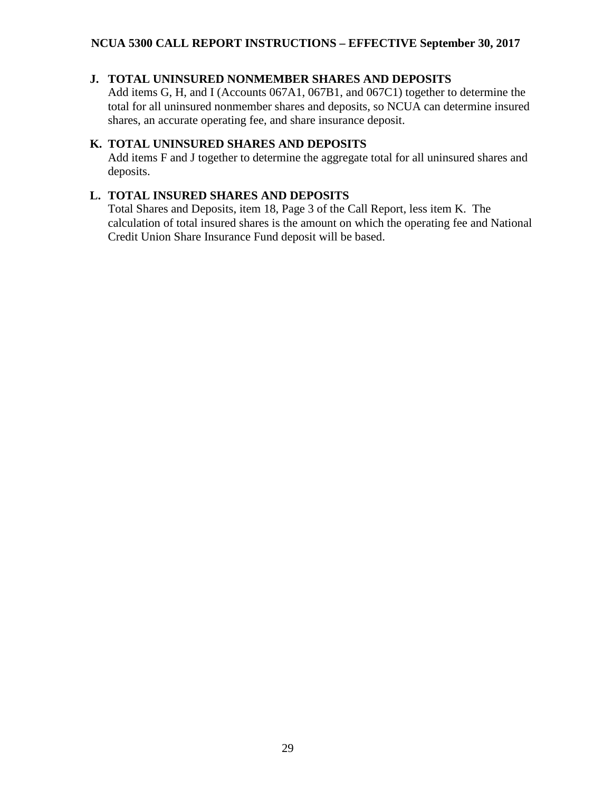## <span id="page-28-0"></span>**J. TOTAL UNINSURED NONMEMBER SHARES AND DEPOSITS**

Add items G, H, and I (Accounts 067A1, 067B1, and 067C1) together to determine the total for all uninsured nonmember shares and deposits, so NCUA can determine insured shares, an accurate operating fee, and share insurance deposit.

## <span id="page-28-1"></span>**K. TOTAL UNINSURED SHARES AND DEPOSITS**

Add items F and J together to determine the aggregate total for all uninsured shares and deposits.

#### <span id="page-28-2"></span>**L. TOTAL INSURED SHARES AND DEPOSITS**

Total Shares and Deposits, item 18, Page 3 of the Call Report, less item K. The calculation of total insured shares is the amount on which the operating fee and National Credit Union Share Insurance Fund deposit will be based.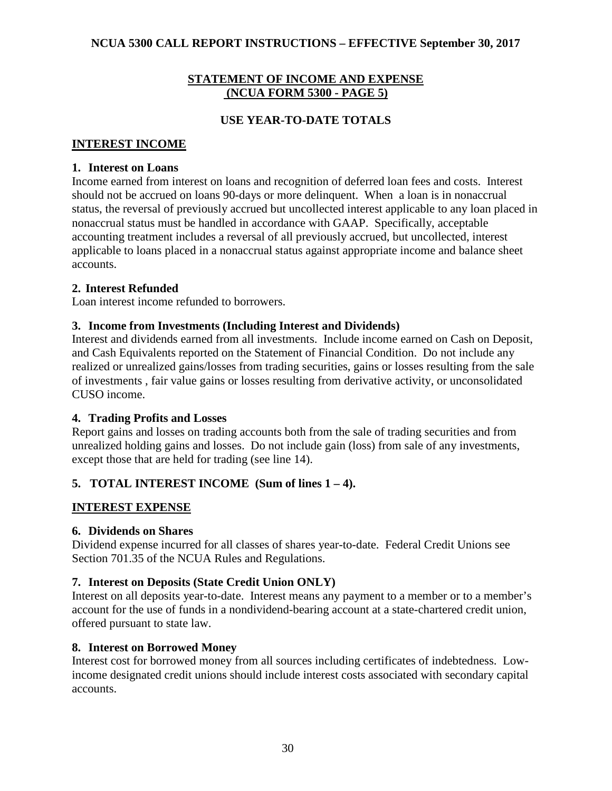#### **STATEMENT OF INCOME AND EXPENSE (NCUA FORM 5300 - PAGE 5)**

#### **USE YEAR-TO-DATE TOTALS**

#### <span id="page-29-1"></span><span id="page-29-0"></span>**INTEREST INCOME**

#### <span id="page-29-2"></span>**1. Interest on Loans**

Income earned from interest on loans and recognition of deferred loan fees and costs. Interest should not be accrued on loans 90-days or more delinquent. When a loan is in nonaccrual status, the reversal of previously accrued but uncollected interest applicable to any loan placed in nonaccrual status must be handled in accordance with GAAP. Specifically, acceptable accounting treatment includes a reversal of all previously accrued, but uncollected, interest applicable to loans placed in a nonaccrual status against appropriate income and balance sheet accounts.

#### <span id="page-29-3"></span>**2. Interest Refunded**

Loan interest income refunded to borrowers.

#### <span id="page-29-4"></span>**3. Income from Investments (Including Interest and Dividends)**

Interest and dividends earned from all investments. Include income earned on Cash on Deposit, and Cash Equivalents reported on the Statement of Financial Condition. Do not include any realized or unrealized gains/losses from trading securities, gains or losses resulting from the sale of investments , fair value gains or losses resulting from derivative activity, or unconsolidated CUSO income.

#### <span id="page-29-5"></span>**4. Trading Profits and Losses**

Report gains and losses on trading accounts both from the sale of trading securities and from unrealized holding gains and losses. Do not include gain (loss) from sale of any investments, except those that are held for trading (see line 14).

## <span id="page-29-6"></span>**5. TOTAL INTEREST INCOME (Sum of lines 1 – 4).**

#### <span id="page-29-7"></span>**INTEREST EXPENSE**

#### <span id="page-29-8"></span>**6. Dividends on Shares**

Dividend expense incurred for all classes of shares year-to-date. Federal Credit Unions see Section 701.35 of the NCUA Rules and Regulations.

#### <span id="page-29-9"></span>**7. Interest on Deposits (State Credit Union ONLY)**

Interest on all deposits year-to-date. Interest means any payment to a member or to a member's account for the use of funds in a nondividend-bearing account at a state-chartered credit union, offered pursuant to state law.

#### <span id="page-29-10"></span>**8. Interest on Borrowed Money**

Interest cost for borrowed money from all sources including certificates of indebtedness. Lowincome designated credit unions should include interest costs associated with secondary capital accounts.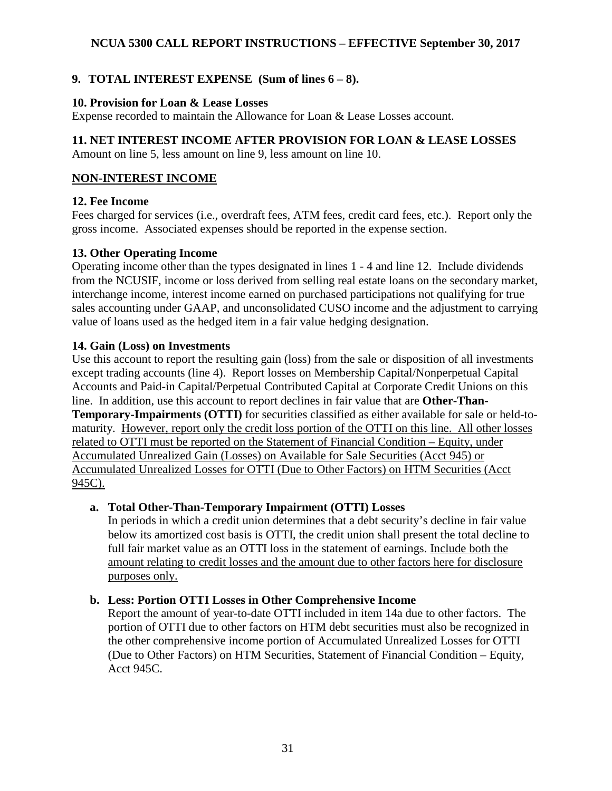# <span id="page-30-0"></span>**9. TOTAL INTEREST EXPENSE (Sum of lines 6 – 8).**

#### <span id="page-30-1"></span>**10. Provision for Loan & Lease Losses**

Expense recorded to maintain the Allowance for Loan & Lease Losses account.

## <span id="page-30-2"></span>**11. NET INTEREST INCOME AFTER PROVISION FOR LOAN & LEASE LOSSES**

Amount on line 5, less amount on line 9, less amount on line 10.

## <span id="page-30-3"></span>**NON-INTEREST INCOME**

## <span id="page-30-4"></span>**12. Fee Income**

Fees charged for services (i.e., overdraft fees, ATM fees, credit card fees, etc.). Report only the gross income. Associated expenses should be reported in the expense section.

## <span id="page-30-5"></span>**13. Other Operating Income**

Operating income other than the types designated in lines 1 - 4 and line 12. Include dividends from the NCUSIF, income or loss derived from selling real estate loans on the secondary market, interchange income, interest income earned on purchased participations not qualifying for true sales accounting under GAAP, and unconsolidated CUSO income and the adjustment to carrying value of loans used as the hedged item in a fair value hedging designation.

## <span id="page-30-6"></span>**14. Gain (Loss) on Investments**

Use this account to report the resulting gain (loss) from the sale or disposition of all investments except trading accounts (line 4). Report losses on Membership Capital/Nonperpetual Capital Accounts and Paid-in Capital/Perpetual Contributed Capital at Corporate Credit Unions on this line. In addition, use this account to report declines in fair value that are **Other-Than-Temporary-Impairments (OTTI)** for securities classified as either available for sale or held-tomaturity. However, report only the credit loss portion of the OTTI on this line. All other losses related to OTTI must be reported on the Statement of Financial Condition – Equity, under Accumulated Unrealized Gain (Losses) on Available for Sale Securities (Acct 945) or Accumulated Unrealized Losses for OTTI (Due to Other Factors) on HTM Securities (Acct 945C).

## <span id="page-30-7"></span>**a. Total Other-Than-Temporary Impairment (OTTI) Losses**

In periods in which a credit union determines that a debt security's decline in fair value below its amortized cost basis is OTTI, the credit union shall present the total decline to full fair market value as an OTTI loss in the statement of earnings. Include both the amount relating to credit losses and the amount due to other factors here for disclosure purposes only.

## <span id="page-30-8"></span>**b. Less: Portion OTTI Losses in Other Comprehensive Income**

Report the amount of year-to-date OTTI included in item 14a due to other factors. The portion of OTTI due to other factors on HTM debt securities must also be recognized in the other comprehensive income portion of Accumulated Unrealized Losses for OTTI (Due to Other Factors) on HTM Securities, Statement of Financial Condition – Equity, Acct 945C.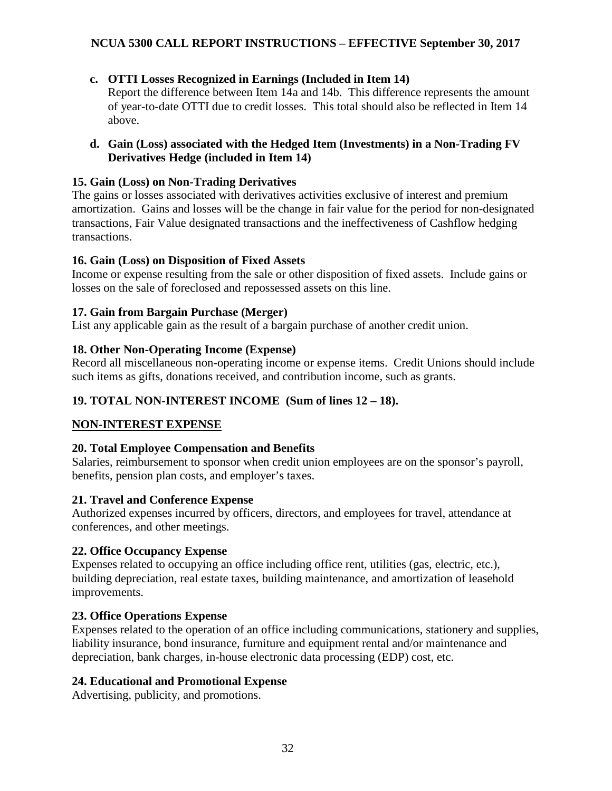- <span id="page-31-0"></span>**c. OTTI Losses Recognized in Earnings (Included in Item 14)**  Report the difference between Item 14a and 14b. This difference represents the amount of year-to-date OTTI due to credit losses. This total should also be reflected in Item 14 above.
- <span id="page-31-1"></span>**d. Gain (Loss) associated with the Hedged Item (Investments) in a Non-Trading FV Derivatives Hedge (included in Item 14)**

#### <span id="page-31-2"></span>**15. Gain (Loss) on Non-Trading Derivatives**

The gains or losses associated with derivatives activities exclusive of interest and premium amortization. Gains and losses will be the change in fair value for the period for non-designated transactions, Fair Value designated transactions and the ineffectiveness of Cashflow hedging transactions.

#### <span id="page-31-3"></span>**16. Gain (Loss) on Disposition of Fixed Assets**

Income or expense resulting from the sale or other disposition of fixed assets. Include gains or losses on the sale of foreclosed and repossessed assets on this line.

#### <span id="page-31-4"></span>**17. Gain from Bargain Purchase (Merger)**

List any applicable gain as the result of a bargain purchase of another credit union.

#### <span id="page-31-5"></span>**18. Other Non-Operating Income (Expense)**

Record all miscellaneous non-operating income or expense items. Credit Unions should include such items as gifts, donations received, and contribution income, such as grants.

## <span id="page-31-6"></span>**19. TOTAL NON-INTEREST INCOME (Sum of lines 12 – 18).**

## <span id="page-31-7"></span>**NON-INTEREST EXPENSE**

#### <span id="page-31-8"></span>**20. Total Employee Compensation and Benefits**

Salaries, reimbursement to sponsor when credit union employees are on the sponsor's payroll, benefits, pension plan costs, and employer's taxes.

## <span id="page-31-9"></span>**21. Travel and Conference Expense**

Authorized expenses incurred by officers, directors, and employees for travel, attendance at conferences, and other meetings.

## <span id="page-31-10"></span>**22. Office Occupancy Expense**

Expenses related to occupying an office including office rent, utilities (gas, electric, etc.), building depreciation, real estate taxes, building maintenance, and amortization of leasehold improvements.

## <span id="page-31-11"></span>**23. Office Operations Expense**

Expenses related to the operation of an office including communications, stationery and supplies, liability insurance, bond insurance, furniture and equipment rental and/or maintenance and depreciation, bank charges, in-house electronic data processing (EDP) cost, etc.

## <span id="page-31-12"></span>**24. Educational and Promotional Expense**

Advertising, publicity, and promotions.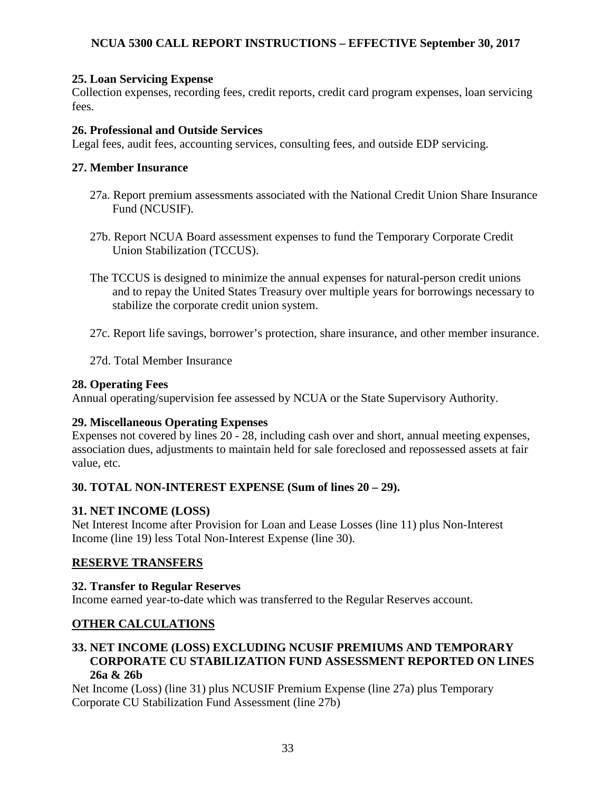#### <span id="page-32-0"></span>**25. Loan Servicing Expense**

Collection expenses, recording fees, credit reports, credit card program expenses, loan servicing fees.

#### <span id="page-32-1"></span>**26. Professional and Outside Services**

Legal fees, audit fees, accounting services, consulting fees, and outside EDP servicing.

#### <span id="page-32-2"></span>**27. Member Insurance**

- 27a. Report premium assessments associated with the National Credit Union Share Insurance Fund (NCUSIF).
- 27b. Report NCUA Board assessment expenses to fund the Temporary Corporate Credit Union Stabilization (TCCUS).
- The TCCUS is designed to minimize the annual expenses for natural-person credit unions and to repay the United States Treasury over multiple years for borrowings necessary to stabilize the corporate credit union system.
- 27c. Report life savings, borrower's protection, share insurance, and other member insurance.
- 27d. Total Member Insurance

#### <span id="page-32-3"></span>**28. Operating Fees**

Annual operating/supervision fee assessed by NCUA or the State Supervisory Authority.

#### <span id="page-32-4"></span>**29. Miscellaneous Operating Expenses**

Expenses not covered by lines 20 - 28, including cash over and short, annual meeting expenses, association dues, adjustments to maintain held for sale foreclosed and repossessed assets at fair value, etc.

#### <span id="page-32-5"></span>**30. TOTAL NON-INTEREST EXPENSE (Sum of lines 20 – 29).**

#### <span id="page-32-6"></span>**31. NET INCOME (LOSS)**

Net Interest Income after Provision for Loan and Lease Losses (line 11) plus Non-Interest Income (line 19) less Total Non-Interest Expense (line 30).

#### <span id="page-32-7"></span>**RESERVE TRANSFERS**

#### <span id="page-32-8"></span>**32. Transfer to Regular Reserves**

Income earned year-to-date which was transferred to the Regular Reserves account.

#### <span id="page-32-9"></span>**OTHER CALCULATIONS**

#### <span id="page-32-10"></span>**33. NET INCOME (LOSS) EXCLUDING NCUSIF PREMIUMS AND TEMPORARY CORPORATE CU STABILIZATION FUND ASSESSMENT REPORTED ON LINES 26a & 26b**

Net Income (Loss) (line 31) plus NCUSIF Premium Expense (line 27a) plus Temporary Corporate CU Stabilization Fund Assessment (line 27b)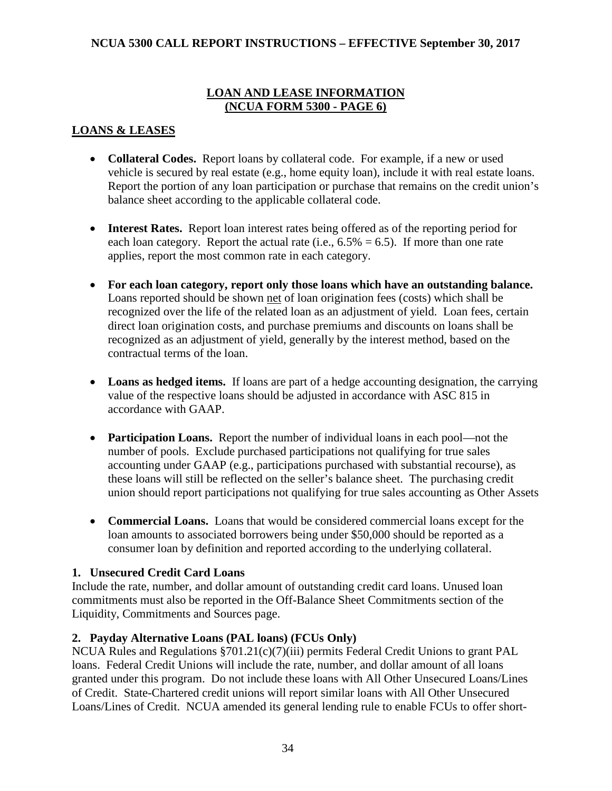## **LOAN AND LEASE INFORMATION (NCUA FORM 5300 - PAGE 6)**

## <span id="page-33-1"></span><span id="page-33-0"></span>**LOANS & LEASES**

- **Collateral Codes.** Report loans by collateral code. For example, if a new or used vehicle is secured by real estate (e.g., home equity loan), include it with real estate loans. Report the portion of any loan participation or purchase that remains on the credit union's balance sheet according to the applicable collateral code.
- **Interest Rates.** Report loan interest rates being offered as of the reporting period for each loan category. Report the actual rate (i.e.,  $6.5\% = 6.5$ ). If more than one rate applies, report the most common rate in each category.
- **For each loan category, report only those loans which have an outstanding balance.**  Loans reported should be shown net of loan origination fees (costs) which shall be recognized over the life of the related loan as an adjustment of yield. Loan fees, certain direct loan origination costs, and purchase premiums and discounts on loans shall be recognized as an adjustment of yield, generally by the interest method, based on the contractual terms of the loan.
- Loans as hedged items. If loans are part of a hedge accounting designation, the carrying value of the respective loans should be adjusted in accordance with ASC 815 in accordance with GAAP.
- **Participation Loans.** Report the number of individual loans in each pool—not the number of pools. Exclude purchased participations not qualifying for true sales accounting under GAAP (e.g., participations purchased with substantial recourse), as these loans will still be reflected on the seller's balance sheet. The purchasing credit union should report participations not qualifying for true sales accounting as Other Assets
- **Commercial Loans.** Loans that would be considered commercial loans except for the loan amounts to associated borrowers being under \$50,000 should be reported as a consumer loan by definition and reported according to the underlying collateral.

## <span id="page-33-2"></span>**1. Unsecured Credit Card Loans**

Include the rate, number, and dollar amount of outstanding credit card loans. Unused loan commitments must also be reported in the Off-Balance Sheet Commitments section of the Liquidity, Commitments and Sources page.

## <span id="page-33-3"></span>**2. Payday Alternative Loans (PAL loans) (FCUs Only)**

NCUA Rules and Regulations §701.21(c)(7)(iii) permits Federal Credit Unions to grant PAL loans. Federal Credit Unions will include the rate, number, and dollar amount of all loans granted under this program. Do not include these loans with All Other Unsecured Loans/Lines of Credit. State-Chartered credit unions will report similar loans with All Other Unsecured Loans/Lines of Credit. NCUA amended its general lending rule to enable FCUs to offer short-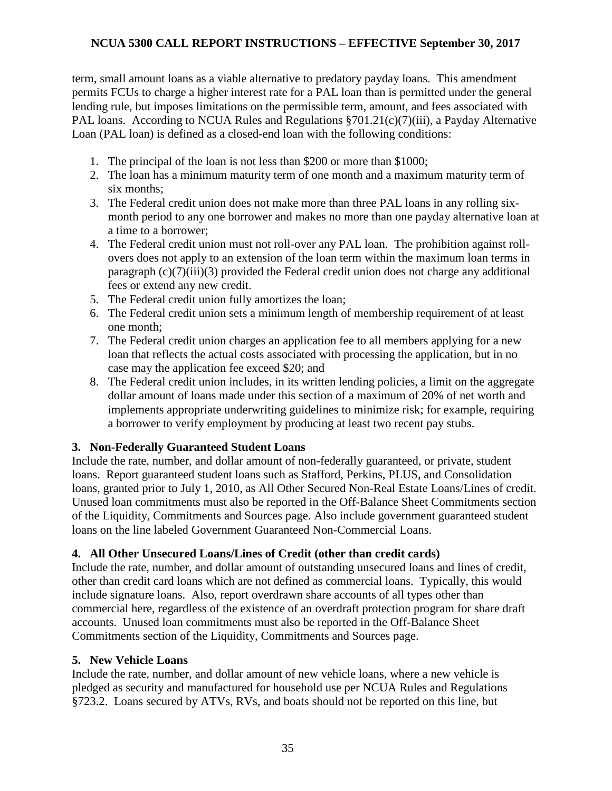term, small amount loans as a viable alternative to predatory payday loans. This amendment permits FCUs to charge a higher interest rate for a PAL loan than is permitted under the general lending rule, but imposes limitations on the permissible term, amount, and fees associated with PAL loans. According to NCUA Rules and Regulations §701.21(c)(7)(iii), a Payday Alternative Loan (PAL loan) is defined as a closed-end loan with the following conditions:

- 1. The principal of the loan is not less than \$200 or more than \$1000;
- 2. The loan has a minimum maturity term of one month and a maximum maturity term of six months;
- 3. The Federal credit union does not make more than three PAL loans in any rolling sixmonth period to any one borrower and makes no more than one payday alternative loan at a time to a borrower;
- 4. The Federal credit union must not roll-over any PAL loan. The prohibition against rollovers does not apply to an extension of the loan term within the maximum loan terms in paragraph  $(c)(7)(iii)(3)$  provided the Federal credit union does not charge any additional fees or extend any new credit.
- 5. The Federal credit union fully amortizes the loan;
- 6. The Federal credit union sets a minimum length of membership requirement of at least one month;
- 7. The Federal credit union charges an application fee to all members applying for a new loan that reflects the actual costs associated with processing the application, but in no case may the application fee exceed \$20; and
- 8. The Federal credit union includes, in its written lending policies, a limit on the aggregate dollar amount of loans made under this section of a maximum of 20% of net worth and implements appropriate underwriting guidelines to minimize risk; for example, requiring a borrower to verify employment by producing at least two recent pay stubs.

## <span id="page-34-0"></span>**3. Non-Federally Guaranteed Student Loans**

Include the rate, number, and dollar amount of non-federally guaranteed, or private, student loans. Report guaranteed student loans such as Stafford, Perkins, PLUS, and Consolidation loans, granted prior to July 1, 2010, as All Other Secured Non-Real Estate Loans/Lines of credit. Unused loan commitments must also be reported in the Off-Balance Sheet Commitments section of the Liquidity, Commitments and Sources page. Also include government guaranteed student loans on the line labeled Government Guaranteed Non-Commercial Loans.

## <span id="page-34-1"></span>**4. All Other Unsecured Loans/Lines of Credit (other than credit cards)**

Include the rate, number, and dollar amount of outstanding unsecured loans and lines of credit, other than credit card loans which are not defined as commercial loans. Typically, this would include signature loans. Also, report overdrawn share accounts of all types other than commercial here, regardless of the existence of an overdraft protection program for share draft accounts. Unused loan commitments must also be reported in the Off-Balance Sheet Commitments section of the Liquidity, Commitments and Sources page.

#### <span id="page-34-2"></span>**5. New Vehicle Loans**

Include the rate, number, and dollar amount of new vehicle loans, where a new vehicle is pledged as security and manufactured for household use per NCUA Rules and Regulations §723.2. Loans secured by ATVs, RVs, and boats should not be reported on this line, but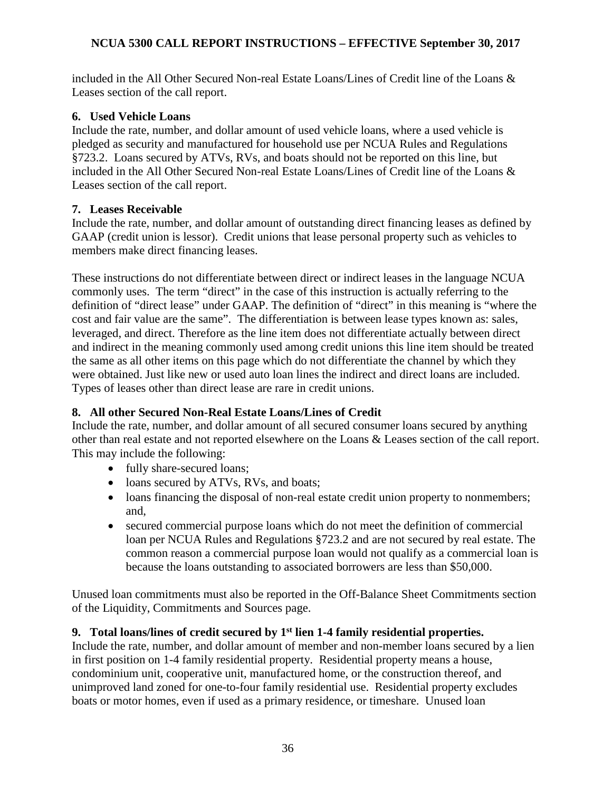included in the All Other Secured Non-real Estate Loans/Lines of Credit line of the Loans & Leases section of the call report.

#### <span id="page-35-0"></span>**6. Used Vehicle Loans**

Include the rate, number, and dollar amount of used vehicle loans, where a used vehicle is pledged as security and manufactured for household use per NCUA Rules and Regulations §723.2. Loans secured by ATVs, RVs, and boats should not be reported on this line, but included in the All Other Secured Non-real Estate Loans/Lines of Credit line of the Loans & Leases section of the call report.

#### <span id="page-35-1"></span>**7. Leases Receivable**

Include the rate, number, and dollar amount of outstanding direct financing leases as defined by GAAP (credit union is lessor). Credit unions that lease personal property such as vehicles to members make direct financing leases.

These instructions do not differentiate between direct or indirect leases in the language NCUA commonly uses. The term "direct" in the case of this instruction is actually referring to the definition of "direct lease" under GAAP. The definition of "direct" in this meaning is "where the cost and fair value are the same". The differentiation is between lease types known as: sales, leveraged, and direct. Therefore as the line item does not differentiate actually between direct and indirect in the meaning commonly used among credit unions this line item should be treated the same as all other items on this page which do not differentiate the channel by which they were obtained. Just like new or used auto loan lines the indirect and direct loans are included. Types of leases other than direct lease are rare in credit unions.

## <span id="page-35-2"></span>**8. All other Secured Non-Real Estate Loans/Lines of Credit**

Include the rate, number, and dollar amount of all secured consumer loans secured by anything other than real estate and not reported elsewhere on the Loans & Leases section of the call report. This may include the following:

- fully share-secured loans;
- loans secured by ATVs, RVs, and boats;
- loans financing the disposal of non-real estate credit union property to nonmembers; and,
- secured commercial purpose loans which do not meet the definition of commercial loan per NCUA Rules and Regulations §723.2 and are not secured by real estate. The common reason a commercial purpose loan would not qualify as a commercial loan is because the loans outstanding to associated borrowers are less than \$50,000.

Unused loan commitments must also be reported in the Off-Balance Sheet Commitments section of the Liquidity, Commitments and Sources page.

# <span id="page-35-3"></span>**9. Total loans/lines of credit secured by 1st lien 1-4 family residential properties.**

Include the rate, number, and dollar amount of member and non-member loans secured by a lien in first position on 1-4 family residential property. Residential property means a house, condominium unit, cooperative unit, manufactured home, or the construction thereof, and unimproved land zoned for one-to-four family residential use. Residential property excludes boats or motor homes, even if used as a primary residence, or timeshare. Unused loan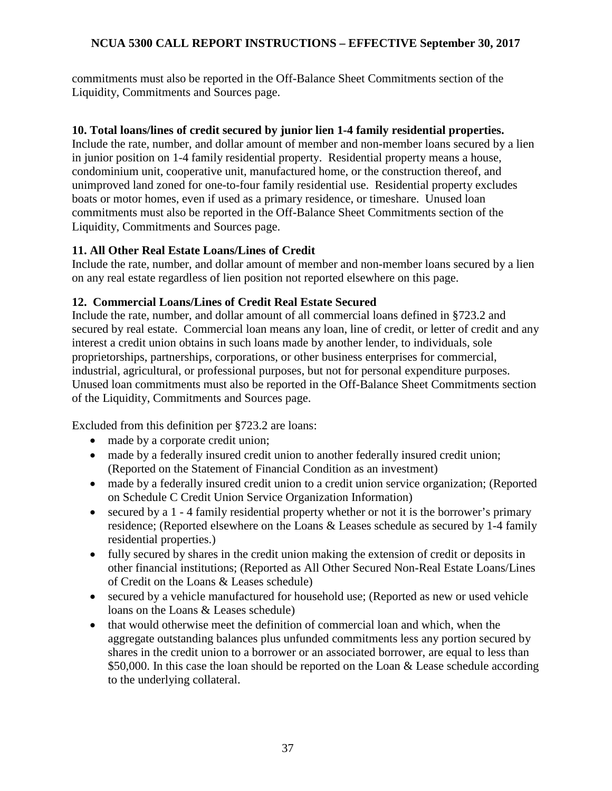commitments must also be reported in the Off-Balance Sheet Commitments section of the Liquidity, Commitments and Sources page.

#### **10. Total loans/lines of credit secured by junior lien 1-4 family residential properties.**

Include the rate, number, and dollar amount of member and non-member loans secured by a lien in junior position on 1-4 family residential property. Residential property means a house, condominium unit, cooperative unit, manufactured home, or the construction thereof, and unimproved land zoned for one-to-four family residential use. Residential property excludes boats or motor homes, even if used as a primary residence, or timeshare. Unused loan commitments must also be reported in the Off-Balance Sheet Commitments section of the Liquidity, Commitments and Sources page.

# **11. All Other Real Estate Loans/Lines of Credit**

Include the rate, number, and dollar amount of member and non-member loans secured by a lien on any real estate regardless of lien position not reported elsewhere on this page.

# **12. Commercial Loans/Lines of Credit Real Estate Secured**

Include the rate, number, and dollar amount of all commercial loans defined in §723.2 and secured by real estate. Commercial loan means any loan, line of credit, or letter of credit and any interest a credit union obtains in such loans made by another lender, to individuals, sole proprietorships, partnerships, corporations, or other business enterprises for commercial, industrial, agricultural, or professional purposes, but not for personal expenditure purposes. Unused loan commitments must also be reported in the Off-Balance Sheet Commitments section of the Liquidity, Commitments and Sources page.

Excluded from this definition per §723.2 are loans:

- made by a corporate credit union;
- made by a federally insured credit union to another federally insured credit union; (Reported on the Statement of Financial Condition as an investment)
- made by a federally insured credit union to a credit union service organization; (Reported on Schedule C Credit Union Service Organization Information)
- secured by a 1 4 family residential property whether or not it is the borrower's primary residence; (Reported elsewhere on the Loans & Leases schedule as secured by 1-4 family residential properties.)
- fully secured by shares in the credit union making the extension of credit or deposits in other financial institutions; (Reported as All Other Secured Non-Real Estate Loans/Lines of Credit on the Loans & Leases schedule)
- secured by a vehicle manufactured for household use; (Reported as new or used vehicle loans on the Loans & Leases schedule)
- that would otherwise meet the definition of commercial loan and which, when the aggregate outstanding balances plus unfunded commitments less any portion secured by shares in the credit union to a borrower or an associated borrower, are equal to less than \$50,000. In this case the loan should be reported on the Loan & Lease schedule according to the underlying collateral.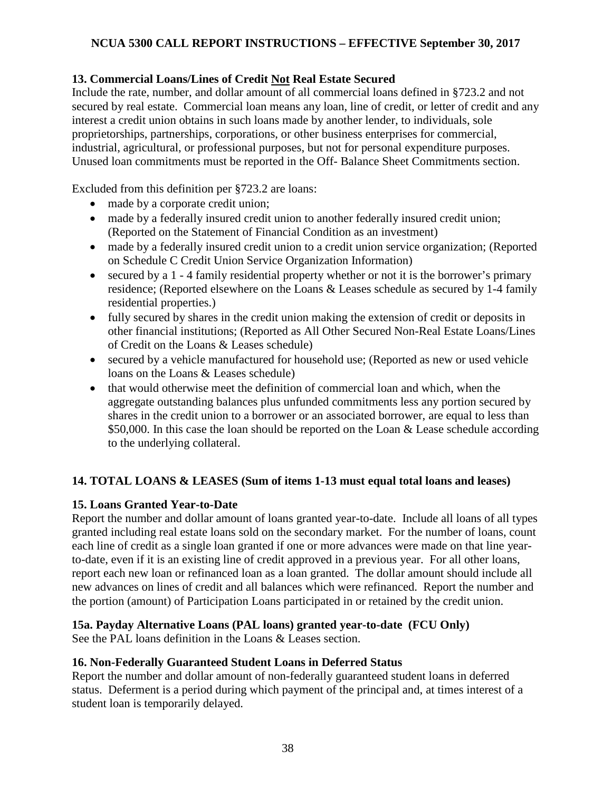# **13. Commercial Loans/Lines of Credit Not Real Estate Secured**

Include the rate, number, and dollar amount of all commercial loans defined in §723.2 and not secured by real estate. Commercial loan means any loan, line of credit, or letter of credit and any interest a credit union obtains in such loans made by another lender, to individuals, sole proprietorships, partnerships, corporations, or other business enterprises for commercial, industrial, agricultural, or professional purposes, but not for personal expenditure purposes. Unused loan commitments must be reported in the Off- Balance Sheet Commitments section.

Excluded from this definition per §723.2 are loans:

- made by a corporate credit union;
- made by a federally insured credit union to another federally insured credit union; (Reported on the Statement of Financial Condition as an investment)
- made by a federally insured credit union to a credit union service organization; (Reported on Schedule C Credit Union Service Organization Information)
- secured by a 1 4 family residential property whether or not it is the borrower's primary residence; (Reported elsewhere on the Loans & Leases schedule as secured by 1-4 family residential properties.)
- fully secured by shares in the credit union making the extension of credit or deposits in other financial institutions; (Reported as All Other Secured Non-Real Estate Loans/Lines of Credit on the Loans & Leases schedule)
- secured by a vehicle manufactured for household use; (Reported as new or used vehicle loans on the Loans & Leases schedule)
- that would otherwise meet the definition of commercial loan and which, when the aggregate outstanding balances plus unfunded commitments less any portion secured by shares in the credit union to a borrower or an associated borrower, are equal to less than \$50,000. In this case the loan should be reported on the Loan & Lease schedule according to the underlying collateral.

# **14. TOTAL LOANS & LEASES (Sum of items 1-13 must equal total loans and leases)**

# **15. Loans Granted Year-to-Date**

Report the number and dollar amount of loans granted year-to-date. Include all loans of all types granted including real estate loans sold on the secondary market. For the number of loans, count each line of credit as a single loan granted if one or more advances were made on that line yearto-date, even if it is an existing line of credit approved in a previous year. For all other loans, report each new loan or refinanced loan as a loan granted. The dollar amount should include all new advances on lines of credit and all balances which were refinanced. Report the number and the portion (amount) of Participation Loans participated in or retained by the credit union.

# **15a. Payday Alternative Loans (PAL loans) granted year-to-date (FCU Only)**

See the PAL loans definition in the Loans & Leases section.

# **16. Non-Federally Guaranteed Student Loans in Deferred Status**

Report the number and dollar amount of non-federally guaranteed student loans in deferred status. Deferment is a period during which payment of the principal and, at times interest of a student loan is temporarily delayed.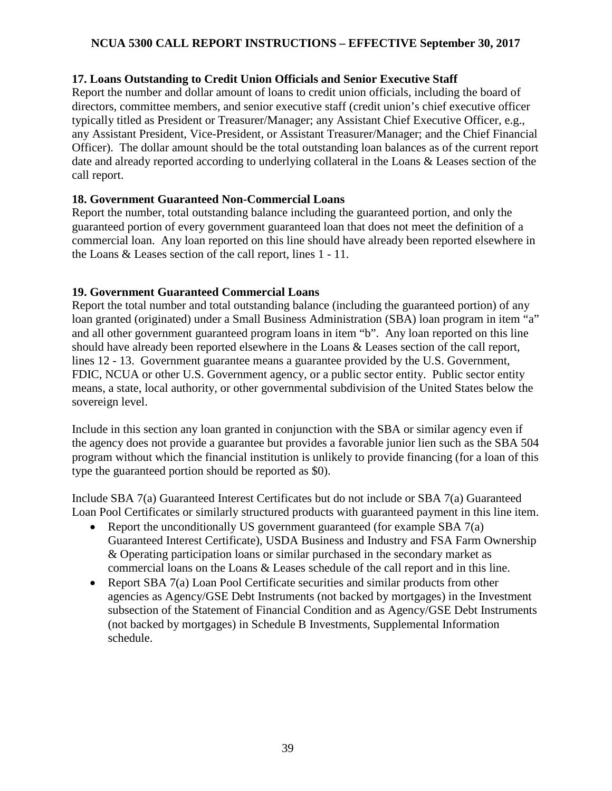# **17. Loans Outstanding to Credit Union Officials and Senior Executive Staff**

Report the number and dollar amount of loans to credit union officials, including the board of directors, committee members, and senior executive staff (credit union's chief executive officer typically titled as President or Treasurer/Manager; any Assistant Chief Executive Officer, e.g., any Assistant President, Vice-President, or Assistant Treasurer/Manager; and the Chief Financial Officer). The dollar amount should be the total outstanding loan balances as of the current report date and already reported according to underlying collateral in the Loans & Leases section of the call report.

# **18. Government Guaranteed Non-Commercial Loans**

Report the number, total outstanding balance including the guaranteed portion, and only the guaranteed portion of every government guaranteed loan that does not meet the definition of a commercial loan. Any loan reported on this line should have already been reported elsewhere in the Loans & Leases section of the call report, lines 1 - 11.

# **19. Government Guaranteed Commercial Loans**

Report the total number and total outstanding balance (including the guaranteed portion) of any loan granted (originated) under a Small Business Administration (SBA) loan program in item "a" and all other government guaranteed program loans in item "b". Any loan reported on this line should have already been reported elsewhere in the Loans & Leases section of the call report, lines 12 - 13. Government guarantee means a guarantee provided by the U.S. Government, FDIC, NCUA or other U.S. Government agency, or a public sector entity. Public sector entity means, a state, local authority, or other governmental subdivision of the United States below the sovereign level.

Include in this section any loan granted in conjunction with the SBA or similar agency even if the agency does not provide a guarantee but provides a favorable junior lien such as the SBA 504 program without which the financial institution is unlikely to provide financing (for a loan of this type the guaranteed portion should be reported as \$0).

Include SBA 7(a) Guaranteed Interest Certificates but do not include or SBA 7(a) Guaranteed Loan Pool Certificates or similarly structured products with guaranteed payment in this line item.

- Report the unconditionally US government guaranteed (for example SBA 7(a) Guaranteed Interest Certificate), USDA Business and Industry and FSA Farm Ownership & Operating participation loans or similar purchased in the secondary market as commercial loans on the Loans & Leases schedule of the call report and in this line.
- Report SBA 7(a) Loan Pool Certificate securities and similar products from other agencies as Agency/GSE Debt Instruments (not backed by mortgages) in the Investment subsection of the Statement of Financial Condition and as Agency/GSE Debt Instruments (not backed by mortgages) in Schedule B Investments, Supplemental Information schedule.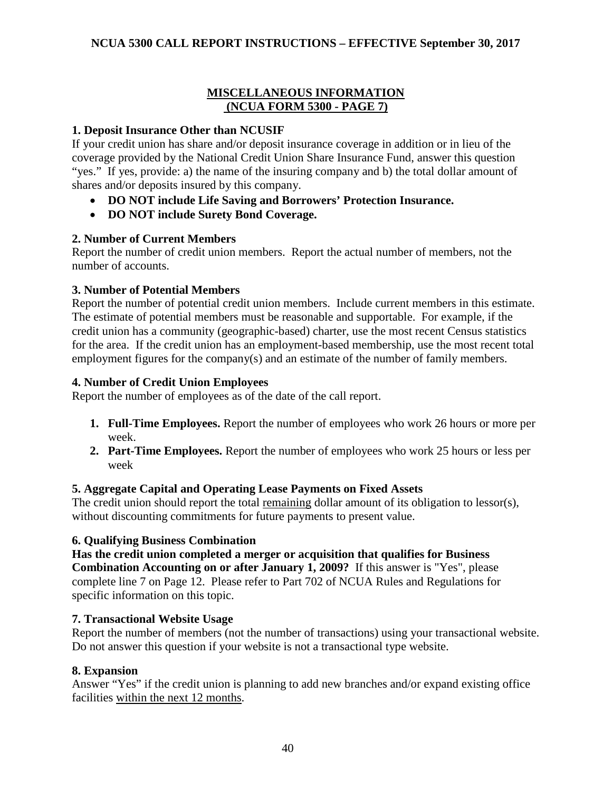# **MISCELLANEOUS INFORMATION (NCUA FORM 5300 - PAGE 7)**

# **1. Deposit Insurance Other than NCUSIF**

If your credit union has share and/or deposit insurance coverage in addition or in lieu of the coverage provided by the National Credit Union Share Insurance Fund, answer this question "yes." If yes, provide: a) the name of the insuring company and b) the total dollar amount of shares and/or deposits insured by this company.

- **DO NOT include Life Saving and Borrowers' Protection Insurance.**
- **DO NOT include Surety Bond Coverage.**

# **2. Number of Current Members**

Report the number of credit union members. Report the actual number of members, not the number of accounts.

# **3. Number of Potential Members**

Report the number of potential credit union members. Include current members in this estimate. The estimate of potential members must be reasonable and supportable. For example, if the credit union has a community (geographic-based) charter, use the most recent Census statistics for the area. If the credit union has an employment-based membership, use the most recent total employment figures for the company(s) and an estimate of the number of family members.

#### **4. Number of Credit Union Employees**

Report the number of employees as of the date of the call report.

- **1. Full-Time Employees.** Report the number of employees who work 26 hours or more per week.
- **2. Part-Time Employees.** Report the number of employees who work 25 hours or less per week

# **5. Aggregate Capital and Operating Lease Payments on Fixed Assets**

The credit union should report the total remaining dollar amount of its obligation to lessor(s), without discounting commitments for future payments to present value.

# **6. Qualifying Business Combination**

**Has the credit union completed a merger or acquisition that qualifies for Business Combination Accounting on or after January 1, 2009?** If this answer is "Yes", please complete line 7 on Page 12. Please refer to Part 702 of NCUA Rules and Regulations for specific information on this topic.

# **7. Transactional Website Usage**

Report the number of members (not the number of transactions) using your transactional website. Do not answer this question if your website is not a transactional type website.

# **8. Expansion**

Answer "Yes" if the credit union is planning to add new branches and/or expand existing office facilities within the next 12 months.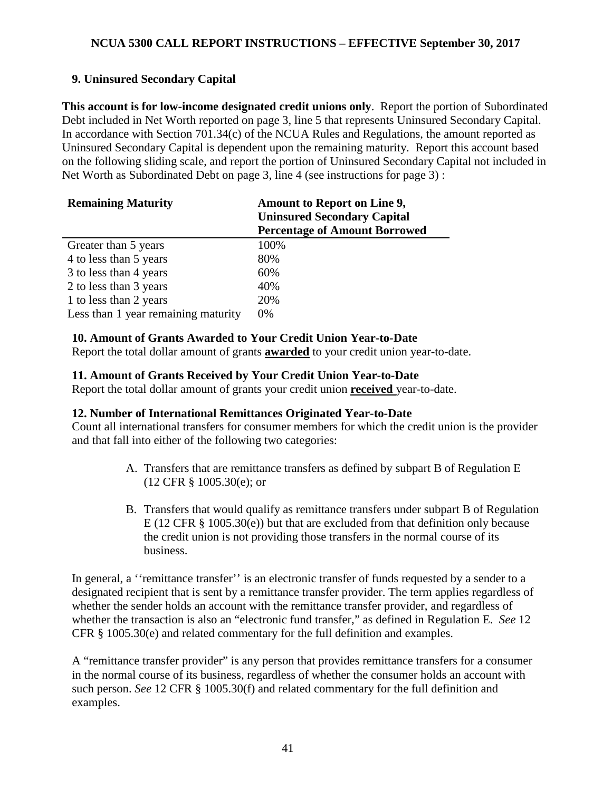# **9. Uninsured Secondary Capital**

**This account is for low-income designated credit unions only**. Report the portion of Subordinated Debt included in Net Worth reported on page 3, line 5 that represents Uninsured Secondary Capital. In accordance with Section 701.34(c) of the NCUA Rules and Regulations, the amount reported as Uninsured Secondary Capital is dependent upon the remaining maturity. Report this account based on the following sliding scale, and report the portion of Uninsured Secondary Capital not included in Net Worth as Subordinated Debt on page 3, line 4 (see instructions for page 3) :

| <b>Remaining Maturity</b>           | <b>Amount to Report on Line 9,</b><br><b>Uninsured Secondary Capital</b> |
|-------------------------------------|--------------------------------------------------------------------------|
|                                     | <b>Percentage of Amount Borrowed</b>                                     |
| Greater than 5 years                | 100%                                                                     |
| 4 to less than 5 years              | 80%                                                                      |
| 3 to less than 4 years              | 60%                                                                      |
| 2 to less than 3 years              | 40%                                                                      |
| 1 to less than 2 years              | 20%                                                                      |
| Less than 1 year remaining maturity | $0\%$                                                                    |

# **10. Amount of Grants Awarded to Your Credit Union Year-to-Date**

Report the total dollar amount of grants **awarded** to your credit union year-to-date.

# **11. Amount of Grants Received by Your Credit Union Year-to-Date**

Report the total dollar amount of grants your credit union **received** year-to-date.

# **12. Number of International Remittances Originated Year-to-Date**

Count all international transfers for consumer members for which the credit union is the provider and that fall into either of the following two categories:

- A. Transfers that are remittance transfers as defined by subpart B of Regulation E (12 CFR § 1005.30(e); or
- B. Transfers that would qualify as remittance transfers under subpart B of Regulation E (12 CFR § 1005.30(e)) but that are excluded from that definition only because the credit union is not providing those transfers in the normal course of its business.

In general, a ''remittance transfer'' is an electronic transfer of funds requested by a sender to a designated recipient that is sent by a remittance transfer provider. The term applies regardless of whether the sender holds an account with the remittance transfer provider, and regardless of whether the transaction is also an "electronic fund transfer," as defined in Regulation E. *See* 12 CFR § 1005.30(e) and related commentary for the full definition and examples.

A "remittance transfer provider" is any person that provides remittance transfers for a consumer in the normal course of its business, regardless of whether the consumer holds an account with such person. *See* 12 CFR § 1005.30(f) and related commentary for the full definition and examples.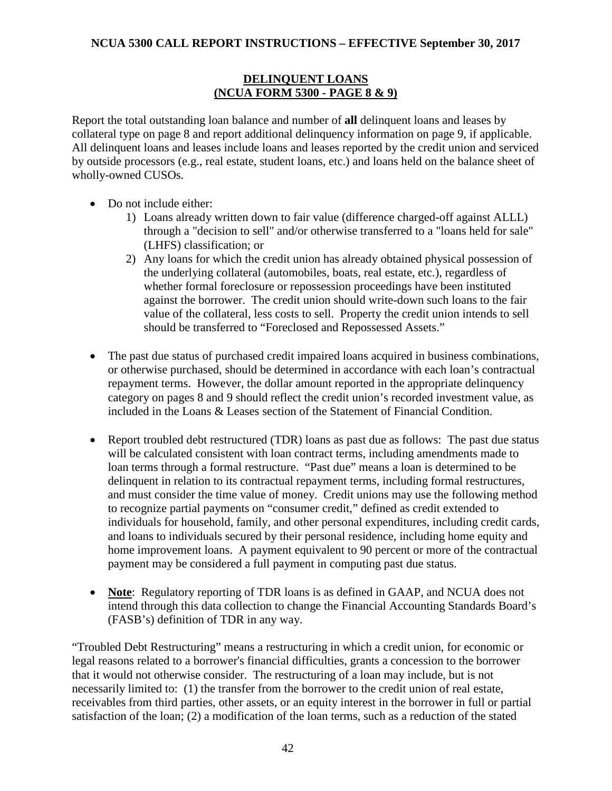#### **DELINQUENT LOANS (NCUA FORM 5300 - PAGE 8 & 9)**

Report the total outstanding loan balance and number of **all** delinquent loans and leases by collateral type on page 8 and report additional delinquency information on page 9, if applicable. All delinquent loans and leases include loans and leases reported by the credit union and serviced by outside processors (e.g., real estate, student loans, etc.) and loans held on the balance sheet of wholly-owned CUSOs.

- Do not include either:
	- 1) Loans already written down to fair value (difference charged-off against ALLL) through a "decision to sell" and/or otherwise transferred to a "loans held for sale" (LHFS) classification; or
	- 2) Any loans for which the credit union has already obtained physical possession of the underlying collateral (automobiles, boats, real estate, etc.), regardless of whether formal foreclosure or repossession proceedings have been instituted against the borrower. The credit union should write-down such loans to the fair value of the collateral, less costs to sell. Property the credit union intends to sell should be transferred to "Foreclosed and Repossessed Assets."
- The past due status of purchased credit impaired loans acquired in business combinations, or otherwise purchased, should be determined in accordance with each loan's contractual repayment terms. However, the dollar amount reported in the appropriate delinquency category on pages 8 and 9 should reflect the credit union's recorded investment value, as included in the Loans & Leases section of the Statement of Financial Condition.
- Report troubled debt restructured (TDR) loans as past due as follows: The past due status will be calculated consistent with loan contract terms, including amendments made to loan terms through a formal restructure. "Past due" means a loan is determined to be delinquent in relation to its contractual repayment terms, including formal restructures, and must consider the time value of money. Credit unions may use the following method to recognize partial payments on "consumer credit," defined as credit extended to individuals for household, family, and other personal expenditures, including credit cards, and loans to individuals secured by their personal residence, including home equity and home improvement loans. A payment equivalent to 90 percent or more of the contractual payment may be considered a full payment in computing past due status.
- **Note**: Regulatory reporting of TDR loans is as defined in GAAP, and NCUA does not intend through this data collection to change the Financial Accounting Standards Board's (FASB's) definition of TDR in any way.

"Troubled Debt Restructuring" means a restructuring in which a credit union, for economic or legal reasons related to a borrower's financial difficulties, grants a concession to the borrower that it would not otherwise consider. The restructuring of a loan may include, but is not necessarily limited to: (1) the transfer from the borrower to the credit union of real estate, receivables from third parties, other assets, or an equity interest in the borrower in full or partial satisfaction of the loan; (2) a modification of the loan terms, such as a reduction of the stated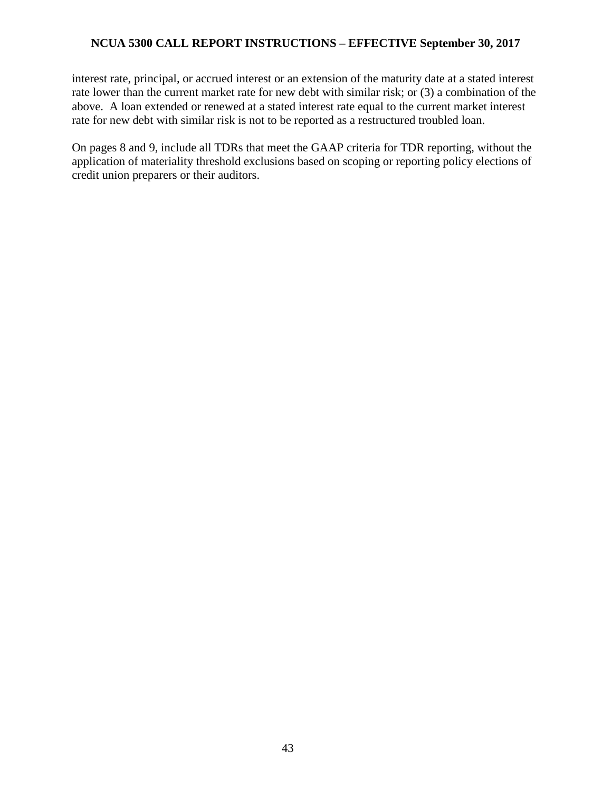interest rate, principal, or accrued interest or an extension of the maturity date at a stated interest rate lower than the current market rate for new debt with similar risk; or (3) a combination of the above. A loan extended or renewed at a stated interest rate equal to the current market interest rate for new debt with similar risk is not to be reported as a restructured troubled loan.

On pages 8 and 9, include all TDRs that meet the GAAP criteria for TDR reporting, without the application of materiality threshold exclusions based on scoping or reporting policy elections of credit union preparers or their auditors.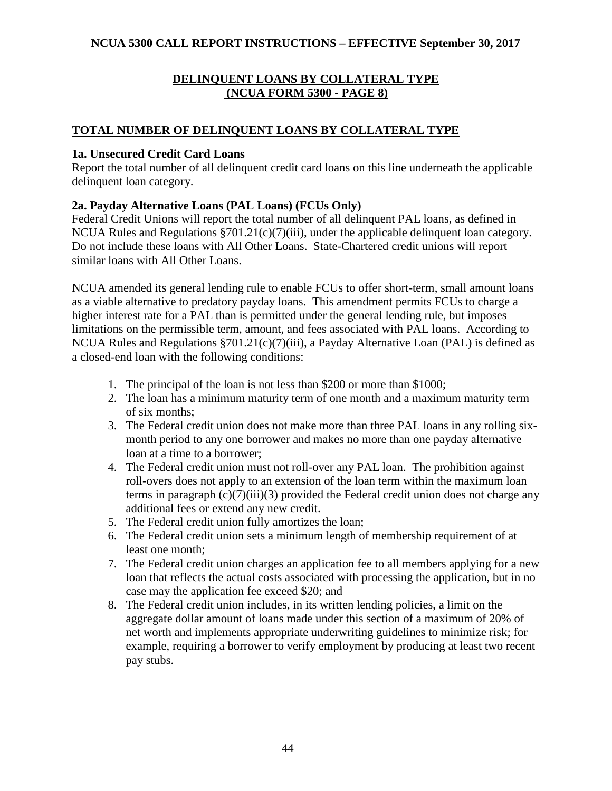# **DELINQUENT LOANS BY COLLATERAL TYPE (NCUA FORM 5300 - PAGE 8)**

# **TOTAL NUMBER OF DELINQUENT LOANS BY COLLATERAL TYPE**

### **1a. Unsecured Credit Card Loans**

Report the total number of all delinquent credit card loans on this line underneath the applicable delinquent loan category.

# **2a. Payday Alternative Loans (PAL Loans) (FCUs Only)**

Federal Credit Unions will report the total number of all delinquent PAL loans, as defined in NCUA Rules and Regulations §701.21(c)(7)(iii), under the applicable delinquent loan category. Do not include these loans with All Other Loans. State-Chartered credit unions will report similar loans with All Other Loans.

NCUA amended its general lending rule to enable FCUs to offer short-term, small amount loans as a viable alternative to predatory payday loans. This amendment permits FCUs to charge a higher interest rate for a PAL than is permitted under the general lending rule, but imposes limitations on the permissible term, amount, and fees associated with PAL loans. According to NCUA Rules and Regulations §701.21(c)(7)(iii), a Payday Alternative Loan (PAL) is defined as a closed-end loan with the following conditions:

- 1. The principal of the loan is not less than \$200 or more than \$1000;
- 2. The loan has a minimum maturity term of one month and a maximum maturity term of six months;
- 3. The Federal credit union does not make more than three PAL loans in any rolling sixmonth period to any one borrower and makes no more than one payday alternative loan at a time to a borrower;
- 4. The Federal credit union must not roll-over any PAL loan. The prohibition against roll-overs does not apply to an extension of the loan term within the maximum loan terms in paragraph  $(c)(7)(iii)(3)$  provided the Federal credit union does not charge any additional fees or extend any new credit.
- 5. The Federal credit union fully amortizes the loan;
- 6. The Federal credit union sets a minimum length of membership requirement of at least one month;
- 7. The Federal credit union charges an application fee to all members applying for a new loan that reflects the actual costs associated with processing the application, but in no case may the application fee exceed \$20; and
- 8. The Federal credit union includes, in its written lending policies, a limit on the aggregate dollar amount of loans made under this section of a maximum of 20% of net worth and implements appropriate underwriting guidelines to minimize risk; for example, requiring a borrower to verify employment by producing at least two recent pay stubs.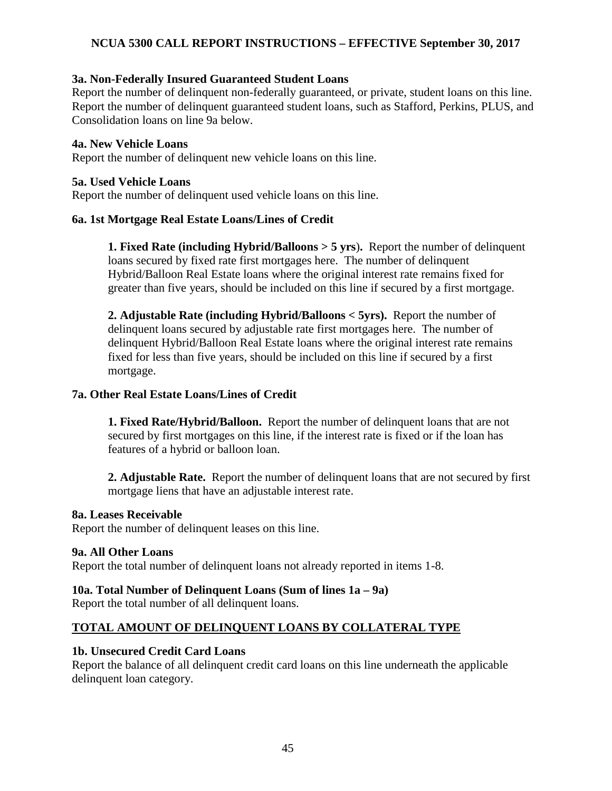#### **3a. Non-Federally Insured Guaranteed Student Loans**

Report the number of delinquent non-federally guaranteed, or private, student loans on this line. Report the number of delinquent guaranteed student loans, such as Stafford, Perkins, PLUS, and Consolidation loans on line 9a below.

#### **4a. New Vehicle Loans**

Report the number of delinquent new vehicle loans on this line.

#### **5a. Used Vehicle Loans**

Report the number of delinquent used vehicle loans on this line.

### **6a. 1st Mortgage Real Estate Loans/Lines of Credit**

**1. Fixed Rate (including Hybrid/Balloons > 5 yrs**)**.** Report the number of delinquent loans secured by fixed rate first mortgages here. The number of delinquent Hybrid/Balloon Real Estate loans where the original interest rate remains fixed for greater than five years, should be included on this line if secured by a first mortgage.

**2. Adjustable Rate (including Hybrid/Balloons < 5yrs).** Report the number of delinquent loans secured by adjustable rate first mortgages here. The number of delinquent Hybrid/Balloon Real Estate loans where the original interest rate remains fixed for less than five years, should be included on this line if secured by a first mortgage.

#### **7a. Other Real Estate Loans/Lines of Credit**

**1. Fixed Rate/Hybrid/Balloon.** Report the number of delinquent loans that are not secured by first mortgages on this line, if the interest rate is fixed or if the loan has features of a hybrid or balloon loan.

**2. Adjustable Rate.** Report the number of delinquent loans that are not secured by first mortgage liens that have an adjustable interest rate.

#### **8a. Leases Receivable**

Report the number of delinquent leases on this line.

#### **9a. All Other Loans**

Report the total number of delinquent loans not already reported in items 1-8.

#### **10a. Total Number of Delinquent Loans (Sum of lines 1a – 9a)**

Report the total number of all delinquent loans.

# **TOTAL AMOUNT OF DELINQUENT LOANS BY COLLATERAL TYPE**

#### **1b. Unsecured Credit Card Loans**

Report the balance of all delinquent credit card loans on this line underneath the applicable delinquent loan category.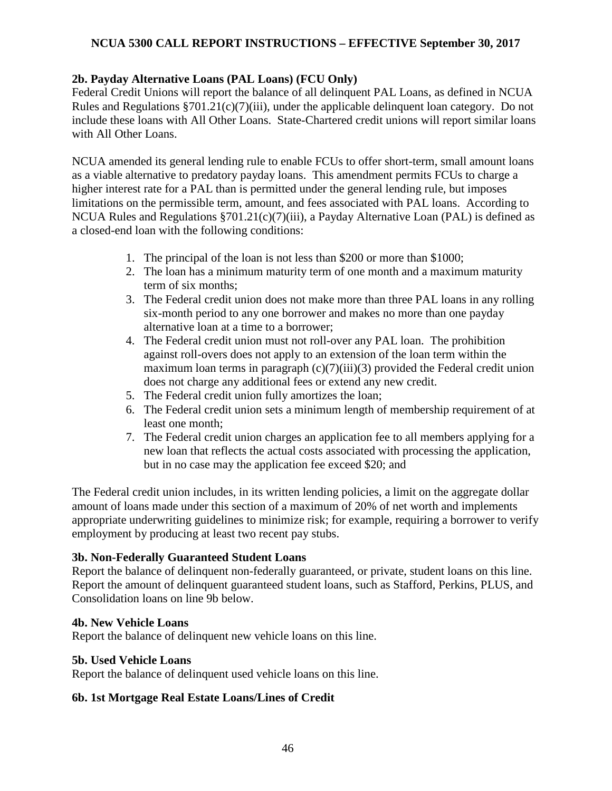### **2b. Payday Alternative Loans (PAL Loans) (FCU Only)**

Federal Credit Unions will report the balance of all delinquent PAL Loans, as defined in NCUA Rules and Regulations §701.21(c)(7)(iii), under the applicable delinquent loan category. Do not include these loans with All Other Loans. State-Chartered credit unions will report similar loans with All Other Loans.

NCUA amended its general lending rule to enable FCUs to offer short-term, small amount loans as a viable alternative to predatory payday loans. This amendment permits FCUs to charge a higher interest rate for a PAL than is permitted under the general lending rule, but imposes limitations on the permissible term, amount, and fees associated with PAL loans. According to NCUA Rules and Regulations §701.21(c)(7)(iii), a Payday Alternative Loan (PAL) is defined as a closed-end loan with the following conditions:

- 1. The principal of the loan is not less than \$200 or more than \$1000;
- 2. The loan has a minimum maturity term of one month and a maximum maturity term of six months;
- 3. The Federal credit union does not make more than three PAL loans in any rolling six-month period to any one borrower and makes no more than one payday alternative loan at a time to a borrower;
- 4. The Federal credit union must not roll-over any PAL loan. The prohibition against roll-overs does not apply to an extension of the loan term within the maximum loan terms in paragraph  $(c)(7)(iii)(3)$  provided the Federal credit union does not charge any additional fees or extend any new credit.
- 5. The Federal credit union fully amortizes the loan;
- 6. The Federal credit union sets a minimum length of membership requirement of at least one month;
- 7. The Federal credit union charges an application fee to all members applying for a new loan that reflects the actual costs associated with processing the application, but in no case may the application fee exceed \$20; and

The Federal credit union includes, in its written lending policies, a limit on the aggregate dollar amount of loans made under this section of a maximum of 20% of net worth and implements appropriate underwriting guidelines to minimize risk; for example, requiring a borrower to verify employment by producing at least two recent pay stubs.

#### **3b. Non-Federally Guaranteed Student Loans**

Report the balance of delinquent non-federally guaranteed, or private, student loans on this line. Report the amount of delinquent guaranteed student loans, such as Stafford, Perkins, PLUS, and Consolidation loans on line 9b below.

#### **4b. New Vehicle Loans**

Report the balance of delinquent new vehicle loans on this line.

#### **5b. Used Vehicle Loans**

Report the balance of delinquent used vehicle loans on this line.

#### **6b. 1st Mortgage Real Estate Loans/Lines of Credit**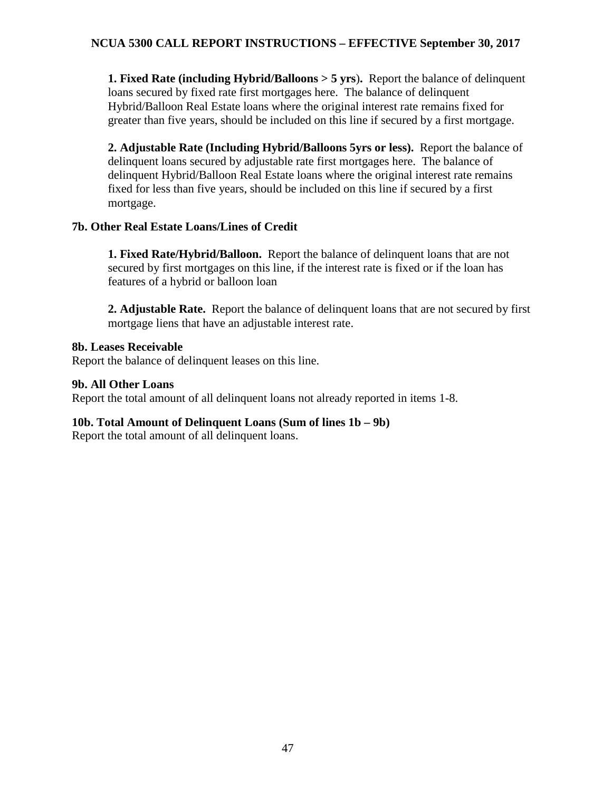**1. Fixed Rate (including Hybrid/Balloons > 5 yrs**)**.** Report the balance of delinquent loans secured by fixed rate first mortgages here. The balance of delinquent Hybrid/Balloon Real Estate loans where the original interest rate remains fixed for greater than five years, should be included on this line if secured by a first mortgage.

**2. Adjustable Rate (Including Hybrid/Balloons 5yrs or less).** Report the balance of delinquent loans secured by adjustable rate first mortgages here. The balance of delinquent Hybrid/Balloon Real Estate loans where the original interest rate remains fixed for less than five years, should be included on this line if secured by a first mortgage.

#### **7b. Other Real Estate Loans/Lines of Credit**

**1. Fixed Rate/Hybrid/Balloon.** Report the balance of delinquent loans that are not secured by first mortgages on this line, if the interest rate is fixed or if the loan has features of a hybrid or balloon loan

**2. Adjustable Rate.** Report the balance of delinquent loans that are not secured by first mortgage liens that have an adjustable interest rate.

#### **8b. Leases Receivable**

Report the balance of delinquent leases on this line.

#### **9b. All Other Loans**

Report the total amount of all delinquent loans not already reported in items 1-8.

# **10b. Total Amount of Delinquent Loans (Sum of lines 1b – 9b)**

Report the total amount of all delinquent loans.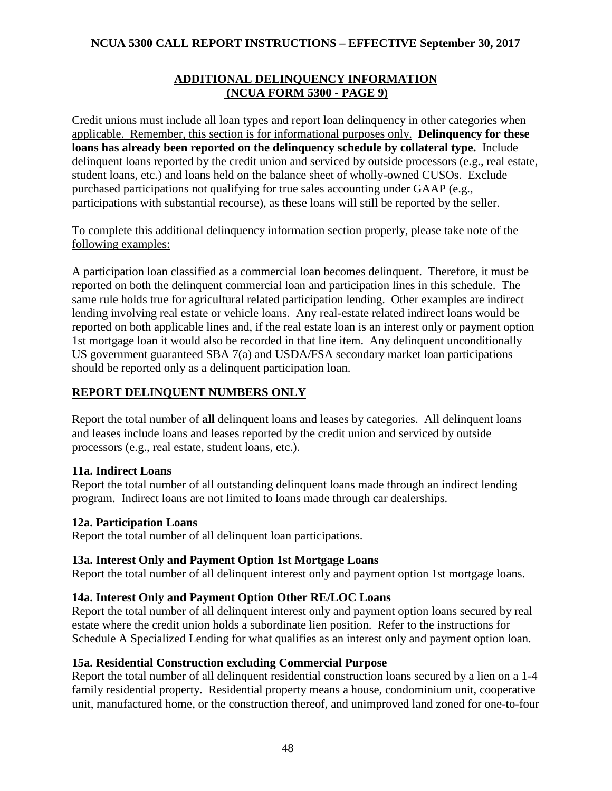## **ADDITIONAL DELINQUENCY INFORMATION (NCUA FORM 5300 - PAGE 9)**

Credit unions must include all loan types and report loan delinquency in other categories when applicable. Remember, this section is for informational purposes only. **Delinquency for these loans has already been reported on the delinquency schedule by collateral type.** Include delinquent loans reported by the credit union and serviced by outside processors (e.g., real estate, student loans, etc.) and loans held on the balance sheet of wholly-owned CUSOs. Exclude purchased participations not qualifying for true sales accounting under GAAP (e.g., participations with substantial recourse), as these loans will still be reported by the seller.

### To complete this additional delinquency information section properly, please take note of the following examples:

A participation loan classified as a commercial loan becomes delinquent. Therefore, it must be reported on both the delinquent commercial loan and participation lines in this schedule. The same rule holds true for agricultural related participation lending. Other examples are indirect lending involving real estate or vehicle loans. Any real-estate related indirect loans would be reported on both applicable lines and, if the real estate loan is an interest only or payment option 1st mortgage loan it would also be recorded in that line item. Any delinquent unconditionally US government guaranteed SBA 7(a) and USDA/FSA secondary market loan participations should be reported only as a delinquent participation loan.

# **REPORT DELINQUENT NUMBERS ONLY**

Report the total number of **all** delinquent loans and leases by categories. All delinquent loans and leases include loans and leases reported by the credit union and serviced by outside processors (e.g., real estate, student loans, etc.).

# **11a. Indirect Loans**

Report the total number of all outstanding delinquent loans made through an indirect lending program. Indirect loans are not limited to loans made through car dealerships.

# **12a. Participation Loans**

Report the total number of all delinquent loan participations.

# **13a. Interest Only and Payment Option 1st Mortgage Loans**

Report the total number of all delinquent interest only and payment option 1st mortgage loans.

# **14a. Interest Only and Payment Option Other RE/LOC Loans**

Report the total number of all delinquent interest only and payment option loans secured by real estate where the credit union holds a subordinate lien position. Refer to the instructions for Schedule A Specialized Lending for what qualifies as an interest only and payment option loan.

# **15a. Residential Construction excluding Commercial Purpose**

Report the total number of all delinquent residential construction loans secured by a lien on a 1-4 family residential property. Residential property means a house, condominium unit, cooperative unit, manufactured home, or the construction thereof, and unimproved land zoned for one-to-four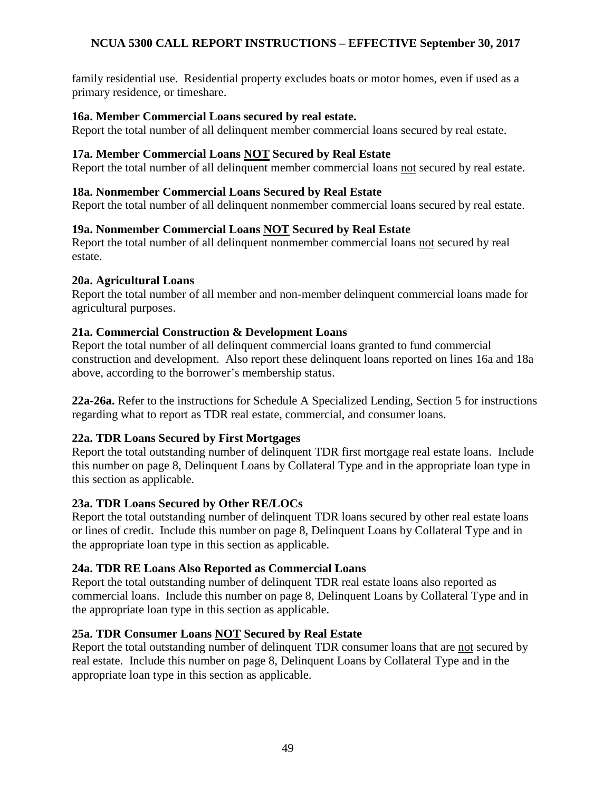family residential use. Residential property excludes boats or motor homes, even if used as a primary residence, or timeshare.

#### **16a. Member Commercial Loans secured by real estate.**

Report the total number of all delinquent member commercial loans secured by real estate.

#### **17a. Member Commercial Loans NOT Secured by Real Estate**

Report the total number of all delinquent member commercial loans not secured by real estate.

#### **18a. Nonmember Commercial Loans Secured by Real Estate**

Report the total number of all delinquent nonmember commercial loans secured by real estate.

#### **19a. Nonmember Commercial Loans NOT Secured by Real Estate**

Report the total number of all delinquent nonmember commercial loans not secured by real estate.

#### **20a. Agricultural Loans**

Report the total number of all member and non-member delinquent commercial loans made for agricultural purposes.

#### **21a. Commercial Construction & Development Loans**

Report the total number of all delinquent commercial loans granted to fund commercial construction and development. Also report these delinquent loans reported on lines 16a and 18a above, according to the borrower's membership status.

**22a-26a.** Refer to the instructions for Schedule A Specialized Lending, Section 5 for instructions regarding what to report as TDR real estate, commercial, and consumer loans.

#### **22a. TDR Loans Secured by First Mortgages**

Report the total outstanding number of delinquent TDR first mortgage real estate loans. Include this number on page 8, Delinquent Loans by Collateral Type and in the appropriate loan type in this section as applicable.

#### **23a. TDR Loans Secured by Other RE/LOCs**

Report the total outstanding number of delinquent TDR loans secured by other real estate loans or lines of credit. Include this number on page 8, Delinquent Loans by Collateral Type and in the appropriate loan type in this section as applicable.

#### **24a. TDR RE Loans Also Reported as Commercial Loans**

Report the total outstanding number of delinquent TDR real estate loans also reported as commercial loans. Include this number on page 8, Delinquent Loans by Collateral Type and in the appropriate loan type in this section as applicable.

#### **25a. TDR Consumer Loans NOT Secured by Real Estate**

Report the total outstanding number of delinquent TDR consumer loans that are not secured by real estate. Include this number on page 8, Delinquent Loans by Collateral Type and in the appropriate loan type in this section as applicable.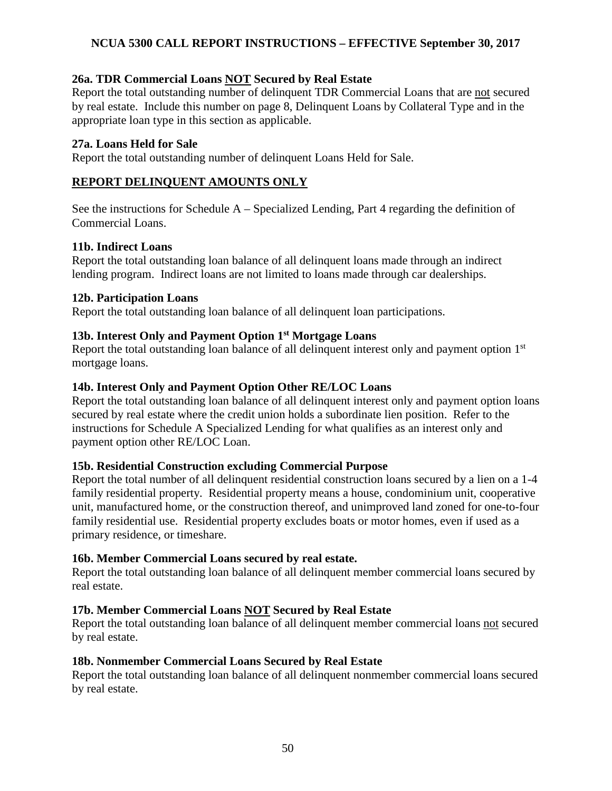### **26a. TDR Commercial Loans NOT Secured by Real Estate**

Report the total outstanding number of delinquent TDR Commercial Loans that are not secured by real estate. Include this number on page 8, Delinquent Loans by Collateral Type and in the appropriate loan type in this section as applicable.

#### **27a. Loans Held for Sale**

Report the total outstanding number of delinquent Loans Held for Sale.

### **REPORT DELINQUENT AMOUNTS ONLY**

See the instructions for Schedule A – Specialized Lending, Part 4 regarding the definition of Commercial Loans.

#### **11b. Indirect Loans**

Report the total outstanding loan balance of all delinquent loans made through an indirect lending program.Indirect loans are not limited to loans made through car dealerships.

#### **12b. Participation Loans**

Report the total outstanding loan balance of all delinquent loan participations.

# **13b. Interest Only and Payment Option 1st Mortgage Loans**

Report the total outstanding loan balance of all delinquent interest only and payment option 1<sup>st</sup> mortgage loans.

# **14b. Interest Only and Payment Option Other RE/LOC Loans**

Report the total outstanding loan balance of all delinquent interest only and payment option loans secured by real estate where the credit union holds a subordinate lien position. Refer to the instructions for Schedule A Specialized Lending for what qualifies as an interest only and payment option other RE/LOC Loan.

# **15b. Residential Construction excluding Commercial Purpose**

Report the total number of all delinquent residential construction loans secured by a lien on a 1-4 family residential property. Residential property means a house, condominium unit, cooperative unit, manufactured home, or the construction thereof, and unimproved land zoned for one-to-four family residential use. Residential property excludes boats or motor homes, even if used as a primary residence, or timeshare.

#### **16b. Member Commercial Loans secured by real estate.**

Report the total outstanding loan balance of all delinquent member commercial loans secured by real estate.

# **17b. Member Commercial Loans NOT Secured by Real Estate**

Report the total outstanding loan balance of all delinquent member commercial loans not secured by real estate.

#### **18b. Nonmember Commercial Loans Secured by Real Estate**

Report the total outstanding loan balance of all delinquent nonmember commercial loans secured by real estate.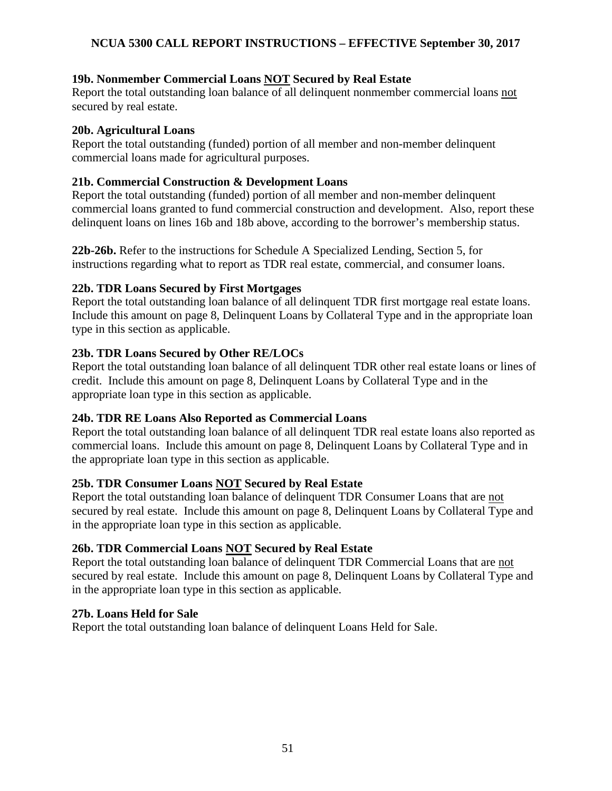# **19b. Nonmember Commercial Loans NOT Secured by Real Estate**

Report the total outstanding loan balance of all delinquent nonmember commercial loans not secured by real estate.

### **20b. Agricultural Loans**

Report the total outstanding (funded) portion of all member and non-member delinquent commercial loans made for agricultural purposes.

# **21b. Commercial Construction & Development Loans**

Report the total outstanding (funded) portion of all member and non-member delinquent commercial loans granted to fund commercial construction and development. Also, report these delinquent loans on lines 16b and 18b above, according to the borrower's membership status.

**22b-26b.** Refer to the instructions for Schedule A Specialized Lending, Section 5, for instructions regarding what to report as TDR real estate, commercial, and consumer loans.

# **22b. TDR Loans Secured by First Mortgages**

Report the total outstanding loan balance of all delinquent TDR first mortgage real estate loans. Include this amount on page 8, Delinquent Loans by Collateral Type and in the appropriate loan type in this section as applicable.

# **23b. TDR Loans Secured by Other RE/LOCs**

Report the total outstanding loan balance of all delinquent TDR other real estate loans or lines of credit. Include this amount on page 8, Delinquent Loans by Collateral Type and in the appropriate loan type in this section as applicable.

# **24b. TDR RE Loans Also Reported as Commercial Loans**

Report the total outstanding loan balance of all delinquent TDR real estate loans also reported as commercial loans. Include this amount on page 8, Delinquent Loans by Collateral Type and in the appropriate loan type in this section as applicable.

# **25b. TDR Consumer Loans NOT Secured by Real Estate**

Report the total outstanding loan balance of delinquent TDR Consumer Loans that are not secured by real estate. Include this amount on page 8, Delinquent Loans by Collateral Type and in the appropriate loan type in this section as applicable.

# **26b. TDR Commercial Loans NOT Secured by Real Estate**

Report the total outstanding loan balance of delinquent TDR Commercial Loans that are not secured by real estate. Include this amount on page 8, Delinquent Loans by Collateral Type and in the appropriate loan type in this section as applicable.

# **27b. Loans Held for Sale**

Report the total outstanding loan balance of delinquent Loans Held for Sale.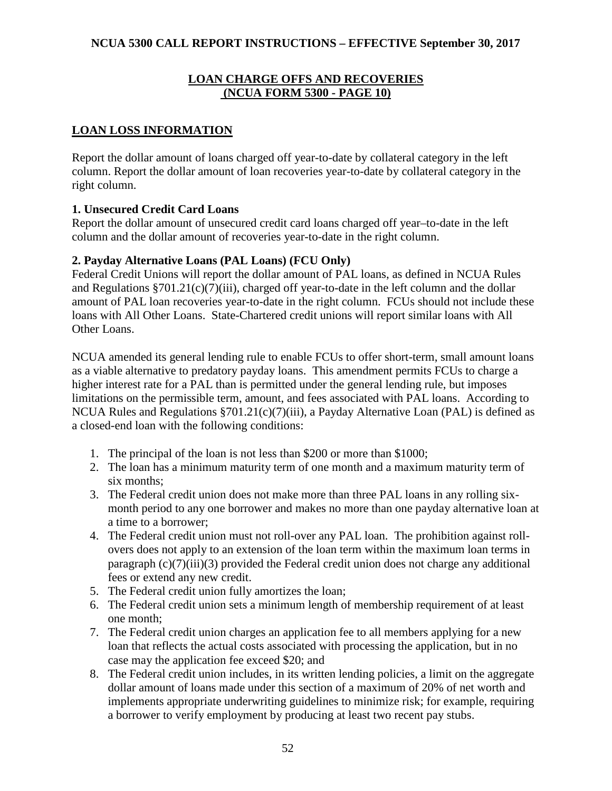#### **LOAN CHARGE OFFS AND RECOVERIES (NCUA FORM 5300 - PAGE 10)**

# **LOAN LOSS INFORMATION**

Report the dollar amount of loans charged off year-to-date by collateral category in the left column. Report the dollar amount of loan recoveries year-to-date by collateral category in the right column.

# **1. Unsecured Credit Card Loans**

Report the dollar amount of unsecured credit card loans charged off year–to-date in the left column and the dollar amount of recoveries year-to-date in the right column.

#### **2. Payday Alternative Loans (PAL Loans) (FCU Only)**

Federal Credit Unions will report the dollar amount of PAL loans, as defined in NCUA Rules and Regulations §701.21(c)(7)(iii), charged off year-to-date in the left column and the dollar amount of PAL loan recoveries year-to-date in the right column. FCUs should not include these loans with All Other Loans. State-Chartered credit unions will report similar loans with All Other Loans.

NCUA amended its general lending rule to enable FCUs to offer short-term, small amount loans as a viable alternative to predatory payday loans. This amendment permits FCUs to charge a higher interest rate for a PAL than is permitted under the general lending rule, but imposes limitations on the permissible term, amount, and fees associated with PAL loans. According to NCUA Rules and Regulations §701.21(c)(7)(iii), a Payday Alternative Loan (PAL) is defined as a closed-end loan with the following conditions:

- 1. The principal of the loan is not less than \$200 or more than \$1000;
- 2. The loan has a minimum maturity term of one month and a maximum maturity term of six months;
- 3. The Federal credit union does not make more than three PAL loans in any rolling sixmonth period to any one borrower and makes no more than one payday alternative loan at a time to a borrower;
- 4. The Federal credit union must not roll-over any PAL loan. The prohibition against rollovers does not apply to an extension of the loan term within the maximum loan terms in paragraph (c)(7)(iii)(3) provided the Federal credit union does not charge any additional fees or extend any new credit.
- 5. The Federal credit union fully amortizes the loan;
- 6. The Federal credit union sets a minimum length of membership requirement of at least one month;
- 7. The Federal credit union charges an application fee to all members applying for a new loan that reflects the actual costs associated with processing the application, but in no case may the application fee exceed \$20; and
- 8. The Federal credit union includes, in its written lending policies, a limit on the aggregate dollar amount of loans made under this section of a maximum of 20% of net worth and implements appropriate underwriting guidelines to minimize risk; for example, requiring a borrower to verify employment by producing at least two recent pay stubs.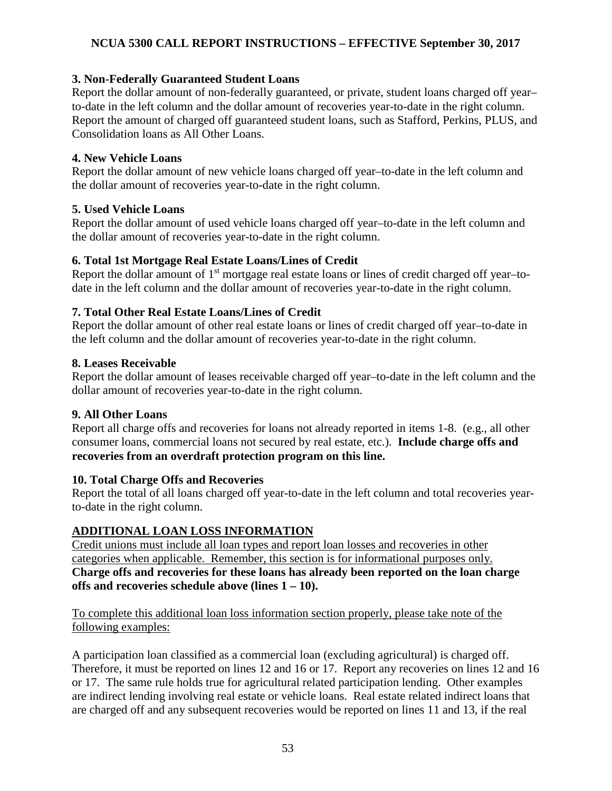### **3. Non-Federally Guaranteed Student Loans**

Report the dollar amount of non-federally guaranteed, or private, student loans charged off year– to-date in the left column and the dollar amount of recoveries year-to-date in the right column. Report the amount of charged off guaranteed student loans, such as Stafford, Perkins, PLUS, and Consolidation loans as All Other Loans.

### **4. New Vehicle Loans**

Report the dollar amount of new vehicle loans charged off year–to-date in the left column and the dollar amount of recoveries year-to-date in the right column.

#### **5. Used Vehicle Loans**

Report the dollar amount of used vehicle loans charged off year–to-date in the left column and the dollar amount of recoveries year-to-date in the right column.

#### **6. Total 1st Mortgage Real Estate Loans/Lines of Credit**

Report the dollar amount of 1<sup>st</sup> mortgage real estate loans or lines of credit charged off year-todate in the left column and the dollar amount of recoveries year-to-date in the right column.

#### **7. Total Other Real Estate Loans/Lines of Credit**

Report the dollar amount of other real estate loans or lines of credit charged off year–to-date in the left column and the dollar amount of recoveries year-to-date in the right column.

#### **8. Leases Receivable**

Report the dollar amount of leases receivable charged off year–to-date in the left column and the dollar amount of recoveries year-to-date in the right column.

# **9. All Other Loans**

Report all charge offs and recoveries for loans not already reported in items 1-8. (e.g., all other consumer loans, commercial loans not secured by real estate, etc.). **Include charge offs and recoveries from an overdraft protection program on this line.** 

# **10. Total Charge Offs and Recoveries**

Report the total of all loans charged off year-to-date in the left column and total recoveries yearto-date in the right column.

# **ADDITIONAL LOAN LOSS INFORMATION**

Credit unions must include all loan types and report loan losses and recoveries in other categories when applicable. Remember, this section is for informational purposes only. **Charge offs and recoveries for these loans has already been reported on the loan charge offs and recoveries schedule above (lines 1 – 10).** 

To complete this additional loan loss information section properly, please take note of the following examples:

A participation loan classified as a commercial loan (excluding agricultural) is charged off. Therefore, it must be reported on lines 12 and 16 or 17. Report any recoveries on lines 12 and 16 or 17. The same rule holds true for agricultural related participation lending. Other examples are indirect lending involving real estate or vehicle loans. Real estate related indirect loans that are charged off and any subsequent recoveries would be reported on lines 11 and 13, if the real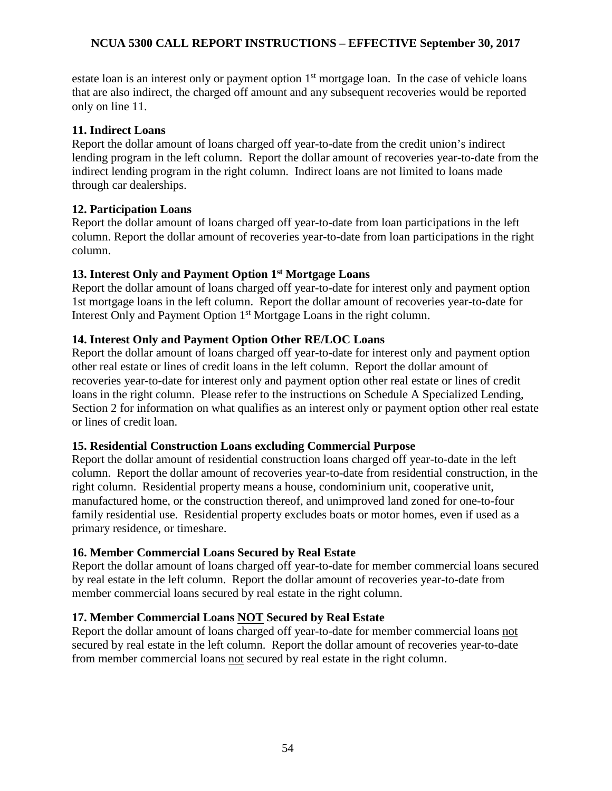estate loan is an interest only or payment option  $1<sup>st</sup>$  mortgage loan. In the case of vehicle loans that are also indirect, the charged off amount and any subsequent recoveries would be reported only on line 11.

#### **11. Indirect Loans**

Report the dollar amount of loans charged off year-to-date from the credit union's indirect lending program in the left column. Report the dollar amount of recoveries year-to-date from the indirect lending program in the right column. Indirect loans are not limited to loans made through car dealerships.

# **12. Participation Loans**

Report the dollar amount of loans charged off year-to-date from loan participations in the left column. Report the dollar amount of recoveries year-to-date from loan participations in the right column.

# **13. Interest Only and Payment Option 1st Mortgage Loans**

Report the dollar amount of loans charged off year-to-date for interest only and payment option 1st mortgage loans in the left column. Report the dollar amount of recoveries year-to-date for Interest Only and Payment Option 1<sup>st</sup> Mortgage Loans in the right column.

# **14. Interest Only and Payment Option Other RE/LOC Loans**

Report the dollar amount of loans charged off year-to-date for interest only and payment option other real estate or lines of credit loans in the left column. Report the dollar amount of recoveries year-to-date for interest only and payment option other real estate or lines of credit loans in the right column. Please refer to the instructions on Schedule A Specialized Lending, Section 2 for information on what qualifies as an interest only or payment option other real estate or lines of credit loan.

# **15. Residential Construction Loans excluding Commercial Purpose**

Report the dollar amount of residential construction loans charged off year-to-date in the left column. Report the dollar amount of recoveries year-to-date from residential construction, in the right column. Residential property means a house, condominium unit, cooperative unit, manufactured home, or the construction thereof, and unimproved land zoned for one-to-four family residential use. Residential property excludes boats or motor homes, even if used as a primary residence, or timeshare.

# **16. Member Commercial Loans Secured by Real Estate**

Report the dollar amount of loans charged off year-to-date for member commercial loans secured by real estate in the left column. Report the dollar amount of recoveries year-to-date from member commercial loans secured by real estate in the right column.

# **17. Member Commercial Loans NOT Secured by Real Estate**

Report the dollar amount of loans charged off year-to-date for member commercial loans not secured by real estate in the left column. Report the dollar amount of recoveries year-to-date from member commercial loans not secured by real estate in the right column.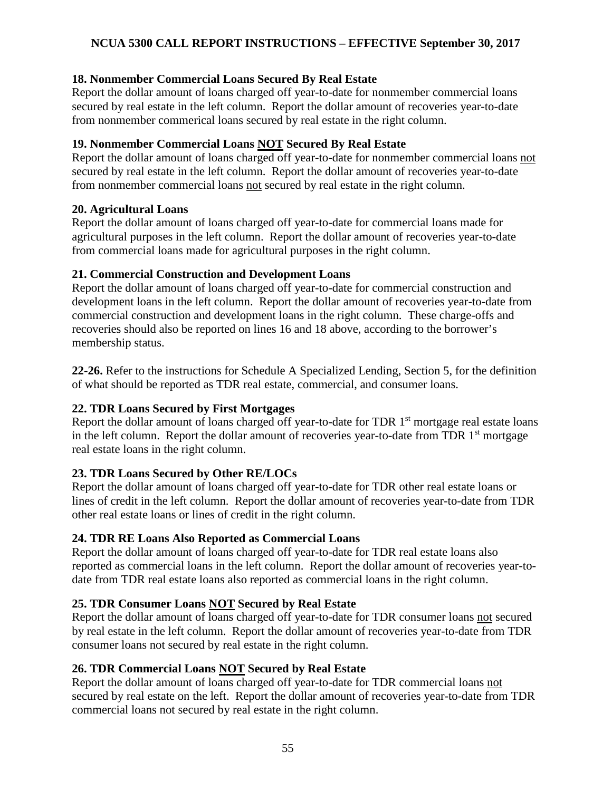### **18. Nonmember Commercial Loans Secured By Real Estate**

Report the dollar amount of loans charged off year-to-date for nonmember commercial loans secured by real estate in the left column. Report the dollar amount of recoveries year-to-date from nonmember commerical loans secured by real estate in the right column.

#### **19. Nonmember Commercial Loans NOT Secured By Real Estate**

Report the dollar amount of loans charged off year-to-date for nonmember commercial loans not secured by real estate in the left column. Report the dollar amount of recoveries year-to-date from nonmember commercial loans not secured by real estate in the right column.

#### **20. Agricultural Loans**

Report the dollar amount of loans charged off year-to-date for commercial loans made for agricultural purposes in the left column. Report the dollar amount of recoveries year-to-date from commercial loans made for agricultural purposes in the right column.

#### **21. Commercial Construction and Development Loans**

Report the dollar amount of loans charged off year-to-date for commercial construction and development loans in the left column. Report the dollar amount of recoveries year-to-date from commercial construction and development loans in the right column. These charge-offs and recoveries should also be reported on lines 16 and 18 above, according to the borrower's membership status.

**22-26.** Refer to the instructions for Schedule A Specialized Lending, Section 5, for the definition of what should be reported as TDR real estate, commercial, and consumer loans.

# **22. TDR Loans Secured by First Mortgages**

Report the dollar amount of loans charged off year-to-date for TDR 1<sup>st</sup> mortgage real estate loans in the left column. Report the dollar amount of recoveries year-to-date from TDR 1<sup>st</sup> mortgage real estate loans in the right column.

# **23. TDR Loans Secured by Other RE/LOCs**

Report the dollar amount of loans charged off year-to-date for TDR other real estate loans or lines of credit in the left column. Report the dollar amount of recoveries year-to-date from TDR other real estate loans or lines of credit in the right column.

# **24. TDR RE Loans Also Reported as Commercial Loans**

Report the dollar amount of loans charged off year-to-date for TDR real estate loans also reported as commercial loans in the left column. Report the dollar amount of recoveries year-todate from TDR real estate loans also reported as commercial loans in the right column.

# **25. TDR Consumer Loans NOT Secured by Real Estate**

Report the dollar amount of loans charged off year-to-date for TDR consumer loans not secured by real estate in the left column. Report the dollar amount of recoveries year-to-date from TDR consumer loans not secured by real estate in the right column.

# **26. TDR Commercial Loans NOT Secured by Real Estate**

Report the dollar amount of loans charged off year-to-date for TDR commercial loans not secured by real estate on the left. Report the dollar amount of recoveries year-to-date from TDR commercial loans not secured by real estate in the right column.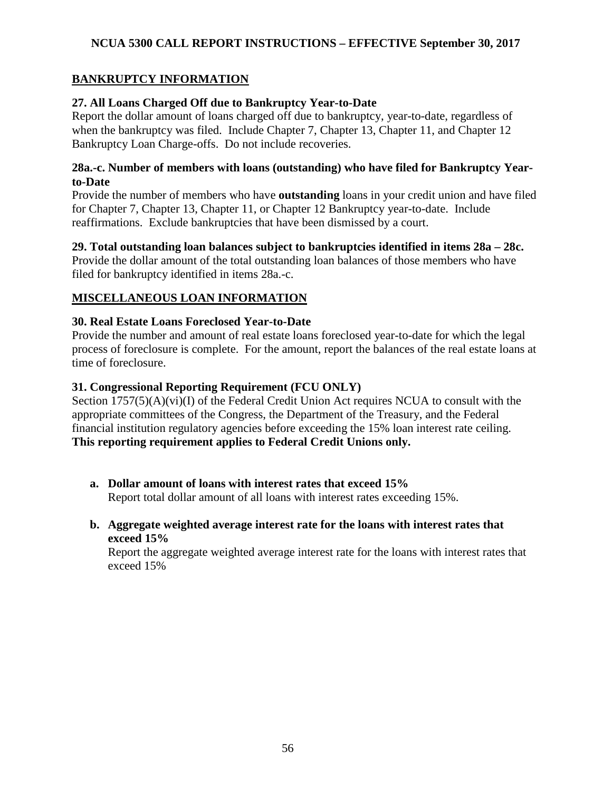# **BANKRUPTCY INFORMATION**

# **27. All Loans Charged Off due to Bankruptcy Year-to-Date**

Report the dollar amount of loans charged off due to bankruptcy, year-to-date, regardless of when the bankruptcy was filed. Include Chapter 7, Chapter 13, Chapter 11, and Chapter 12 Bankruptcy Loan Charge-offs. Do not include recoveries.

### **28a.-c. Number of members with loans (outstanding) who have filed for Bankruptcy Yearto-Date**

Provide the number of members who have **outstanding** loans in your credit union and have filed for Chapter 7, Chapter 13, Chapter 11, or Chapter 12 Bankruptcy year-to-date. Include reaffirmations. Exclude bankruptcies that have been dismissed by a court.

# **29. Total outstanding loan balances subject to bankruptcies identified in items 28a – 28c.**

Provide the dollar amount of the total outstanding loan balances of those members who have filed for bankruptcy identified in items 28a.-c.

# **MISCELLANEOUS LOAN INFORMATION**

#### **30. Real Estate Loans Foreclosed Year-to-Date**

Provide the number and amount of real estate loans foreclosed year-to-date for which the legal process of foreclosure is complete. For the amount, report the balances of the real estate loans at time of foreclosure.

# **31. Congressional Reporting Requirement (FCU ONLY)**

Section  $1757(5)(A)(vi)(I)$  of the Federal Credit Union Act requires NCUA to consult with the appropriate committees of the Congress, the Department of the Treasury, and the Federal financial institution regulatory agencies before exceeding the 15% loan interest rate ceiling. **This reporting requirement applies to Federal Credit Unions only.** 

- **a. Dollar amount of loans with interest rates that exceed 15%**  Report total dollar amount of all loans with interest rates exceeding 15%.
- **b. Aggregate weighted average interest rate for the loans with interest rates that exceed 15%**

Report the aggregate weighted average interest rate for the loans with interest rates that exceed 15%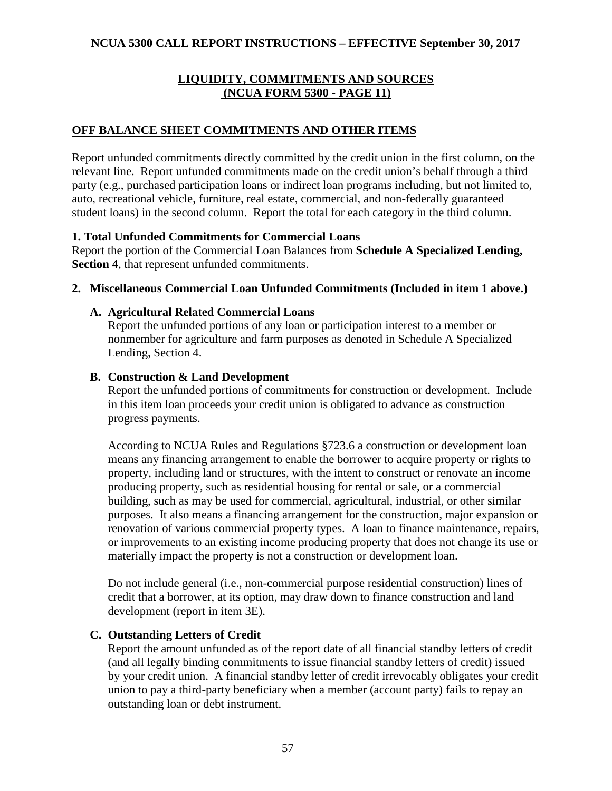### **LIQUIDITY, COMMITMENTS AND SOURCES (NCUA FORM 5300 - PAGE 11)**

### **OFF BALANCE SHEET COMMITMENTS AND OTHER ITEMS**

Report unfunded commitments directly committed by the credit union in the first column, on the relevant line. Report unfunded commitments made on the credit union's behalf through a third party (e.g., purchased participation loans or indirect loan programs including, but not limited to, auto, recreational vehicle, furniture, real estate, commercial, and non-federally guaranteed student loans) in the second column. Report the total for each category in the third column.

#### **1. Total Unfunded Commitments for Commercial Loans**

Report the portion of the Commercial Loan Balances from **Schedule A Specialized Lending, Section 4**, that represent unfunded commitments.

#### **2. Miscellaneous Commercial Loan Unfunded Commitments (Included in item 1 above.)**

#### **A. Agricultural Related Commercial Loans**

Report the unfunded portions of any loan or participation interest to a member or nonmember for agriculture and farm purposes as denoted in Schedule A Specialized Lending, Section 4.

#### **B. Construction & Land Development**

Report the unfunded portions of commitments for construction or development. Include in this item loan proceeds your credit union is obligated to advance as construction progress payments.

According to NCUA Rules and Regulations §723.6 a construction or development loan means any financing arrangement to enable the borrower to acquire property or rights to property, including land or structures, with the intent to construct or renovate an income producing property, such as residential housing for rental or sale, or a commercial building, such as may be used for commercial, agricultural, industrial, or other similar purposes. It also means a financing arrangement for the construction, major expansion or renovation of various commercial property types. A loan to finance maintenance, repairs, or improvements to an existing income producing property that does not change its use or materially impact the property is not a construction or development loan.

Do not include general (i.e., non-commercial purpose residential construction) lines of credit that a borrower, at its option, may draw down to finance construction and land development (report in item 3E).

# **C. Outstanding Letters of Credit**

Report the amount unfunded as of the report date of all financial standby letters of credit (and all legally binding commitments to issue financial standby letters of credit) issued by your credit union. A financial standby letter of credit irrevocably obligates your credit union to pay a third-party beneficiary when a member (account party) fails to repay an outstanding loan or debt instrument.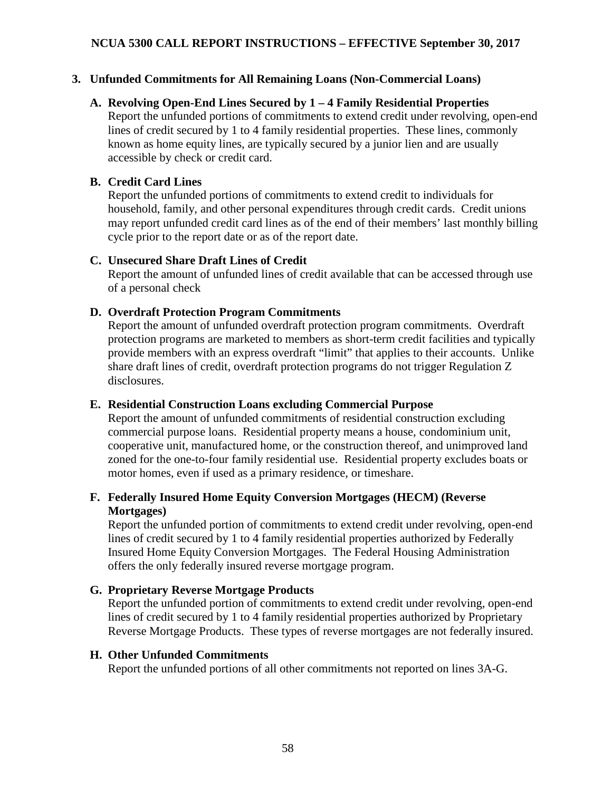## **3. Unfunded Commitments for All Remaining Loans (Non-Commercial Loans)**

#### **A. Revolving Open-End Lines Secured by 1 – 4 Family Residential Properties**

Report the unfunded portions of commitments to extend credit under revolving, open-end lines of credit secured by 1 to 4 family residential properties. These lines, commonly known as home equity lines, are typically secured by a junior lien and are usually accessible by check or credit card.

#### **B. Credit Card Lines**

Report the unfunded portions of commitments to extend credit to individuals for household, family, and other personal expenditures through credit cards. Credit unions may report unfunded credit card lines as of the end of their members' last monthly billing cycle prior to the report date or as of the report date.

#### **C. Unsecured Share Draft Lines of Credit**

Report the amount of unfunded lines of credit available that can be accessed through use of a personal check

#### **D. Overdraft Protection Program Commitments**

Report the amount of unfunded overdraft protection program commitments. Overdraft protection programs are marketed to members as short-term credit facilities and typically provide members with an express overdraft "limit" that applies to their accounts. Unlike share draft lines of credit, overdraft protection programs do not trigger Regulation Z disclosures.

#### **E. Residential Construction Loans excluding Commercial Purpose**

Report the amount of unfunded commitments of residential construction excluding commercial purpose loans. Residential property means a house, condominium unit, cooperative unit, manufactured home, or the construction thereof, and unimproved land zoned for the one-to-four family residential use. Residential property excludes boats or motor homes, even if used as a primary residence, or timeshare.

# **F. Federally Insured Home Equity Conversion Mortgages (HECM) (Reverse Mortgages)**

Report the unfunded portion of commitments to extend credit under revolving, open-end lines of credit secured by 1 to 4 family residential properties authorized by Federally Insured Home Equity Conversion Mortgages. The Federal Housing Administration offers the only federally insured reverse mortgage program.

# **G. Proprietary Reverse Mortgage Products**

Report the unfunded portion of commitments to extend credit under revolving, open-end lines of credit secured by 1 to 4 family residential properties authorized by Proprietary Reverse Mortgage Products. These types of reverse mortgages are not federally insured.

#### **H. Other Unfunded Commitments**

Report the unfunded portions of all other commitments not reported on lines 3A-G.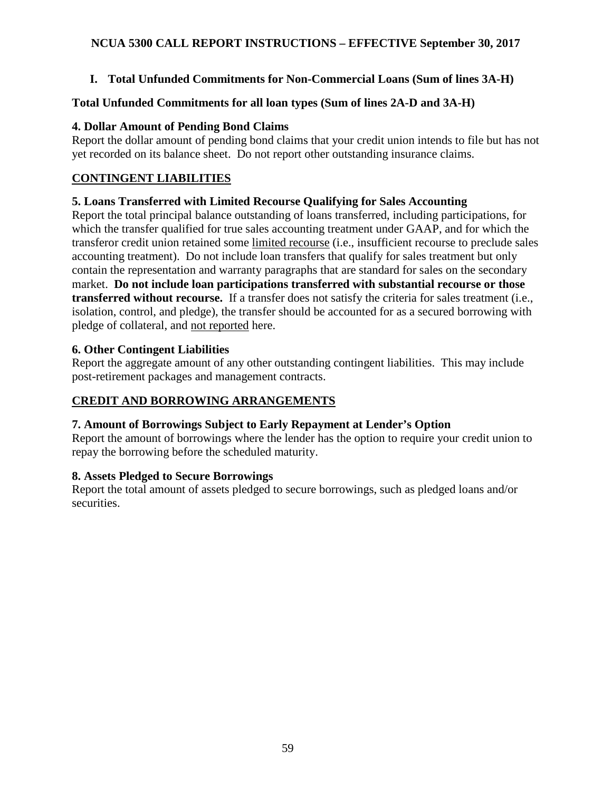# **I. Total Unfunded Commitments for Non-Commercial Loans (Sum of lines 3A-H)**

# **Total Unfunded Commitments for all loan types (Sum of lines 2A-D and 3A-H)**

# **4. Dollar Amount of Pending Bond Claims**

Report the dollar amount of pending bond claims that your credit union intends to file but has not yet recorded on its balance sheet. Do not report other outstanding insurance claims.

# **CONTINGENT LIABILITIES**

# **5. Loans Transferred with Limited Recourse Qualifying for Sales Accounting**

Report the total principal balance outstanding of loans transferred, including participations, for which the transfer qualified for true sales accounting treatment under GAAP, and for which the transferor credit union retained some limited recourse (i.e., insufficient recourse to preclude sales accounting treatment). Do not include loan transfers that qualify for sales treatment but only contain the representation and warranty paragraphs that are standard for sales on the secondary market. **Do not include loan participations transferred with substantial recourse or those transferred without recourse.** If a transfer does not satisfy the criteria for sales treatment (i.e., isolation, control, and pledge), the transfer should be accounted for as a secured borrowing with pledge of collateral, and not reported here.

# **6. Other Contingent Liabilities**

Report the aggregate amount of any other outstanding contingent liabilities. This may include post-retirement packages and management contracts.

# **CREDIT AND BORROWING ARRANGEMENTS**

# **7. Amount of Borrowings Subject to Early Repayment at Lender's Option**

Report the amount of borrowings where the lender has the option to require your credit union to repay the borrowing before the scheduled maturity.

# **8. Assets Pledged to Secure Borrowings**

Report the total amount of assets pledged to secure borrowings, such as pledged loans and/or securities.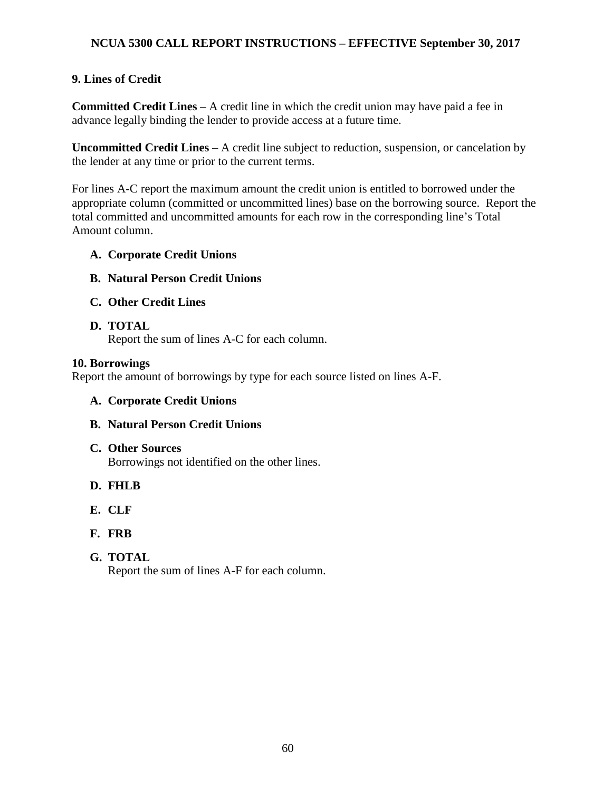# **9. Lines of Credit**

**Committed Credit Lines** – A credit line in which the credit union may have paid a fee in advance legally binding the lender to provide access at a future time.

**Uncommitted Credit Lines** – A credit line subject to reduction, suspension, or cancelation by the lender at any time or prior to the current terms.

For lines A-C report the maximum amount the credit union is entitled to borrowed under the appropriate column (committed or uncommitted lines) base on the borrowing source. Report the total committed and uncommitted amounts for each row in the corresponding line's Total Amount column.

#### **A. Corporate Credit Unions**

- **B. Natural Person Credit Unions**
- **C. Other Credit Lines**

#### **D. TOTAL**

Report the sum of lines A-C for each column.

#### **10. Borrowings**

Report the amount of borrowings by type for each source listed on lines A-F.

- **A. Corporate Credit Unions**
- **B. Natural Person Credit Unions**

# **C. Other Sources**

Borrowings not identified on the other lines.

- **D. FHLB**
- **E. CLF**
- **F. FRB**
- **G. TOTAL**

Report the sum of lines A-F for each column.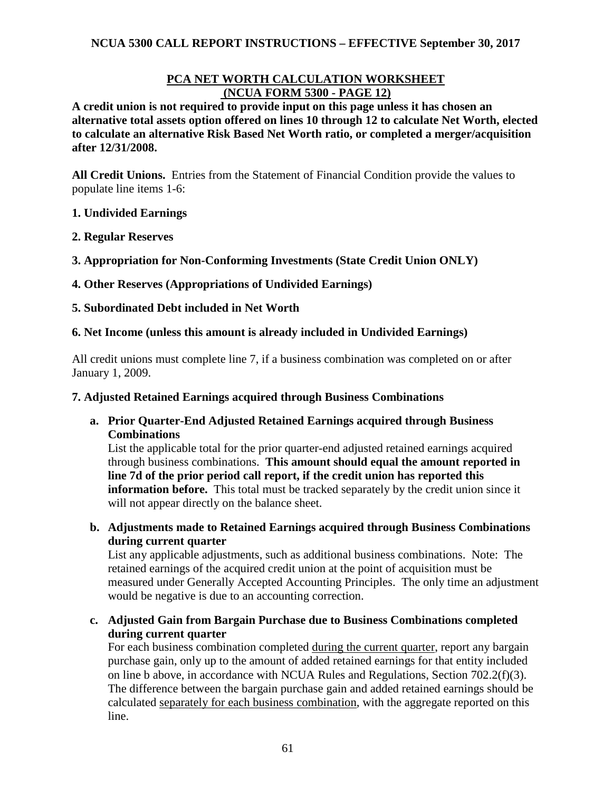### **PCA NET WORTH CALCULATION WORKSHEET (NCUA FORM 5300 - PAGE 12)**

**A credit union is not required to provide input on this page unless it has chosen an alternative total assets option offered on lines 10 through 12 to calculate Net Worth, elected to calculate an alternative Risk Based Net Worth ratio, or completed a merger/acquisition after 12/31/2008.** 

**All Credit Unions.** Entries from the Statement of Financial Condition provide the values to populate line items 1-6:

#### **1. Undivided Earnings**

#### **2. Regular Reserves**

**3. Appropriation for Non-Conforming Investments (State Credit Union ONLY)**

#### **4. Other Reserves (Appropriations of Undivided Earnings)**

#### **5. Subordinated Debt included in Net Worth**

#### **6. Net Income (unless this amount is already included in Undivided Earnings)**

All credit unions must complete line 7, if a business combination was completed on or after January 1, 2009.

#### **7. Adjusted Retained Earnings acquired through Business Combinations**

**a. Prior Quarter-End Adjusted Retained Earnings acquired through Business Combinations** 

List the applicable total for the prior quarter-end adjusted retained earnings acquired through business combinations. **This amount should equal the amount reported in line 7d of the prior period call report, if the credit union has reported this information before.** This total must be tracked separately by the credit union since it will not appear directly on the balance sheet.

**b. Adjustments made to Retained Earnings acquired through Business Combinations during current quarter** 

List any applicable adjustments, such as additional business combinations. Note: The retained earnings of the acquired credit union at the point of acquisition must be measured under Generally Accepted Accounting Principles. The only time an adjustment would be negative is due to an accounting correction.

**c. Adjusted Gain from Bargain Purchase due to Business Combinations completed during current quarter**

For each business combination completed during the current quarter, report any bargain purchase gain, only up to the amount of added retained earnings for that entity included on line b above, in accordance with NCUA Rules and Regulations, Section 702.2(f)(3). The difference between the bargain purchase gain and added retained earnings should be calculated separately for each business combination, with the aggregate reported on this line.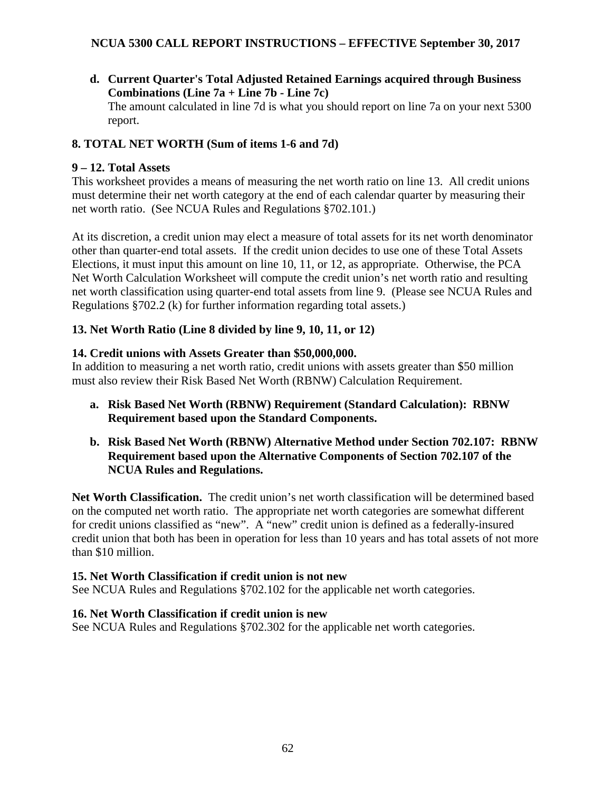**d. Current Quarter's Total Adjusted Retained Earnings acquired through Business Combinations (Line 7a + Line 7b - Line 7c)**  The amount calculated in line 7d is what you should report on line 7a on your next 5300 report.

# **8. TOTAL NET WORTH (Sum of items 1-6 and 7d)**

# **9 – 12. Total Assets**

This worksheet provides a means of measuring the net worth ratio on line 13. All credit unions must determine their net worth category at the end of each calendar quarter by measuring their net worth ratio. (See NCUA Rules and Regulations §702.101.)

At its discretion, a credit union may elect a measure of total assets for its net worth denominator other than quarter-end total assets. If the credit union decides to use one of these Total Assets Elections, it must input this amount on line 10, 11, or 12, as appropriate. Otherwise, the PCA Net Worth Calculation Worksheet will compute the credit union's net worth ratio and resulting net worth classification using quarter-end total assets from line 9. (Please see NCUA Rules and Regulations §702.2 (k) for further information regarding total assets.)

# **13. Net Worth Ratio (Line 8 divided by line 9, 10, 11, or 12)**

# **14. Credit unions with Assets Greater than \$50,000,000.**

In addition to measuring a net worth ratio, credit unions with assets greater than \$50 million must also review their Risk Based Net Worth (RBNW) Calculation Requirement.

- **a. Risk Based Net Worth (RBNW) Requirement (Standard Calculation): RBNW Requirement based upon the Standard Components.**
- **b. Risk Based Net Worth (RBNW) Alternative Method under Section 702.107: RBNW Requirement based upon the Alternative Components of Section 702.107 of the NCUA Rules and Regulations.**

**Net Worth Classification.** The credit union's net worth classification will be determined based on the computed net worth ratio. The appropriate net worth categories are somewhat different for credit unions classified as "new". A "new" credit union is defined as a federally-insured credit union that both has been in operation for less than 10 years and has total assets of not more than \$10 million.

# **15. Net Worth Classification if credit union is not new**

See NCUA Rules and Regulations §702.102 for the applicable net worth categories.

# **16. Net Worth Classification if credit union is new**

See NCUA Rules and Regulations §702.302 for the applicable net worth categories.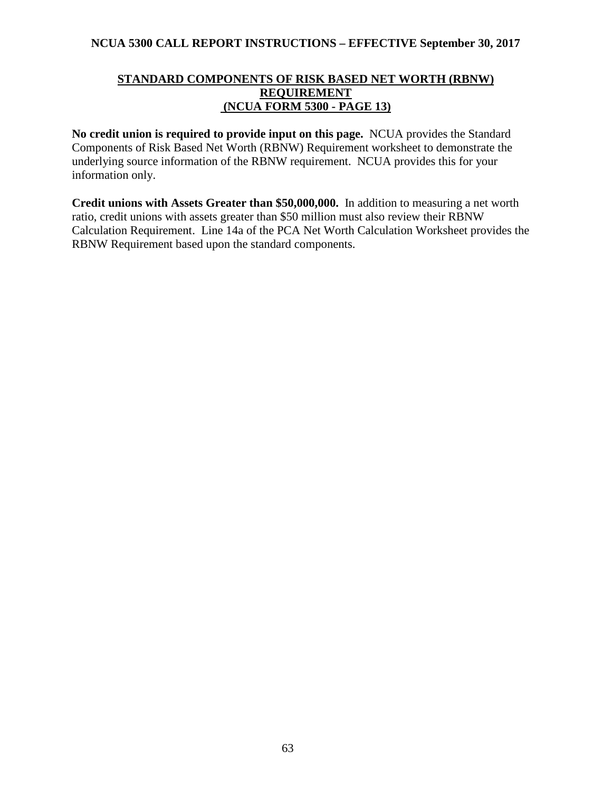#### **STANDARD COMPONENTS OF RISK BASED NET WORTH (RBNW) REQUIREMENT (NCUA FORM 5300 - PAGE 13)**

**No credit union is required to provide input on this page.** NCUA provides the Standard Components of Risk Based Net Worth (RBNW) Requirement worksheet to demonstrate the underlying source information of the RBNW requirement. NCUA provides this for your information only.

**Credit unions with Assets Greater than \$50,000,000.** In addition to measuring a net worth ratio, credit unions with assets greater than \$50 million must also review their RBNW Calculation Requirement. Line 14a of the PCA Net Worth Calculation Worksheet provides the RBNW Requirement based upon the standard components.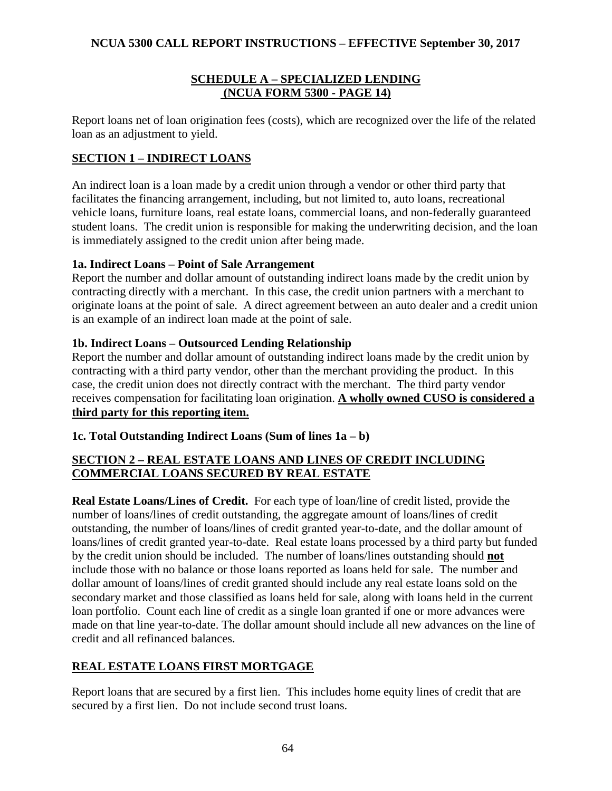### **SCHEDULE A – SPECIALIZED LENDING (NCUA FORM 5300 - PAGE 14)**

Report loans net of loan origination fees (costs), which are recognized over the life of the related loan as an adjustment to yield.

# **SECTION 1 – INDIRECT LOANS**

An indirect loan is a loan made by a credit union through a vendor or other third party that facilitates the financing arrangement, including, but not limited to, auto loans, recreational vehicle loans, furniture loans, real estate loans, commercial loans, and non-federally guaranteed student loans. The credit union is responsible for making the underwriting decision, and the loan is immediately assigned to the credit union after being made.

# **1a. Indirect Loans – Point of Sale Arrangement**

Report the number and dollar amount of outstanding indirect loans made by the credit union by contracting directly with a merchant. In this case, the credit union partners with a merchant to originate loans at the point of sale. A direct agreement between an auto dealer and a credit union is an example of an indirect loan made at the point of sale.

# **1b. Indirect Loans – Outsourced Lending Relationship**

Report the number and dollar amount of outstanding indirect loans made by the credit union by contracting with a third party vendor, other than the merchant providing the product. In this case, the credit union does not directly contract with the merchant. The third party vendor receives compensation for facilitating loan origination. **A wholly owned CUSO is considered a third party for this reporting item.**

# **1c. Total Outstanding Indirect Loans (Sum of lines 1a – b)**

# **SECTION 2 – REAL ESTATE LOANS AND LINES OF CREDIT INCLUDING COMMERCIAL LOANS SECURED BY REAL ESTATE**

**Real Estate Loans/Lines of Credit.** For each type of loan/line of credit listed, provide the number of loans/lines of credit outstanding, the aggregate amount of loans/lines of credit outstanding, the number of loans/lines of credit granted year-to-date, and the dollar amount of loans/lines of credit granted year-to-date. Real estate loans processed by a third party but funded by the credit union should be included. The number of loans/lines outstanding should **not** include those with no balance or those loans reported as loans held for sale. The number and dollar amount of loans/lines of credit granted should include any real estate loans sold on the secondary market and those classified as loans held for sale, along with loans held in the current loan portfolio. Count each line of credit as a single loan granted if one or more advances were made on that line year-to-date. The dollar amount should include all new advances on the line of credit and all refinanced balances.

# **REAL ESTATE LOANS FIRST MORTGAGE**

Report loans that are secured by a first lien. This includes home equity lines of credit that are secured by a first lien. Do not include second trust loans.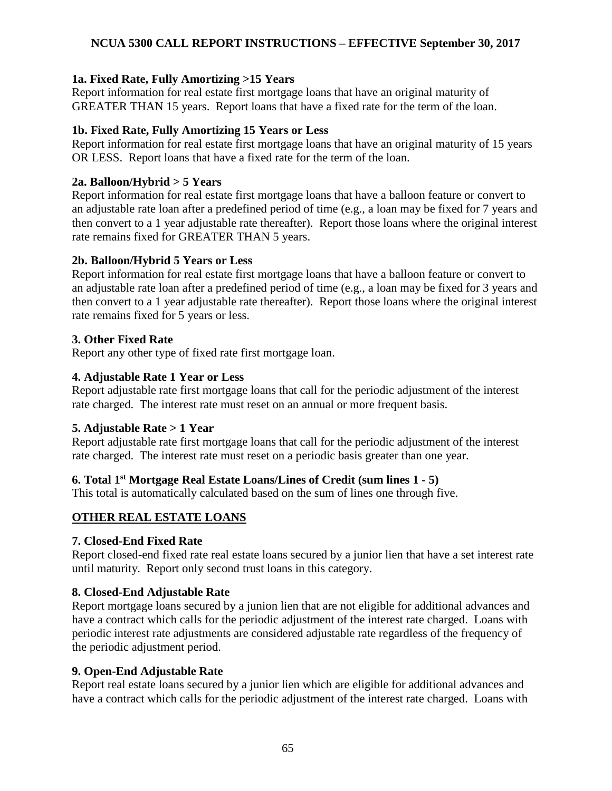### **1a. Fixed Rate, Fully Amortizing >15 Years**

Report information for real estate first mortgage loans that have an original maturity of GREATER THAN 15 years. Report loans that have a fixed rate for the term of the loan.

#### **1b. Fixed Rate, Fully Amortizing 15 Years or Less**

Report information for real estate first mortgage loans that have an original maturity of 15 years OR LESS. Report loans that have a fixed rate for the term of the loan.

#### **2a. Balloon/Hybrid > 5 Years**

Report information for real estate first mortgage loans that have a balloon feature or convert to an adjustable rate loan after a predefined period of time (e.g., a loan may be fixed for 7 years and then convert to a 1 year adjustable rate thereafter). Report those loans where the original interest rate remains fixed for GREATER THAN 5 years.

#### **2b. Balloon/Hybrid 5 Years or Less**

Report information for real estate first mortgage loans that have a balloon feature or convert to an adjustable rate loan after a predefined period of time (e.g., a loan may be fixed for 3 years and then convert to a 1 year adjustable rate thereafter). Report those loans where the original interest rate remains fixed for 5 years or less.

#### **3. Other Fixed Rate**

Report any other type of fixed rate first mortgage loan.

#### **4. Adjustable Rate 1 Year or Less**

Report adjustable rate first mortgage loans that call for the periodic adjustment of the interest rate charged. The interest rate must reset on an annual or more frequent basis.

#### **5. Adjustable Rate > 1 Year**

Report adjustable rate first mortgage loans that call for the periodic adjustment of the interest rate charged. The interest rate must reset on a periodic basis greater than one year.

# **6. Total 1st Mortgage Real Estate Loans/Lines of Credit (sum lines 1 - 5)**

This total is automatically calculated based on the sum of lines one through five.

# **OTHER REAL ESTATE LOANS**

#### **7. Closed-End Fixed Rate**

Report closed-end fixed rate real estate loans secured by a junior lien that have a set interest rate until maturity. Report only second trust loans in this category.

#### **8. Closed-End Adjustable Rate**

Report mortgage loans secured by a junion lien that are not eligible for additional advances and have a contract which calls for the periodic adjustment of the interest rate charged. Loans with periodic interest rate adjustments are considered adjustable rate regardless of the frequency of the periodic adjustment period.

# **9. Open-End Adjustable Rate**

Report real estate loans secured by a junior lien which are eligible for additional advances and have a contract which calls for the periodic adjustment of the interest rate charged. Loans with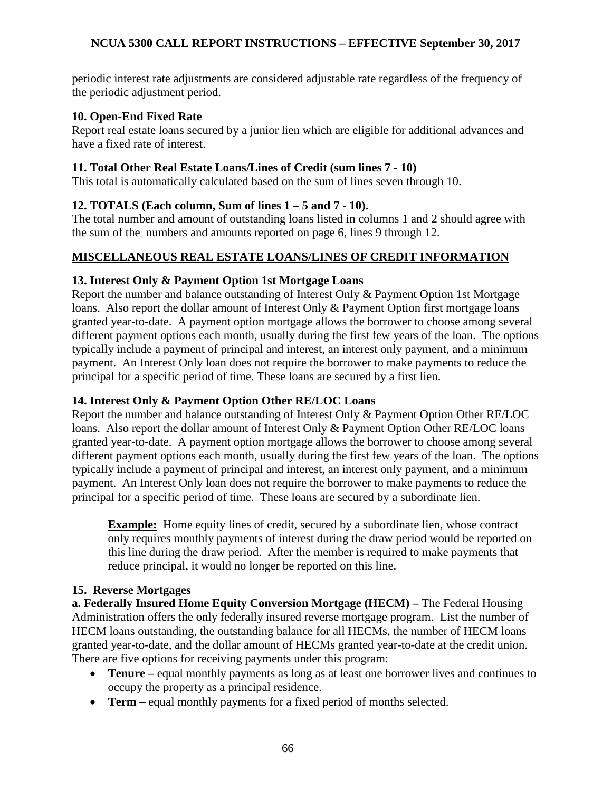periodic interest rate adjustments are considered adjustable rate regardless of the frequency of the periodic adjustment period.

#### **10. Open-End Fixed Rate**

Report real estate loans secured by a junior lien which are eligible for additional advances and have a fixed rate of interest.

#### **11. Total Other Real Estate Loans/Lines of Credit (sum lines 7 - 10)**

This total is automatically calculated based on the sum of lines seven through 10.

# **12. TOTALS (Each column, Sum of lines 1 – 5 and 7 - 10).**

The total number and amount of outstanding loans listed in columns 1 and 2 should agree with the sum of the numbers and amounts reported on page 6, lines 9 through 12.

#### **MISCELLANEOUS REAL ESTATE LOANS/LINES OF CREDIT INFORMATION**

#### **13. Interest Only & Payment Option 1st Mortgage Loans**

Report the number and balance outstanding of Interest Only & Payment Option 1st Mortgage loans. Also report the dollar amount of Interest Only & Payment Option first mortgage loans granted year-to-date. A payment option mortgage allows the borrower to choose among several different payment options each month, usually during the first few years of the loan. The options typically include a payment of principal and interest, an interest only payment, and a minimum payment. An Interest Only loan does not require the borrower to make payments to reduce the principal for a specific period of time. These loans are secured by a first lien.

# **14. Interest Only & Payment Option Other RE/LOC Loans**

Report the number and balance outstanding of Interest Only & Payment Option Other RE/LOC loans. Also report the dollar amount of Interest Only & Payment Option Other RE/LOC loans granted year-to-date. A payment option mortgage allows the borrower to choose among several different payment options each month, usually during the first few years of the loan. The options typically include a payment of principal and interest, an interest only payment, and a minimum payment. An Interest Only loan does not require the borrower to make payments to reduce the principal for a specific period of time. These loans are secured by a subordinate lien.

**Example:** Home equity lines of credit, secured by a subordinate lien, whose contract only requires monthly payments of interest during the draw period would be reported on this line during the draw period. After the member is required to make payments that reduce principal, it would no longer be reported on this line.

#### **15. Reverse Mortgages**

**a. Federally Insured Home Equity Conversion Mortgage (HECM) –** The Federal Housing Administration offers the only federally insured reverse mortgage program. List the number of HECM loans outstanding, the outstanding balance for all HECMs, the number of HECM loans granted year-to-date, and the dollar amount of HECMs granted year-to-date at the credit union. There are five options for receiving payments under this program:

- **Tenure** equal monthly payments as long as at least one borrower lives and continues to occupy the property as a principal residence.
- **Term** equal monthly payments for a fixed period of months selected.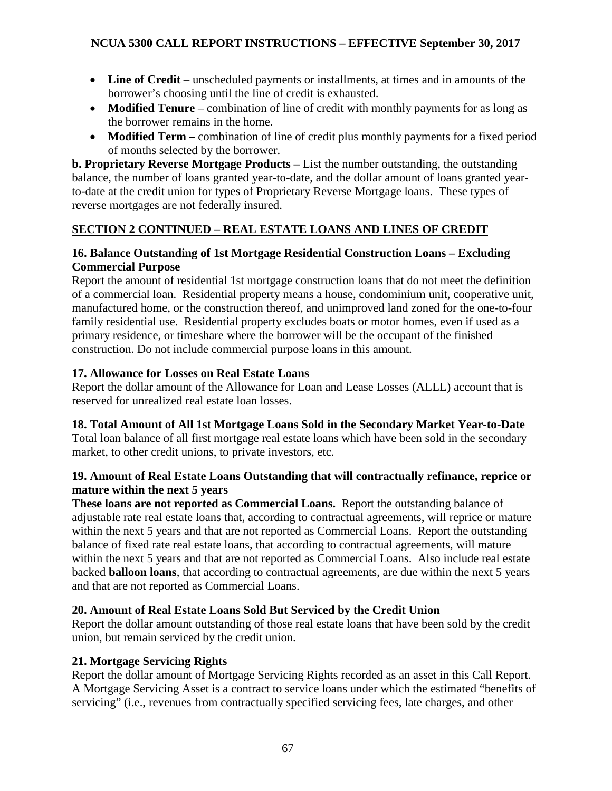- Line of Credit unscheduled payments or installments, at times and in amounts of the borrower's choosing until the line of credit is exhausted.
- **Modified Tenure** combination of line of credit with monthly payments for as long as the borrower remains in the home.
- **Modified Term –** combination of line of credit plus monthly payments for a fixed period of months selected by the borrower.

**b. Proprietary Reverse Mortgage Products –** List the number outstanding, the outstanding balance, the number of loans granted year-to-date, and the dollar amount of loans granted yearto-date at the credit union for types of Proprietary Reverse Mortgage loans. These types of reverse mortgages are not federally insured.

# **SECTION 2 CONTINUED – REAL ESTATE LOANS AND LINES OF CREDIT**

# **16. Balance Outstanding of 1st Mortgage Residential Construction Loans – Excluding Commercial Purpose**

Report the amount of residential 1st mortgage construction loans that do not meet the definition of a commercial loan. Residential property means a house, condominium unit, cooperative unit, manufactured home, or the construction thereof, and unimproved land zoned for the one-to-four family residential use. Residential property excludes boats or motor homes, even if used as a primary residence, or timeshare where the borrower will be the occupant of the finished construction. Do not include commercial purpose loans in this amount.

# **17. Allowance for Losses on Real Estate Loans**

Report the dollar amount of the Allowance for Loan and Lease Losses (ALLL) account that is reserved for unrealized real estate loan losses.

# **18. Total Amount of All 1st Mortgage Loans Sold in the Secondary Market Year-to-Date**

Total loan balance of all first mortgage real estate loans which have been sold in the secondary market, to other credit unions, to private investors, etc.

#### **19. Amount of Real Estate Loans Outstanding that will contractually refinance, reprice or mature within the next 5 years**

**These loans are not reported as Commercial Loans.** Report the outstanding balance of adjustable rate real estate loans that, according to contractual agreements, will reprice or mature within the next 5 years and that are not reported as Commercial Loans. Report the outstanding balance of fixed rate real estate loans, that according to contractual agreements, will mature within the next 5 years and that are not reported as Commercial Loans. Also include real estate backed **balloon loans**, that according to contractual agreements, are due within the next 5 years and that are not reported as Commercial Loans.

# **20. Amount of Real Estate Loans Sold But Serviced by the Credit Union**

Report the dollar amount outstanding of those real estate loans that have been sold by the credit union, but remain serviced by the credit union.

# **21. Mortgage Servicing Rights**

Report the dollar amount of Mortgage Servicing Rights recorded as an asset in this Call Report. A Mortgage Servicing Asset is a contract to service loans under which the estimated "benefits of servicing" (i.e., revenues from contractually specified servicing fees, late charges, and other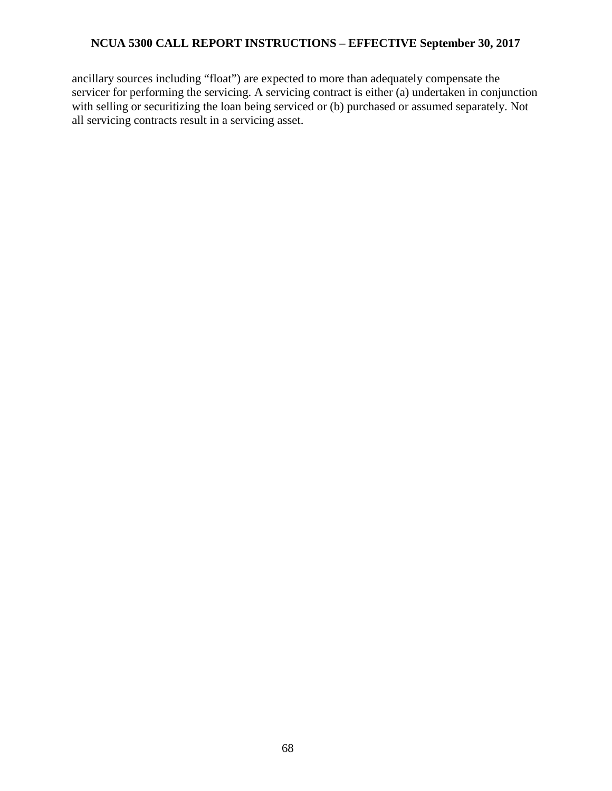ancillary sources including "float") are expected to more than adequately compensate the servicer for performing the servicing. A servicing contract is either (a) undertaken in conjunction with selling or securitizing the loan being serviced or (b) purchased or assumed separately. Not all servicing contracts result in a servicing asset.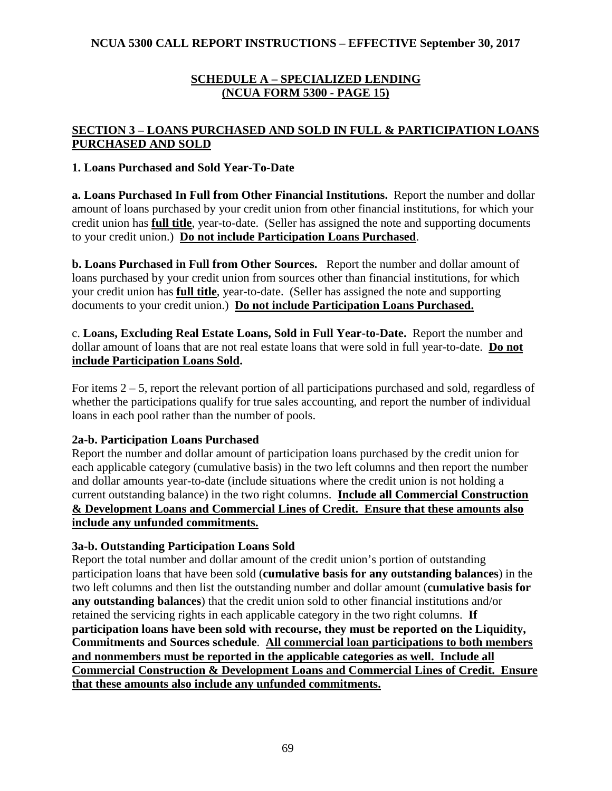### **SCHEDULE A – SPECIALIZED LENDING (NCUA FORM 5300 - PAGE 15)**

# **SECTION 3 – LOANS PURCHASED AND SOLD IN FULL & PARTICIPATION LOANS PURCHASED AND SOLD**

#### **1. Loans Purchased and Sold Year-To-Date**

**a. Loans Purchased In Full from Other Financial Institutions.** Report the number and dollar amount of loans purchased by your credit union from other financial institutions, for which your credit union has **full title**, year-to-date. (Seller has assigned the note and supporting documents to your credit union.) **Do not include Participation Loans Purchased**.

**b. Loans Purchased in Full from Other Sources.** Report the number and dollar amount of loans purchased by your credit union from sources other than financial institutions, for which your credit union has **full title**, year-to-date.(Seller has assigned the note and supporting documents to your credit union.) **Do not include Participation Loans Purchased.** 

c. **Loans, Excluding Real Estate Loans, Sold in Full Year-to-Date.** Report the number and dollar amount of loans that are not real estate loans that were sold in full year-to-date. **Do not include Participation Loans Sold.**

For items 2 – 5, report the relevant portion of all participations purchased and sold, regardless of whether the participations qualify for true sales accounting, and report the number of individual loans in each pool rather than the number of pools.

#### **2a-b. Participation Loans Purchased**

Report the number and dollar amount of participation loans purchased by the credit union for each applicable category (cumulative basis) in the two left columns and then report the number and dollar amounts year-to-date (include situations where the credit union is not holding a current outstanding balance) in the two right columns. **Include all Commercial Construction & Development Loans and Commercial Lines of Credit. Ensure that these amounts also include any unfunded commitments.**

# **3a-b. Outstanding Participation Loans Sold**

Report the total number and dollar amount of the credit union's portion of outstanding participation loans that have been sold (**cumulative basis for any outstanding balances**) in the two left columns and then list the outstanding number and dollar amount (**cumulative basis for any outstanding balances**) that the credit union sold to other financial institutions and/or retained the servicing rights in each applicable category in the two right columns. **If participation loans have been sold with recourse, they must be reported on the Liquidity, Commitments and Sources schedule**. **All commercial loan participations to both members and nonmembers must be reported in the applicable categories as well. Include all Commercial Construction & Development Loans and Commercial Lines of Credit. Ensure that these amounts also include any unfunded commitments.**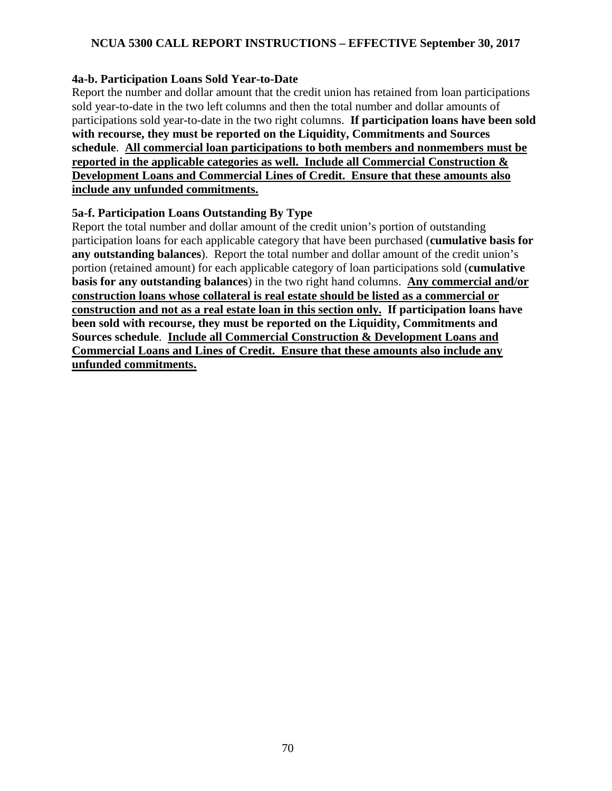#### **4a-b. Participation Loans Sold Year-to-Date**

Report the number and dollar amount that the credit union has retained from loan participations sold year-to-date in the two left columns and then the total number and dollar amounts of participations sold year-to-date in the two right columns. **If participation loans have been sold with recourse, they must be reported on the Liquidity, Commitments and Sources schedule**. **All commercial loan participations to both members and nonmembers must be reported in the applicable categories as well. Include all Commercial Construction & Development Loans and Commercial Lines of Credit. Ensure that these amounts also include any unfunded commitments.**

#### **5a-f. Participation Loans Outstanding By Type**

Report the total number and dollar amount of the credit union's portion of outstanding participation loans for each applicable category that have been purchased (**cumulative basis for any outstanding balances**). Report the total number and dollar amount of the credit union's portion (retained amount) for each applicable category of loan participations sold (**cumulative basis for any outstanding balances**) in the two right hand columns. **Any commercial and/or construction loans whose collateral is real estate should be listed as a commercial or construction and not as a real estate loan in this section only. If participation loans have been sold with recourse, they must be reported on the Liquidity, Commitments and Sources schedule**. **Include all Commercial Construction & Development Loans and Commercial Loans and Lines of Credit. Ensure that these amounts also include any unfunded commitments.**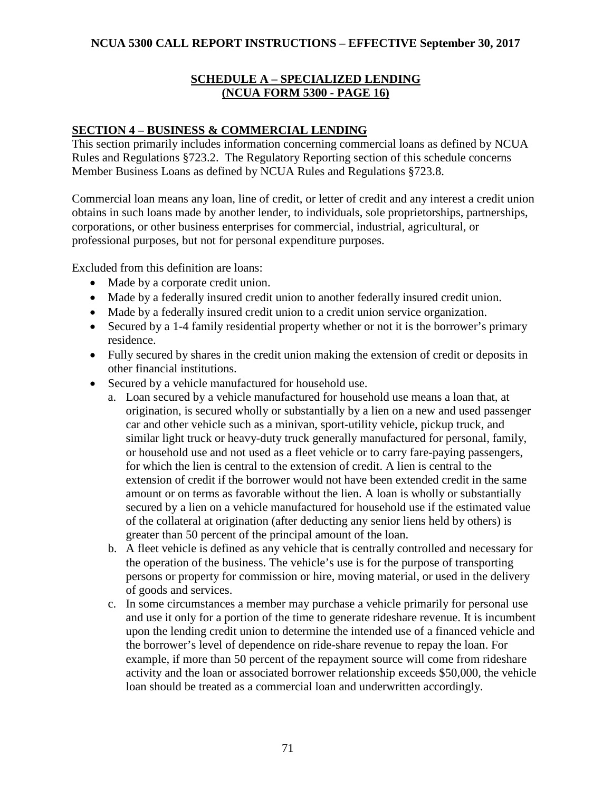## **SCHEDULE A – SPECIALIZED LENDING (NCUA FORM 5300 - PAGE 16)**

### **SECTION 4 – BUSINESS & COMMERCIAL LENDING**

This section primarily includes information concerning commercial loans as defined by NCUA Rules and Regulations §723.2. The Regulatory Reporting section of this schedule concerns Member Business Loans as defined by NCUA Rules and Regulations §723.8.

Commercial loan means any loan, line of credit, or letter of credit and any interest a credit union obtains in such loans made by another lender, to individuals, sole proprietorships, partnerships, corporations, or other business enterprises for commercial, industrial, agricultural, or professional purposes, but not for personal expenditure purposes.

Excluded from this definition are loans:

- Made by a corporate credit union.
- Made by a federally insured credit union to another federally insured credit union.
- Made by a federally insured credit union to a credit union service organization.
- Secured by a 1-4 family residential property whether or not it is the borrower's primary residence.
- Fully secured by shares in the credit union making the extension of credit or deposits in other financial institutions.
- Secured by a vehicle manufactured for household use.
	- a. Loan secured by a vehicle manufactured for household use means a loan that, at origination, is secured wholly or substantially by a lien on a new and used passenger car and other vehicle such as a minivan, sport-utility vehicle, pickup truck, and similar light truck or heavy-duty truck generally manufactured for personal, family, or household use and not used as a fleet vehicle or to carry fare-paying passengers, for which the lien is central to the extension of credit. A lien is central to the extension of credit if the borrower would not have been extended credit in the same amount or on terms as favorable without the lien. A loan is wholly or substantially secured by a lien on a vehicle manufactured for household use if the estimated value of the collateral at origination (after deducting any senior liens held by others) is greater than 50 percent of the principal amount of the loan.
	- b. A fleet vehicle is defined as any vehicle that is centrally controlled and necessary for the operation of the business. The vehicle's use is for the purpose of transporting persons or property for commission or hire, moving material, or used in the delivery of goods and services.
	- c. In some circumstances a member may purchase a vehicle primarily for personal use and use it only for a portion of the time to generate rideshare revenue. It is incumbent upon the lending credit union to determine the intended use of a financed vehicle and the borrower's level of dependence on ride-share revenue to repay the loan. For example, if more than 50 percent of the repayment source will come from rideshare activity and the loan or associated borrower relationship exceeds \$50,000, the vehicle loan should be treated as a commercial loan and underwritten accordingly.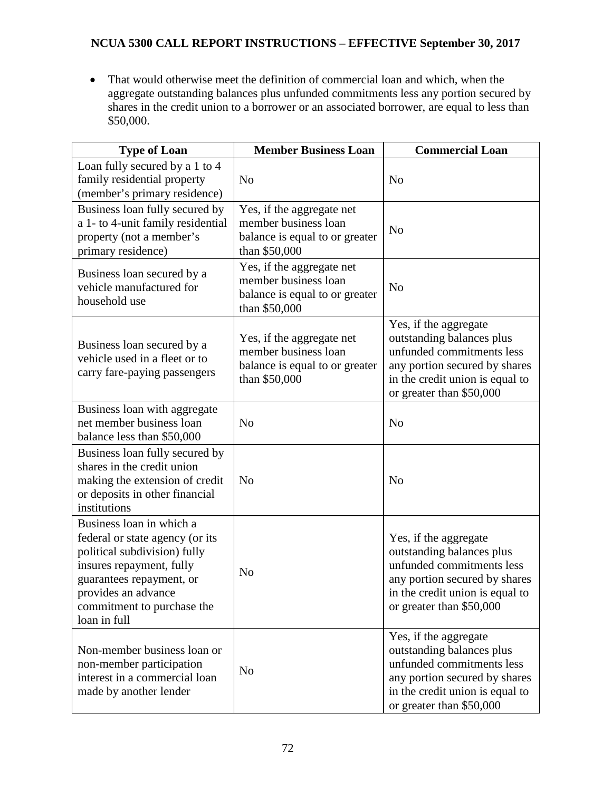• That would otherwise meet the definition of commercial loan and which, when the aggregate outstanding balances plus unfunded commitments less any portion secured by shares in the credit union to a borrower or an associated borrower, are equal to less than \$50,000.

| <b>Type of Loan</b>                                                                                                                                                                                                      | <b>Member Business Loan</b>                                                                          | <b>Commercial Loan</b>                                                                                                                                                          |
|--------------------------------------------------------------------------------------------------------------------------------------------------------------------------------------------------------------------------|------------------------------------------------------------------------------------------------------|---------------------------------------------------------------------------------------------------------------------------------------------------------------------------------|
| Loan fully secured by a 1 to 4<br>family residential property<br>(member's primary residence)                                                                                                                            | N <sub>o</sub>                                                                                       | N <sub>o</sub>                                                                                                                                                                  |
| Business loan fully secured by<br>a 1- to 4-unit family residential<br>property (not a member's<br>primary residence)                                                                                                    | Yes, if the aggregate net<br>member business loan<br>balance is equal to or greater<br>than \$50,000 | N <sub>o</sub>                                                                                                                                                                  |
| Business loan secured by a<br>vehicle manufactured for<br>household use                                                                                                                                                  | Yes, if the aggregate net<br>member business loan<br>balance is equal to or greater<br>than \$50,000 | N <sub>o</sub>                                                                                                                                                                  |
| Business loan secured by a<br>vehicle used in a fleet or to<br>carry fare-paying passengers                                                                                                                              | Yes, if the aggregate net<br>member business loan<br>balance is equal to or greater<br>than \$50,000 | Yes, if the aggregate<br>outstanding balances plus<br>unfunded commitments less<br>any portion secured by shares<br>in the credit union is equal to<br>or greater than \$50,000 |
| Business loan with aggregate<br>net member business loan<br>balance less than \$50,000                                                                                                                                   | N <sub>o</sub>                                                                                       | N <sub>o</sub>                                                                                                                                                                  |
| Business loan fully secured by<br>shares in the credit union<br>making the extension of credit<br>or deposits in other financial<br>institutions                                                                         | N <sub>o</sub>                                                                                       | N <sub>o</sub>                                                                                                                                                                  |
| Business loan in which a<br>federal or state agency (or its<br>political subdivision) fully<br>insures repayment, fully<br>guarantees repayment, or<br>provides an advance<br>commitment to purchase the<br>loan in full | N <sub>o</sub>                                                                                       | Yes, if the aggregate<br>outstanding balances plus<br>unfunded commitments less<br>any portion secured by shares<br>in the credit union is equal to<br>or greater than \$50,000 |
| Non-member business loan or<br>non-member participation<br>interest in a commercial loan<br>made by another lender                                                                                                       | N <sub>o</sub>                                                                                       | Yes, if the aggregate<br>outstanding balances plus<br>unfunded commitments less<br>any portion secured by shares<br>in the credit union is equal to<br>or greater than \$50,000 |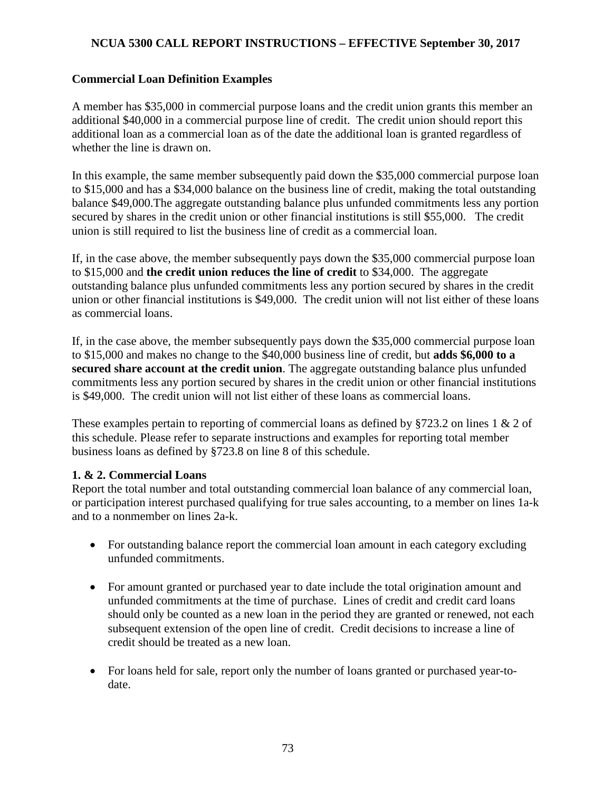# **Commercial Loan Definition Examples**

A member has \$35,000 in commercial purpose loans and the credit union grants this member an additional \$40,000 in a commercial purpose line of credit. The credit union should report this additional loan as a commercial loan as of the date the additional loan is granted regardless of whether the line is drawn on.

In this example, the same member subsequently paid down the \$35,000 commercial purpose loan to \$15,000 and has a \$34,000 balance on the business line of credit, making the total outstanding balance \$49,000.The aggregate outstanding balance plus unfunded commitments less any portion secured by shares in the credit union or other financial institutions is still \$55,000. The credit union is still required to list the business line of credit as a commercial loan.

If, in the case above, the member subsequently pays down the \$35,000 commercial purpose loan to \$15,000 and **the credit union reduces the line of credit** to \$34,000. The aggregate outstanding balance plus unfunded commitments less any portion secured by shares in the credit union or other financial institutions is \$49,000. The credit union will not list either of these loans as commercial loans.

If, in the case above, the member subsequently pays down the \$35,000 commercial purpose loan to \$15,000 and makes no change to the \$40,000 business line of credit, but **adds \$6,000 to a secured share account at the credit union**. The aggregate outstanding balance plus unfunded commitments less any portion secured by shares in the credit union or other financial institutions is \$49,000. The credit union will not list either of these loans as commercial loans.

These examples pertain to reporting of commercial loans as defined by §723.2 on lines 1 & 2 of this schedule. Please refer to separate instructions and examples for reporting total member business loans as defined by §723.8 on line 8 of this schedule.

# **1. & 2. Commercial Loans**

Report the total number and total outstanding commercial loan balance of any commercial loan, or participation interest purchased qualifying for true sales accounting, to a member on lines 1a-k and to a nonmember on lines 2a-k.

- For outstanding balance report the commercial loan amount in each category excluding unfunded commitments.
- For amount granted or purchased year to date include the total origination amount and unfunded commitments at the time of purchase. Lines of credit and credit card loans should only be counted as a new loan in the period they are granted or renewed, not each subsequent extension of the open line of credit. Credit decisions to increase a line of credit should be treated as a new loan.
- For loans held for sale, report only the number of loans granted or purchased year-todate.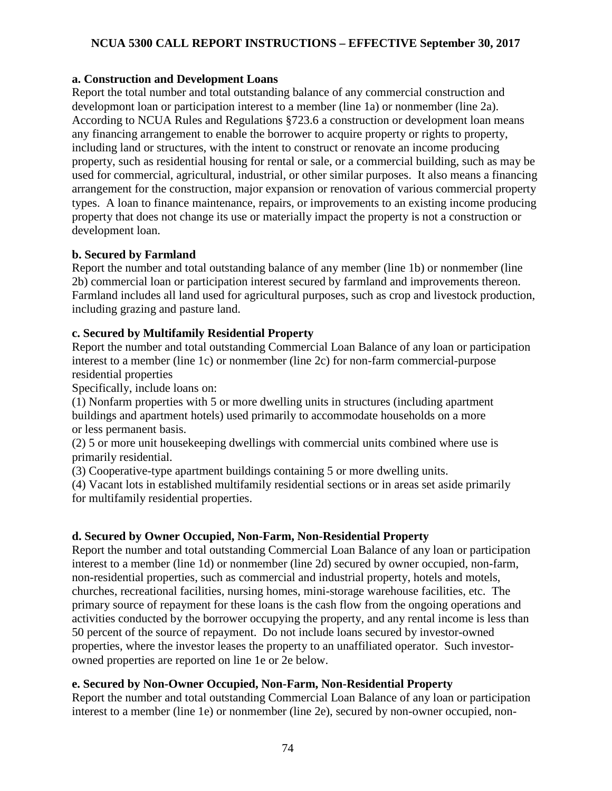## **a. Construction and Development Loans**

Report the total number and total outstanding balance of any commercial construction and developmont loan or participation interest to a member (line 1a) or nonmember (line 2a). According to NCUA Rules and Regulations §723.6 a construction or development loan means any financing arrangement to enable the borrower to acquire property or rights to property, including land or structures, with the intent to construct or renovate an income producing property, such as residential housing for rental or sale, or a commercial building, such as may be used for commercial, agricultural, industrial, or other similar purposes. It also means a financing arrangement for the construction, major expansion or renovation of various commercial property types. A loan to finance maintenance, repairs, or improvements to an existing income producing property that does not change its use or materially impact the property is not a construction or development loan.

## **b. Secured by Farmland**

Report the number and total outstanding balance of any member (line 1b) or nonmember (line 2b) commercial loan or participation interest secured by farmland and improvements thereon. Farmland includes all land used for agricultural purposes, such as crop and livestock production, including grazing and pasture land.

# **c. Secured by Multifamily Residential Property**

Report the number and total outstanding Commercial Loan Balance of any loan or participation interest to a member (line 1c) or nonmember (line 2c) for non-farm commercial-purpose residential properties

Specifically, include loans on:

(1) Nonfarm properties with 5 or more dwelling units in structures (including apartment buildings and apartment hotels) used primarily to accommodate households on a more or less permanent basis.

(2) 5 or more unit housekeeping dwellings with commercial units combined where use is primarily residential.

(3) Cooperative-type apartment buildings containing 5 or more dwelling units.

(4) Vacant lots in established multifamily residential sections or in areas set aside primarily for multifamily residential properties.

# **d. Secured by Owner Occupied, Non-Farm, Non-Residential Property**

Report the number and total outstanding Commercial Loan Balance of any loan or participation interest to a member (line 1d) or nonmember (line 2d) secured by owner occupied, non-farm, non-residential properties, such as commercial and industrial property, hotels and motels, churches, recreational facilities, nursing homes, mini-storage warehouse facilities, etc. The primary source of repayment for these loans is the cash flow from the ongoing operations and activities conducted by the borrower occupying the property, and any rental income is less than 50 percent of the source of repayment. Do not include loans secured by investor-owned properties, where the investor leases the property to an unaffiliated operator. Such investorowned properties are reported on line 1e or 2e below.

# **e. Secured by Non-Owner Occupied, Non-Farm, Non-Residential Property**

Report the number and total outstanding Commercial Loan Balance of any loan or participation interest to a member (line 1e) or nonmember (line 2e), secured by non-owner occupied, non-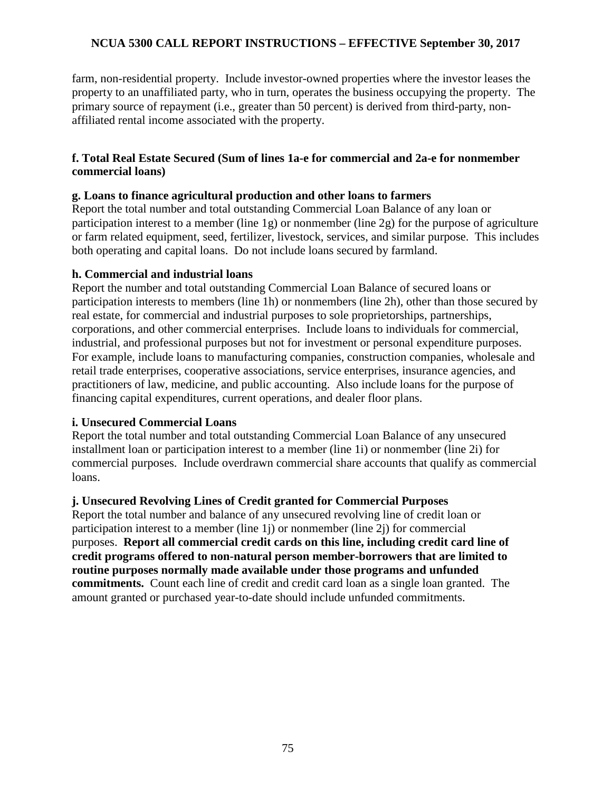farm, non-residential property. Include investor-owned properties where the investor leases the property to an unaffiliated party, who in turn, operates the business occupying the property. The primary source of repayment (i.e., greater than 50 percent) is derived from third-party, nonaffiliated rental income associated with the property.

## **f. Total Real Estate Secured (Sum of lines 1a-e for commercial and 2a-e for nonmember commercial loans)**

## **g. Loans to finance agricultural production and other loans to farmers**

Report the total number and total outstanding Commercial Loan Balance of any loan or participation interest to a member (line 1g) or nonmember (line 2g) for the purpose of agriculture or farm related equipment, seed, fertilizer, livestock, services, and similar purpose. This includes both operating and capital loans. Do not include loans secured by farmland.

## **h. Commercial and industrial loans**

Report the number and total outstanding Commercial Loan Balance of secured loans or participation interests to members (line 1h) or nonmembers (line 2h), other than those secured by real estate, for commercial and industrial purposes to sole proprietorships, partnerships, corporations, and other commercial enterprises. Include loans to individuals for commercial, industrial, and professional purposes but not for investment or personal expenditure purposes. For example, include loans to manufacturing companies, construction companies, wholesale and retail trade enterprises, cooperative associations, service enterprises, insurance agencies, and practitioners of law, medicine, and public accounting. Also include loans for the purpose of financing capital expenditures, current operations, and dealer floor plans.

### **i. Unsecured Commercial Loans**

Report the total number and total outstanding Commercial Loan Balance of any unsecured installment loan or participation interest to a member (line 1i) or nonmember (line 2i) for commercial purposes. Include overdrawn commercial share accounts that qualify as commercial loans.

# **j. Unsecured Revolving Lines of Credit granted for Commercial Purposes**

Report the total number and balance of any unsecured revolving line of credit loan or participation interest to a member (line 1j) or nonmember (line 2j) for commercial purposes. **Report all commercial credit cards on this line, including credit card line of credit programs offered to non-natural person member-borrowers that are limited to routine purposes normally made available under those programs and unfunded commitments.** Count each line of credit and credit card loan as a single loan granted. The amount granted or purchased year-to-date should include unfunded commitments.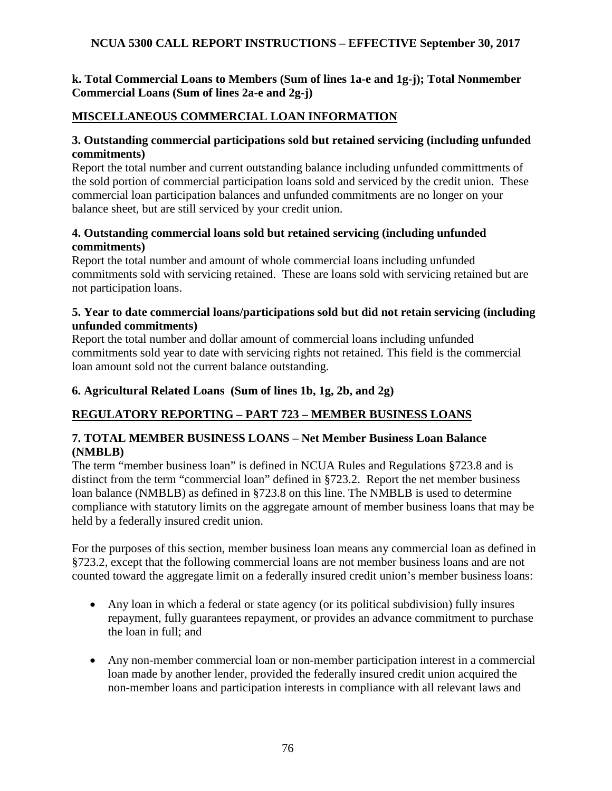# **k. Total Commercial Loans to Members (Sum of lines 1a-e and 1g-j); Total Nonmember Commercial Loans (Sum of lines 2a-e and 2g-j)**

# **MISCELLANEOUS COMMERCIAL LOAN INFORMATION**

## **3. Outstanding commercial participations sold but retained servicing (including unfunded commitments)**

Report the total number and current outstanding balance including unfunded committments of the sold portion of commercial participation loans sold and serviced by the credit union. These commercial loan participation balances and unfunded commitments are no longer on your balance sheet, but are still serviced by your credit union.

# **4. Outstanding commercial loans sold but retained servicing (including unfunded commitments)**

Report the total number and amount of whole commercial loans including unfunded commitments sold with servicing retained. These are loans sold with servicing retained but are not participation loans.

## **5. Year to date commercial loans/participations sold but did not retain servicing (including unfunded commitments)**

Report the total number and dollar amount of commercial loans including unfunded commitments sold year to date with servicing rights not retained. This field is the commercial loan amount sold not the current balance outstanding.

# **6. Agricultural Related Loans (Sum of lines 1b, 1g, 2b, and 2g)**

# **REGULATORY REPORTING – PART 723 – MEMBER BUSINESS LOANS**

## **7. TOTAL MEMBER BUSINESS LOANS – Net Member Business Loan Balance (NMBLB)**

The term "member business loan" is defined in NCUA Rules and Regulations §723.8 and is distinct from the term "commercial loan" defined in §723.2. Report the net member business loan balance (NMBLB) as defined in §723.8 on this line. The NMBLB is used to determine compliance with statutory limits on the aggregate amount of member business loans that may be held by a federally insured credit union.

For the purposes of this section, member business loan means any commercial loan as defined in §723.2, except that the following commercial loans are not member business loans and are not counted toward the aggregate limit on a federally insured credit union's member business loans:

- Any loan in which a federal or state agency (or its political subdivision) fully insures repayment, fully guarantees repayment, or provides an advance commitment to purchase the loan in full; and
- Any non-member commercial loan or non-member participation interest in a commercial loan made by another lender, provided the federally insured credit union acquired the non-member loans and participation interests in compliance with all relevant laws and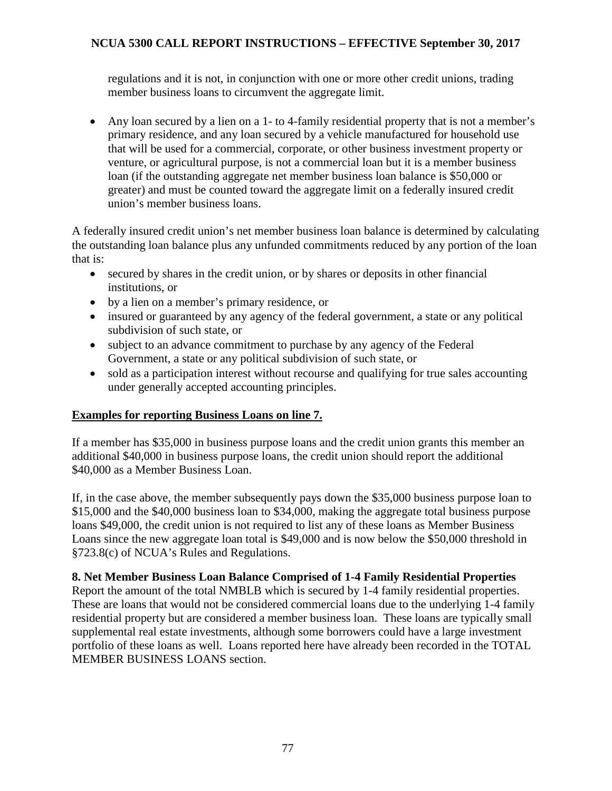regulations and it is not, in conjunction with one or more other credit unions, trading member business loans to circumvent the aggregate limit.

• Any loan secured by a lien on a 1- to 4-family residential property that is not a member's primary residence, and any loan secured by a vehicle manufactured for household use that will be used for a commercial, corporate, or other business investment property or venture, or agricultural purpose, is not a commercial loan but it is a member business loan (if the outstanding aggregate net member business loan balance is \$50,000 or greater) and must be counted toward the aggregate limit on a federally insured credit union's member business loans.

A federally insured credit union's net member business loan balance is determined by calculating the outstanding loan balance plus any unfunded commitments reduced by any portion of the loan that is:

- secured by shares in the credit union, or by shares or deposits in other financial institutions, or
- by a lien on a member's primary residence, or
- insured or guaranteed by any agency of the federal government, a state or any political subdivision of such state, or
- subject to an advance commitment to purchase by any agency of the Federal Government, a state or any political subdivision of such state, or
- sold as a participation interest without recourse and qualifying for true sales accounting under generally accepted accounting principles.

# **Examples for reporting Business Loans on line 7.**

If a member has \$35,000 in business purpose loans and the credit union grants this member an additional \$40,000 in business purpose loans, the credit union should report the additional \$40,000 as a Member Business Loan.

If, in the case above, the member subsequently pays down the \$35,000 business purpose loan to \$15,000 and the \$40,000 business loan to \$34,000, making the aggregate total business purpose loans \$49,000, the credit union is not required to list any of these loans as Member Business Loans since the new aggregate loan total is \$49,000 and is now below the \$50,000 threshold in §723.8(c) of NCUA's Rules and Regulations.

# **8. Net Member Business Loan Balance Comprised of 1-4 Family Residential Properties**

Report the amount of the total NMBLB which is secured by 1-4 family residential properties. These are loans that would not be considered commercial loans due to the underlying 1-4 family residential property but are considered a member business loan. These loans are typically small supplemental real estate investments, although some borrowers could have a large investment portfolio of these loans as well. Loans reported here have already been recorded in the TOTAL MEMBER BUSINESS LOANS section.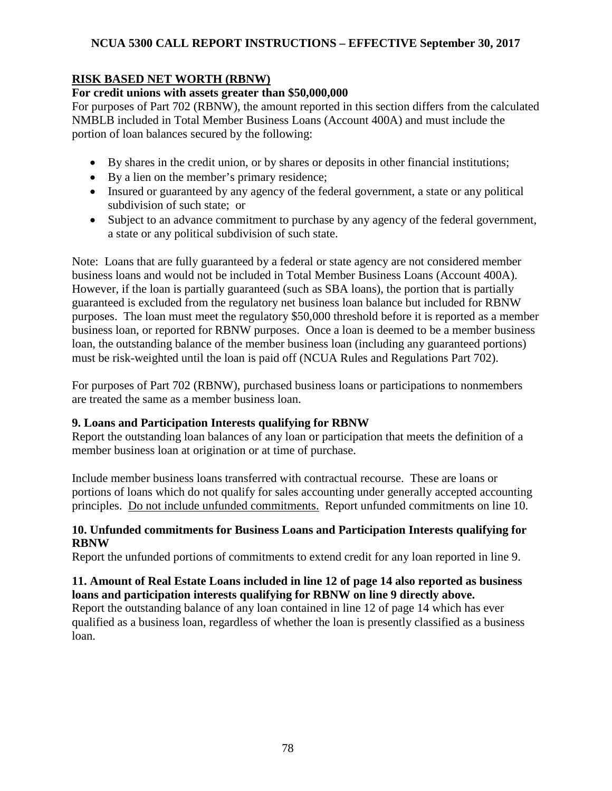# **RISK BASED NET WORTH (RBNW)**

## **For credit unions with assets greater than \$50,000,000**

For purposes of Part 702 (RBNW), the amount reported in this section differs from the calculated NMBLB included in Total Member Business Loans (Account 400A) and must include the portion of loan balances secured by the following:

- By shares in the credit union, or by shares or deposits in other financial institutions;
- By a lien on the member's primary residence;
- Insured or guaranteed by any agency of the federal government, a state or any political subdivision of such state; or
- Subject to an advance commitment to purchase by any agency of the federal government, a state or any political subdivision of such state.

Note: Loans that are fully guaranteed by a federal or state agency are not considered member business loans and would not be included in Total Member Business Loans (Account 400A). However, if the loan is partially guaranteed (such as SBA loans), the portion that is partially guaranteed is excluded from the regulatory net business loan balance but included for RBNW purposes. The loan must meet the regulatory \$50,000 threshold before it is reported as a member business loan, or reported for RBNW purposes. Once a loan is deemed to be a member business loan, the outstanding balance of the member business loan (including any guaranteed portions) must be risk-weighted until the loan is paid off (NCUA Rules and Regulations Part 702).

For purposes of Part 702 (RBNW), purchased business loans or participations to nonmembers are treated the same as a member business loan.

# **9. Loans and Participation Interests qualifying for RBNW**

Report the outstanding loan balances of any loan or participation that meets the definition of a member business loan at origination or at time of purchase.

Include member business loans transferred with contractual recourse. These are loans or portions of loans which do not qualify for sales accounting under generally accepted accounting principles. Do not include unfunded commitments. Report unfunded commitments on line 10.

## **10. Unfunded commitments for Business Loans and Participation Interests qualifying for RBNW**

Report the unfunded portions of commitments to extend credit for any loan reported in line 9.

## **11. Amount of Real Estate Loans included in line 12 of page 14 also reported as business loans and participation interests qualifying for RBNW on line 9 directly above.**

Report the outstanding balance of any loan contained in line 12 of page 14 which has ever qualified as a business loan, regardless of whether the loan is presently classified as a business loan.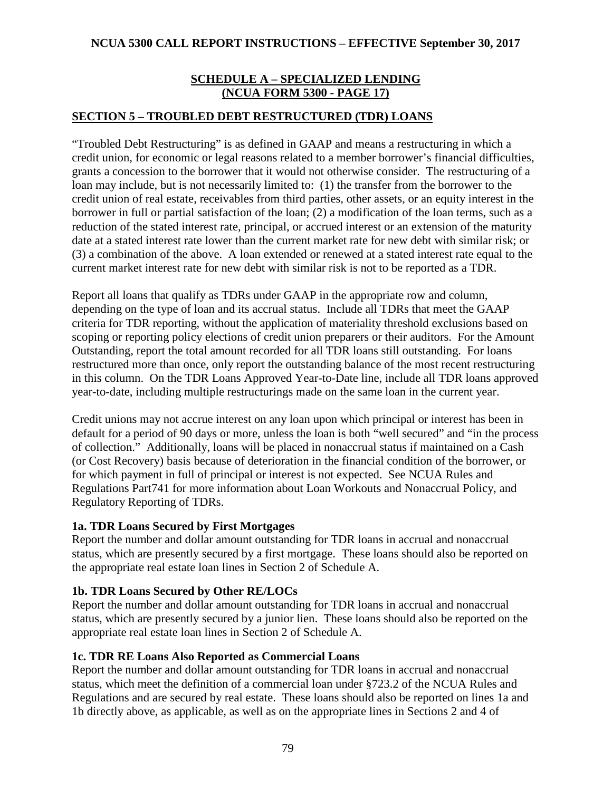## **SCHEDULE A – SPECIALIZED LENDING (NCUA FORM 5300 - PAGE 17)**

## **SECTION 5 – TROUBLED DEBT RESTRUCTURED (TDR) LOANS**

"Troubled Debt Restructuring" is as defined in GAAP and means a restructuring in which a credit union, for economic or legal reasons related to a member borrower's financial difficulties, grants a concession to the borrower that it would not otherwise consider. The restructuring of a loan may include, but is not necessarily limited to: (1) the transfer from the borrower to the credit union of real estate, receivables from third parties, other assets, or an equity interest in the borrower in full or partial satisfaction of the loan; (2) a modification of the loan terms, such as a reduction of the stated interest rate, principal, or accrued interest or an extension of the maturity date at a stated interest rate lower than the current market rate for new debt with similar risk; or (3) a combination of the above. A loan extended or renewed at a stated interest rate equal to the current market interest rate for new debt with similar risk is not to be reported as a TDR.

Report all loans that qualify as TDRs under GAAP in the appropriate row and column, depending on the type of loan and its accrual status. Include all TDRs that meet the GAAP criteria for TDR reporting, without the application of materiality threshold exclusions based on scoping or reporting policy elections of credit union preparers or their auditors. For the Amount Outstanding, report the total amount recorded for all TDR loans still outstanding. For loans restructured more than once, only report the outstanding balance of the most recent restructuring in this column. On the TDR Loans Approved Year-to-Date line, include all TDR loans approved year-to-date, including multiple restructurings made on the same loan in the current year.

Credit unions may not accrue interest on any loan upon which principal or interest has been in default for a period of 90 days or more, unless the loan is both "well secured" and "in the process of collection." Additionally, loans will be placed in nonaccrual status if maintained on a Cash (or Cost Recovery) basis because of deterioration in the financial condition of the borrower, or for which payment in full of principal or interest is not expected. See NCUA Rules and Regulations Part741 for more information about Loan Workouts and Nonaccrual Policy, and Regulatory Reporting of TDRs.

### **1a. TDR Loans Secured by First Mortgages**

Report the number and dollar amount outstanding for TDR loans in accrual and nonaccrual status, which are presently secured by a first mortgage. These loans should also be reported on the appropriate real estate loan lines in Section 2 of Schedule A.

### **1b. TDR Loans Secured by Other RE/LOCs**

Report the number and dollar amount outstanding for TDR loans in accrual and nonaccrual status, which are presently secured by a junior lien. These loans should also be reported on the appropriate real estate loan lines in Section 2 of Schedule A.

### **1c. TDR RE Loans Also Reported as Commercial Loans**

Report the number and dollar amount outstanding for TDR loans in accrual and nonaccrual status, which meet the definition of a commercial loan under §723.2 of the NCUA Rules and Regulations and are secured by real estate. These loans should also be reported on lines 1a and 1b directly above, as applicable, as well as on the appropriate lines in Sections 2 and 4 of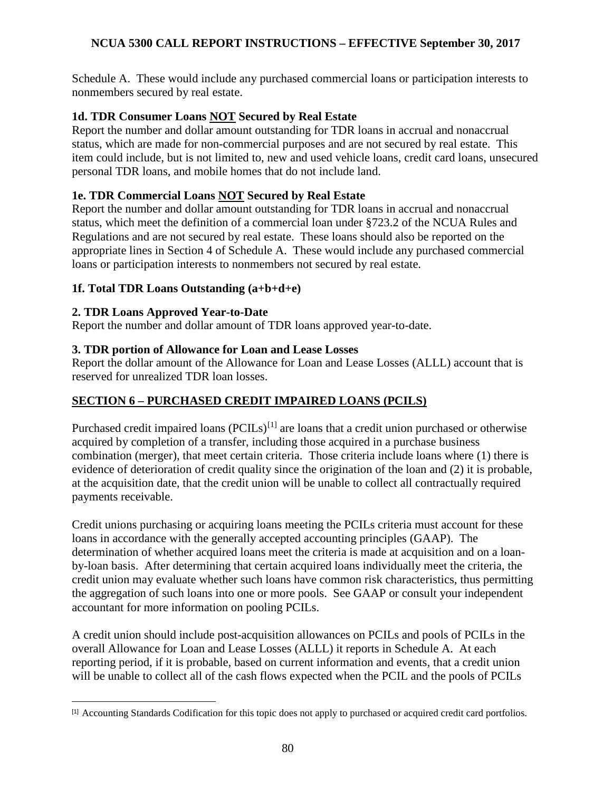Schedule A. These would include any purchased commercial loans or participation interests to nonmembers secured by real estate.

## **1d. TDR Consumer Loans NOT Secured by Real Estate**

Report the number and dollar amount outstanding for TDR loans in accrual and nonaccrual status, which are made for non-commercial purposes and are not secured by real estate. This item could include, but is not limited to, new and used vehicle loans, credit card loans, unsecured personal TDR loans, and mobile homes that do not include land.

## **1e. TDR Commercial Loans NOT Secured by Real Estate**

Report the number and dollar amount outstanding for TDR loans in accrual and nonaccrual status, which meet the definition of a commercial loan under §723.2 of the NCUA Rules and Regulations and are not secured by real estate. These loans should also be reported on the appropriate lines in Section 4 of Schedule A. These would include any purchased commercial loans or participation interests to nonmembers not secured by real estate.

## **1f. Total TDR Loans Outstanding (a+b+d+e)**

## **2. TDR Loans Approved Year-to-Date**

 $\overline{a}$ 

Report the number and dollar amount of TDR loans approved year-to-date.

## **3. TDR portion of Allowance for Loan and Lease Losses**

Report the dollar amount of the Allowance for Loan and Lease Losses (ALLL) account that is reserved for unrealized TDR loan losses.

# **SECTION 6 – PURCHASED CREDIT IMPAIRED LOANS (PCILS)**

Purchased credit impaired loans  $(PCILs)^{[1]}$  $(PCILs)^{[1]}$  $(PCILs)^{[1]}$  are loans that a credit union purchased or otherwise acquired by completion of a transfer, including those acquired in a purchase business combination (merger), that meet certain criteria. Those criteria include loans where (1) there is evidence of deterioration of credit quality since the origination of the loan and (2) it is probable, at the acquisition date, that the credit union will be unable to collect all contractually required payments receivable.

Credit unions purchasing or acquiring loans meeting the PCILs criteria must account for these loans in accordance with the generally accepted accounting principles (GAAP). The determination of whether acquired loans meet the criteria is made at acquisition and on a loanby-loan basis. After determining that certain acquired loans individually meet the criteria, the credit union may evaluate whether such loans have common risk characteristics, thus permitting the aggregation of such loans into one or more pools. See GAAP or consult your independent accountant for more information on pooling PCILs.

A credit union should include post-acquisition allowances on PCILs and pools of PCILs in the overall Allowance for Loan and Lease Losses (ALLL) it reports in Schedule A. At each reporting period, if it is probable, based on current information and events, that a credit union will be unable to collect all of the cash flows expected when the PCIL and the pools of PCILs

<span id="page-79-0"></span><sup>[1]</sup> Accounting Standards Codification for this topic does not apply to purchased or acquired credit card portfolios.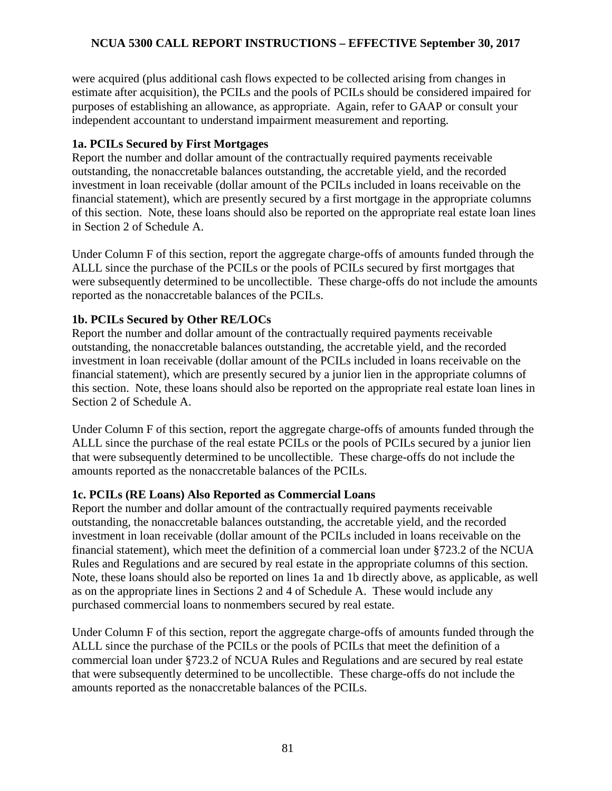were acquired (plus additional cash flows expected to be collected arising from changes in estimate after acquisition), the PCILs and the pools of PCILs should be considered impaired for purposes of establishing an allowance, as appropriate. Again, refer to GAAP or consult your independent accountant to understand impairment measurement and reporting.

## **1a. PCILs Secured by First Mortgages**

Report the number and dollar amount of the contractually required payments receivable outstanding, the nonaccretable balances outstanding, the accretable yield, and the recorded investment in loan receivable (dollar amount of the PCILs included in loans receivable on the financial statement), which are presently secured by a first mortgage in the appropriate columns of this section. Note, these loans should also be reported on the appropriate real estate loan lines in Section 2 of Schedule A.

Under Column F of this section, report the aggregate charge-offs of amounts funded through the ALLL since the purchase of the PCILs or the pools of PCILs secured by first mortgages that were subsequently determined to be uncollectible. These charge-offs do not include the amounts reported as the nonaccretable balances of the PCILs.

# **1b. PCILs Secured by Other RE/LOCs**

Report the number and dollar amount of the contractually required payments receivable outstanding, the nonaccretable balances outstanding, the accretable yield, and the recorded investment in loan receivable (dollar amount of the PCILs included in loans receivable on the financial statement), which are presently secured by a junior lien in the appropriate columns of this section. Note, these loans should also be reported on the appropriate real estate loan lines in Section 2 of Schedule A.

Under Column F of this section, report the aggregate charge-offs of amounts funded through the ALLL since the purchase of the real estate PCILs or the pools of PCILs secured by a junior lien that were subsequently determined to be uncollectible. These charge-offs do not include the amounts reported as the nonaccretable balances of the PCILs.

# **1c. PCILs (RE Loans) Also Reported as Commercial Loans**

Report the number and dollar amount of the contractually required payments receivable outstanding, the nonaccretable balances outstanding, the accretable yield, and the recorded investment in loan receivable (dollar amount of the PCILs included in loans receivable on the financial statement), which meet the definition of a commercial loan under §723.2 of the NCUA Rules and Regulations and are secured by real estate in the appropriate columns of this section. Note, these loans should also be reported on lines 1a and 1b directly above, as applicable, as well as on the appropriate lines in Sections 2 and 4 of Schedule A. These would include any purchased commercial loans to nonmembers secured by real estate.

Under Column F of this section, report the aggregate charge-offs of amounts funded through the ALLL since the purchase of the PCILs or the pools of PCILs that meet the definition of a commercial loan under §723.2 of NCUA Rules and Regulations and are secured by real estate that were subsequently determined to be uncollectible. These charge-offs do not include the amounts reported as the nonaccretable balances of the PCILs.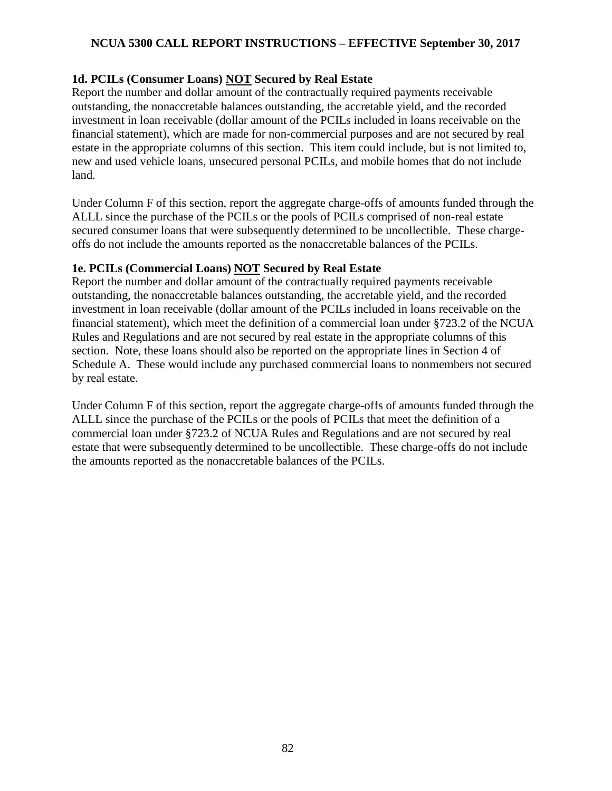# **1d. PCILs (Consumer Loans) NOT Secured by Real Estate**

Report the number and dollar amount of the contractually required payments receivable outstanding, the nonaccretable balances outstanding, the accretable yield, and the recorded investment in loan receivable (dollar amount of the PCILs included in loans receivable on the financial statement), which are made for non-commercial purposes and are not secured by real estate in the appropriate columns of this section. This item could include, but is not limited to, new and used vehicle loans, unsecured personal PCILs, and mobile homes that do not include land.

Under Column F of this section, report the aggregate charge-offs of amounts funded through the ALLL since the purchase of the PCILs or the pools of PCILs comprised of non-real estate secured consumer loans that were subsequently determined to be uncollectible. These chargeoffs do not include the amounts reported as the nonaccretable balances of the PCILs.

# **1e. PCILs (Commercial Loans) NOT Secured by Real Estate**

Report the number and dollar amount of the contractually required payments receivable outstanding, the nonaccretable balances outstanding, the accretable yield, and the recorded investment in loan receivable (dollar amount of the PCILs included in loans receivable on the financial statement), which meet the definition of a commercial loan under §723.2 of the NCUA Rules and Regulations and are not secured by real estate in the appropriate columns of this section. Note, these loans should also be reported on the appropriate lines in Section 4 of Schedule A. These would include any purchased commercial loans to nonmembers not secured by real estate.

Under Column F of this section, report the aggregate charge-offs of amounts funded through the ALLL since the purchase of the PCILs or the pools of PCILs that meet the definition of a commercial loan under §723.2 of NCUA Rules and Regulations and are not secured by real estate that were subsequently determined to be uncollectible. These charge-offs do not include the amounts reported as the nonaccretable balances of the PCILs.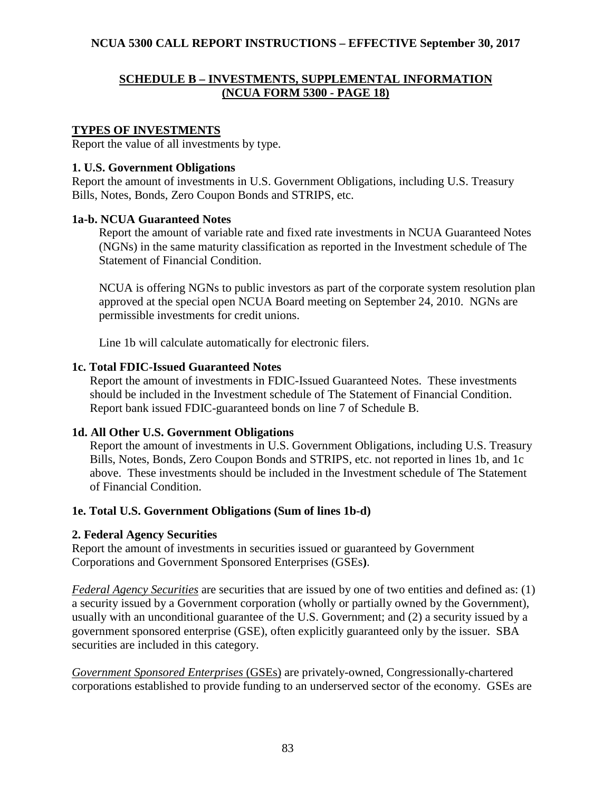## **SCHEDULE B – INVESTMENTS, SUPPLEMENTAL INFORMATION (NCUA FORM 5300 - PAGE 18)**

### **TYPES OF INVESTMENTS**

Report the value of all investments by type.

### **1. U.S. Government Obligations**

Report the amount of investments in U.S. Government Obligations, including U.S. Treasury Bills, Notes, Bonds, Zero Coupon Bonds and STRIPS, etc.

## **1a-b. NCUA Guaranteed Notes**

Report the amount of variable rate and fixed rate investments in NCUA Guaranteed Notes (NGNs) in the same maturity classification as reported in the Investment schedule of The Statement of Financial Condition.

NCUA is offering NGNs to public investors as part of the corporate system resolution plan approved at the special open NCUA Board meeting on September 24, 2010. NGNs are permissible investments for credit unions.

Line 1b will calculate automatically for electronic filers.

## **1c. Total FDIC-Issued Guaranteed Notes**

Report the amount of investments in FDIC-Issued Guaranteed Notes. These investments should be included in the Investment schedule of The Statement of Financial Condition. Report bank issued FDIC-guaranteed bonds on line 7 of Schedule B.

# **1d. All Other U.S. Government Obligations**

Report the amount of investments in U.S. Government Obligations, including U.S. Treasury Bills, Notes, Bonds, Zero Coupon Bonds and STRIPS, etc. not reported in lines 1b, and 1c above. These investments should be included in the Investment schedule of The Statement of Financial Condition.

# **1e. Total U.S. Government Obligations (Sum of lines 1b-d)**

# **2. Federal Agency Securities**

Report the amount of investments in securities issued or guaranteed by Government Corporations and Government Sponsored Enterprises (GSEs**)**.

*Federal Agency Securities* are securities that are issued by one of two entities and defined as: (1) a security issued by a Government corporation (wholly or partially owned by the Government), usually with an unconditional guarantee of the U.S. Government; and (2) a security issued by a government sponsored enterprise (GSE), often explicitly guaranteed only by the issuer. SBA securities are included in this category.

*Government Sponsored Enterprises* (GSEs) are privately-owned, Congressionally-chartered corporations established to provide funding to an underserved sector of the economy. GSEs are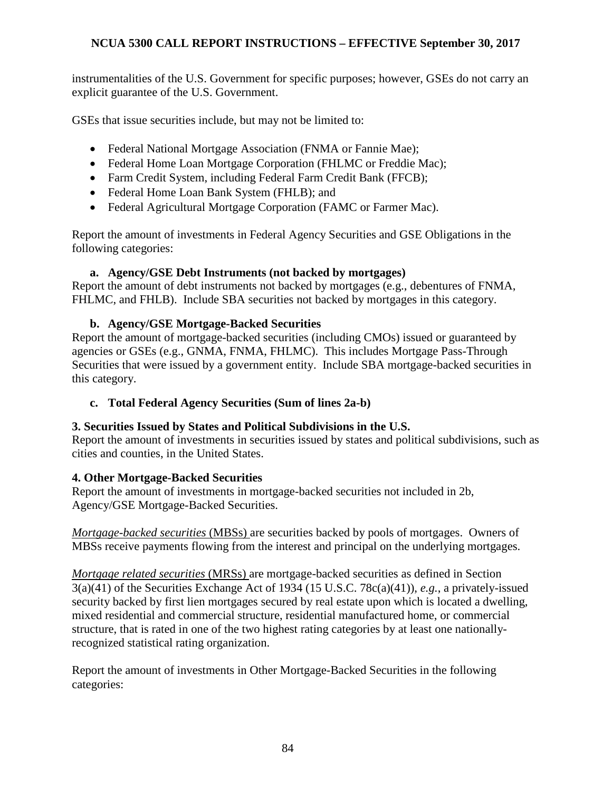instrumentalities of the U.S. Government for specific purposes; however, GSEs do not carry an explicit guarantee of the U.S. Government.

GSEs that issue securities include, but may not be limited to:

- Federal National Mortgage Association (FNMA or Fannie Mae);
- Federal Home Loan Mortgage Corporation (FHLMC or Freddie Mac);
- Farm Credit System, including Federal Farm Credit Bank (FFCB);
- Federal Home Loan Bank System (FHLB); and
- Federal Agricultural Mortgage Corporation (FAMC or Farmer Mac).

Report the amount of investments in Federal Agency Securities and GSE Obligations in the following categories:

## **a. Agency/GSE Debt Instruments (not backed by mortgages)**

Report the amount of debt instruments not backed by mortgages (e.g., debentures of FNMA, FHLMC, and FHLB). Include SBA securities not backed by mortgages in this category.

## **b. Agency/GSE Mortgage-Backed Securities**

Report the amount of mortgage-backed securities (including CMOs) issued or guaranteed by agencies or GSEs (e.g., GNMA, FNMA, FHLMC). This includes Mortgage Pass-Through Securities that were issued by a government entity. Include SBA mortgage-backed securities in this category.

# **c. Total Federal Agency Securities (Sum of lines 2a-b)**

### **3. Securities Issued by States and Political Subdivisions in the U.S.**

Report the amount of investments in securities issued by states and political subdivisions, such as cities and counties, in the United States.

### **4. Other Mortgage-Backed Securities**

Report the amount of investments in mortgage-backed securities not included in 2b, Agency/GSE Mortgage-Backed Securities.

*Mortgage-backed securities* (MBSs) are securities backed by pools of mortgages. Owners of MBSs receive payments flowing from the interest and principal on the underlying mortgages.

*Mortgage related securities* (MRSs) are mortgage-backed securities as defined in Section 3(a)(41) of the Securities Exchange Act of 1934 (15 U.S.C. 78c(a)(41)), *e.g.*, a privately-issued security backed by first lien mortgages secured by real estate upon which is located a dwelling, mixed residential and commercial structure, residential manufactured home, or commercial structure, that is rated in one of the two highest rating categories by at least one nationallyrecognized statistical rating organization.

Report the amount of investments in Other Mortgage-Backed Securities in the following categories: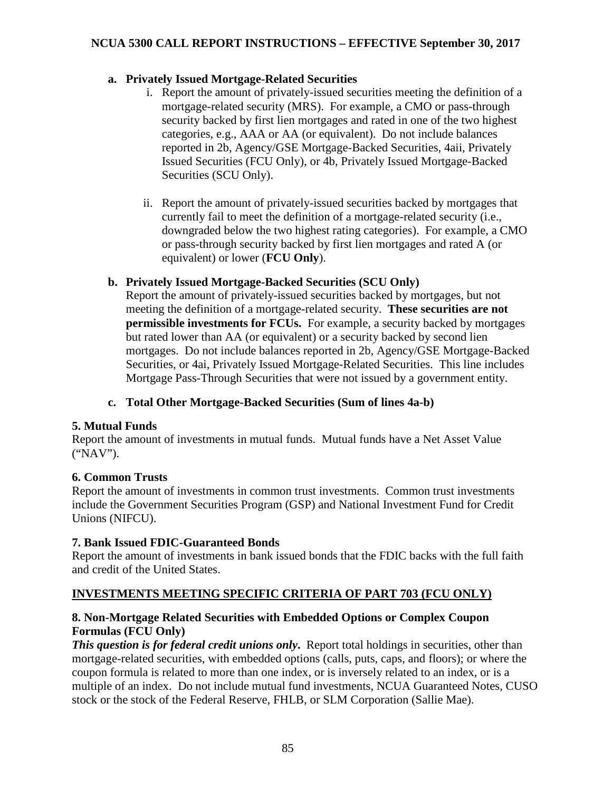## **a. Privately Issued Mortgage-Related Securities**

- i. Report the amount of privately-issued securities meeting the definition of a mortgage-related security (MRS). For example, a CMO or pass-through security backed by first lien mortgages and rated in one of the two highest categories, e.g., AAA or AA (or equivalent). Do not include balances reported in 2b, Agency/GSE Mortgage-Backed Securities, 4aii, Privately Issued Securities (FCU Only), or 4b, Privately Issued Mortgage-Backed Securities (SCU Only).
- ii. Report the amount of privately-issued securities backed by mortgages that currently fail to meet the definition of a mortgage-related security (i.e., downgraded below the two highest rating categories). For example, a CMO or pass-through security backed by first lien mortgages and rated A (or equivalent) or lower (**FCU Only**).

## **b. Privately Issued Mortgage-Backed Securities (SCU Only)**

Report the amount of privately-issued securities backed by mortgages, but not meeting the definition of a mortgage-related security. **These securities are not permissible investments for FCUs.** For example, a security backed by mortgages but rated lower than AA (or equivalent) or a security backed by second lien mortgages. Do not include balances reported in 2b, Agency/GSE Mortgage-Backed Securities, or 4ai, Privately Issued Mortgage-Related Securities. This line includes Mortgage Pass-Through Securities that were not issued by a government entity.

**c. Total Other Mortgage-Backed Securities (Sum of lines 4a-b)**

# **5. Mutual Funds**

Report the amount of investments in mutual funds. Mutual funds have a Net Asset Value ("NAV").

### **6. Common Trusts**

Report the amount of investments in common trust investments. Common trust investments include the Government Securities Program (GSP) and National Investment Fund for Credit Unions (NIFCU).

### **7. Bank Issued FDIC-Guaranteed Bonds**

Report the amount of investments in bank issued bonds that the FDIC backs with the full faith and credit of the United States.

# **INVESTMENTS MEETING SPECIFIC CRITERIA OF PART 703 (FCU ONLY)**

## **8. Non-Mortgage Related Securities with Embedded Options or Complex Coupon Formulas (FCU Only)**

*This question is for federal credit unions only*. Report total holdings in securities, other than mortgage-related securities, with embedded options (calls, puts, caps, and floors); or where the coupon formula is related to more than one index, or is inversely related to an index, or is a multiple of an index. Do not include mutual fund investments, NCUA Guaranteed Notes, CUSO stock or the stock of the Federal Reserve, FHLB, or SLM Corporation (Sallie Mae).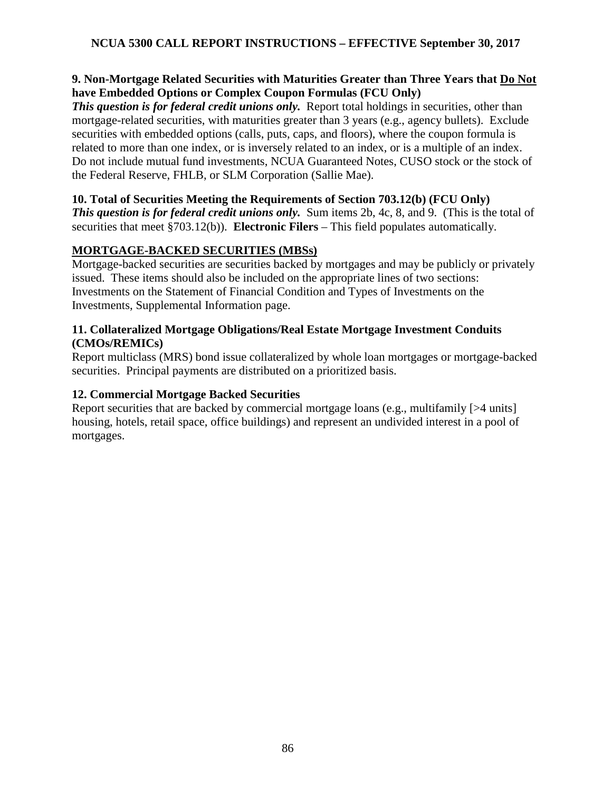## **9. Non-Mortgage Related Securities with Maturities Greater than Three Years that Do Not have Embedded Options or Complex Coupon Formulas (FCU Only)**

*This question is for federal credit unions only.* Report total holdings in securities, other than mortgage-related securities, with maturities greater than 3 years (e.g., agency bullets). Exclude securities with embedded options (calls, puts, caps, and floors), where the coupon formula is related to more than one index, or is inversely related to an index, or is a multiple of an index. Do not include mutual fund investments, NCUA Guaranteed Notes, CUSO stock or the stock of the Federal Reserve, FHLB, or SLM Corporation (Sallie Mae).

## **10. Total of Securities Meeting the Requirements of Section 703.12(b) (FCU Only)**

*This question is for federal credit unions only.* Sum items 2b, 4c, 8, and 9. (This is the total of securities that meet §703.12(b)). **Electronic Filers** – This field populates automatically.

# **MORTGAGE-BACKED SECURITIES (MBSs)**

Mortgage-backed securities are securities backed by mortgages and may be publicly or privately issued. These items should also be included on the appropriate lines of two sections: Investments on the Statement of Financial Condition and Types of Investments on the Investments, Supplemental Information page.

# **11. Collateralized Mortgage Obligations/Real Estate Mortgage Investment Conduits (CMOs/REMICs)**

Report multiclass (MRS) bond issue collateralized by whole loan mortgages or mortgage-backed securities. Principal payments are distributed on a prioritized basis.

# **12. Commercial Mortgage Backed Securities**

Report securities that are backed by commercial mortgage loans (e.g., multifamily [>4 units] housing, hotels, retail space, office buildings) and represent an undivided interest in a pool of mortgages.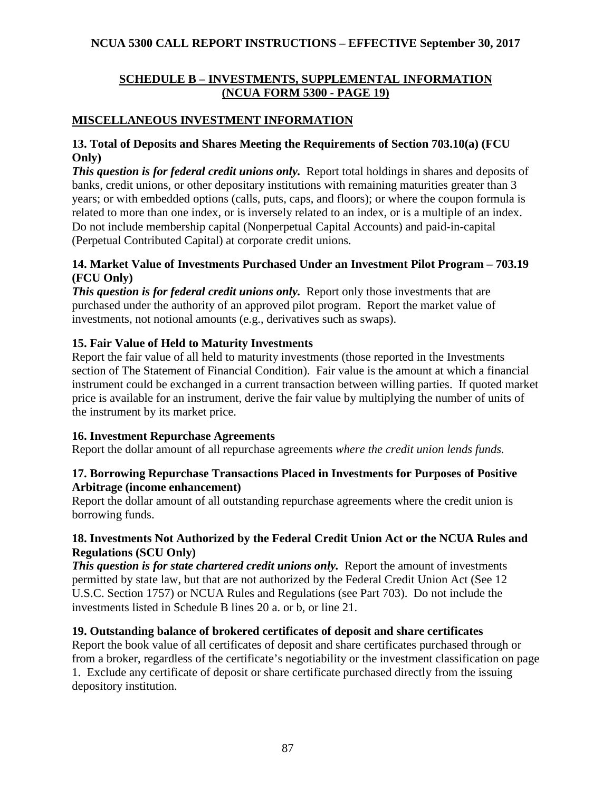# **SCHEDULE B – INVESTMENTS, SUPPLEMENTAL INFORMATION (NCUA FORM 5300 - PAGE 19)**

# **MISCELLANEOUS INVESTMENT INFORMATION**

## **13. Total of Deposits and Shares Meeting the Requirements of Section 703.10(a) (FCU Only)**

*This question is for federal credit unions only.* Report total holdings in shares and deposits of banks, credit unions, or other depositary institutions with remaining maturities greater than 3 years; or with embedded options (calls, puts, caps, and floors); or where the coupon formula is related to more than one index, or is inversely related to an index, or is a multiple of an index. Do not include membership capital (Nonperpetual Capital Accounts) and paid-in-capital (Perpetual Contributed Capital) at corporate credit unions.

## **14. Market Value of Investments Purchased Under an Investment Pilot Program – 703.19 (FCU Only)**

*This question is for federal credit unions only.* Report only those investments that are purchased under the authority of an approved pilot program. Report the market value of investments, not notional amounts (e.g., derivatives such as swaps).

# **15. Fair Value of Held to Maturity Investments**

Report the fair value of all held to maturity investments (those reported in the Investments section of The Statement of Financial Condition). Fair value is the amount at which a financial instrument could be exchanged in a current transaction between willing parties. If quoted market price is available for an instrument, derive the fair value by multiplying the number of units of the instrument by its market price.

# **16. Investment Repurchase Agreements**

Report the dollar amount of all repurchase agreements *where the credit union lends funds.*

## **17. Borrowing Repurchase Transactions Placed in Investments for Purposes of Positive Arbitrage (income enhancement)**

Report the dollar amount of all outstanding repurchase agreements where the credit union is borrowing funds.

# **18. Investments Not Authorized by the Federal Credit Union Act or the NCUA Rules and Regulations (SCU Only)**

**This question is for state chartered credit unions only.** Report the amount of investments permitted by state law, but that are not authorized by the Federal Credit Union Act (See 12 U.S.C. Section 1757) or NCUA Rules and Regulations (see Part 703). Do not include the investments listed in Schedule B lines 20 a. or b, or line 21.

# **19. Outstanding balance of brokered certificates of deposit and share certificates**

Report the book value of all certificates of deposit and share certificates purchased through or from a broker, regardless of the certificate's negotiability or the investment classification on page 1. Exclude any certificate of deposit or share certificate purchased directly from the issuing depository institution.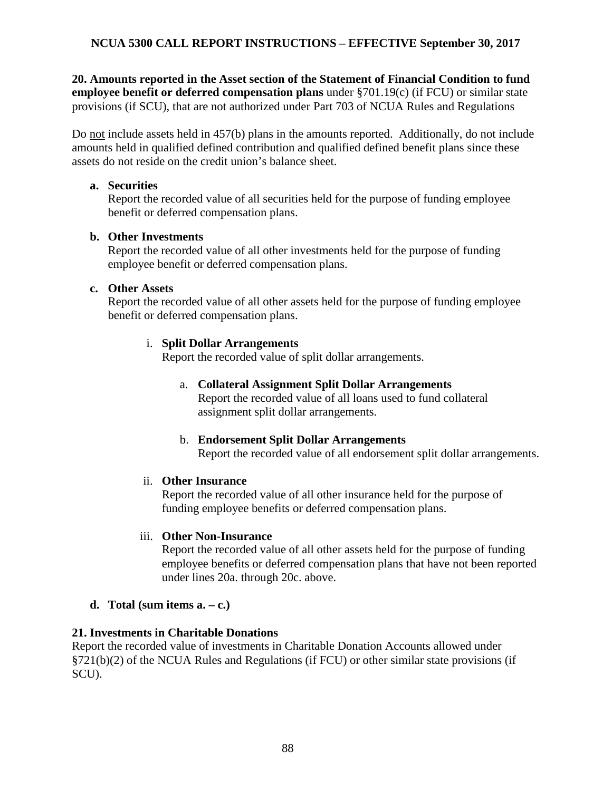**20. Amounts reported in the Asset section of the Statement of Financial Condition to fund employee benefit or deferred compensation plans** under §701.19(c) (if FCU) or similar state provisions (if SCU), that are not authorized under Part 703 of NCUA Rules and Regulations

Do not include assets held in 457(b) plans in the amounts reported. Additionally, do not include amounts held in qualified defined contribution and qualified defined benefit plans since these assets do not reside on the credit union's balance sheet.

## **a. Securities**

Report the recorded value of all securities held for the purpose of funding employee benefit or deferred compensation plans.

# **b. Other Investments**

Report the recorded value of all other investments held for the purpose of funding employee benefit or deferred compensation plans.

## **c. Other Assets**

Report the recorded value of all other assets held for the purpose of funding employee benefit or deferred compensation plans.

# i. **Split Dollar Arrangements**

Report the recorded value of split dollar arrangements.

## a. **Collateral Assignment Split Dollar Arrangements**

Report the recorded value of all loans used to fund collateral assignment split dollar arrangements.

### b. **Endorsement Split Dollar Arrangements**

Report the recorded value of all endorsement split dollar arrangements.

# ii. **Other Insurance**

Report the recorded value of all other insurance held for the purpose of funding employee benefits or deferred compensation plans.

### iii. **Other Non-Insurance**

Report the recorded value of all other assets held for the purpose of funding employee benefits or deferred compensation plans that have not been reported under lines 20a. through 20c. above.

# **d. Total** (sum items  $a - c$ .)

# **21. Investments in Charitable Donations**

Report the recorded value of investments in Charitable Donation Accounts allowed under §721(b)(2) of the NCUA Rules and Regulations (if FCU) or other similar state provisions (if SCU).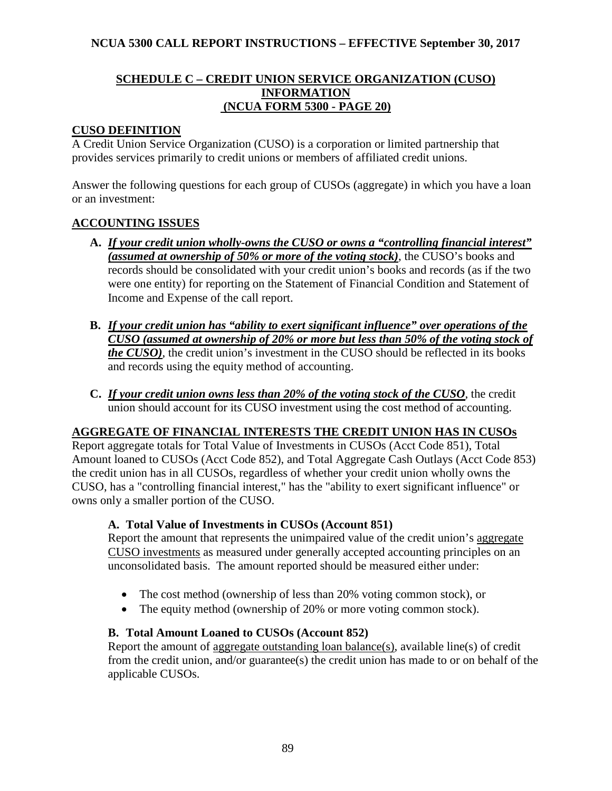# **SCHEDULE C – CREDIT UNION SERVICE ORGANIZATION (CUSO) INFORMATION (NCUA FORM 5300 - PAGE 20)**

# **CUSO DEFINITION**

A Credit Union Service Organization (CUSO) is a corporation or limited partnership that provides services primarily to credit unions or members of affiliated credit unions.

Answer the following questions for each group of CUSOs (aggregate) in which you have a loan or an investment:

# **ACCOUNTING ISSUES**

- **A.** *If your credit union wholly-owns the CUSO or owns a "controlling financial interest" (assumed at ownership of 50% or more of the voting stock)*, the CUSO's books and records should be consolidated with your credit union's books and records (as if the two were one entity) for reporting on the Statement of Financial Condition and Statement of Income and Expense of the call report.
- **B.** *If your credit union has "ability to exert significant influence" over operations of the CUSO (assumed at ownership of 20% or more but less than 50% of the voting stock of the CUSO)*, the credit union's investment in the CUSO should be reflected in its books and records using the equity method of accounting.
- **C.** *If your credit union owns less than 20% of the voting stock of the CUSO*, the credit union should account for its CUSO investment using the cost method of accounting.

# **AGGREGATE OF FINANCIAL INTERESTS THE CREDIT UNION HAS IN CUSOs**

Report aggregate totals for Total Value of Investments in CUSOs (Acct Code 851), Total Amount loaned to CUSOs (Acct Code 852), and Total Aggregate Cash Outlays (Acct Code 853) the credit union has in all CUSOs, regardless of whether your credit union wholly owns the CUSO, has a "controlling financial interest," has the "ability to exert significant influence" or owns only a smaller portion of the CUSO.

# **A. Total Value of Investments in CUSOs (Account 851)**

Report the amount that represents the unimpaired value of the credit union's aggregate CUSO investments as measured under generally accepted accounting principles on an unconsolidated basis. The amount reported should be measured either under:

- The cost method (ownership of less than 20% voting common stock), or
- The equity method (ownership of 20% or more voting common stock).

### **B. Total Amount Loaned to CUSOs (Account 852)**

Report the amount of aggregate outstanding loan balance(s), available line(s) of credit from the credit union, and/or guarantee(s) the credit union has made to or on behalf of the applicable CUSOs.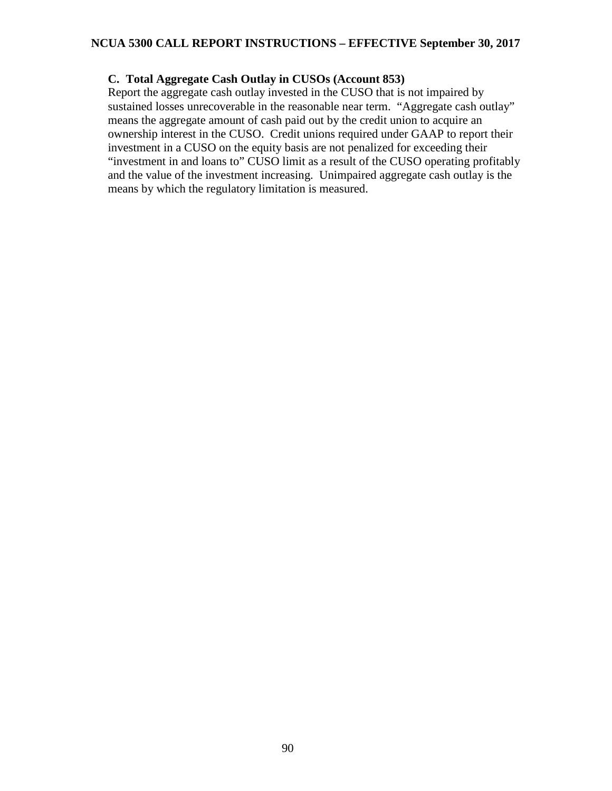## **C. Total Aggregate Cash Outlay in CUSOs (Account 853)**

Report the aggregate cash outlay invested in the CUSO that is not impaired by sustained losses unrecoverable in the reasonable near term. "Aggregate cash outlay" means the aggregate amount of cash paid out by the credit union to acquire an ownership interest in the CUSO. Credit unions required under GAAP to report their investment in a CUSO on the equity basis are not penalized for exceeding their "investment in and loans to" CUSO limit as a result of the CUSO operating profitably and the value of the investment increasing. Unimpaired aggregate cash outlay is the means by which the regulatory limitation is measured.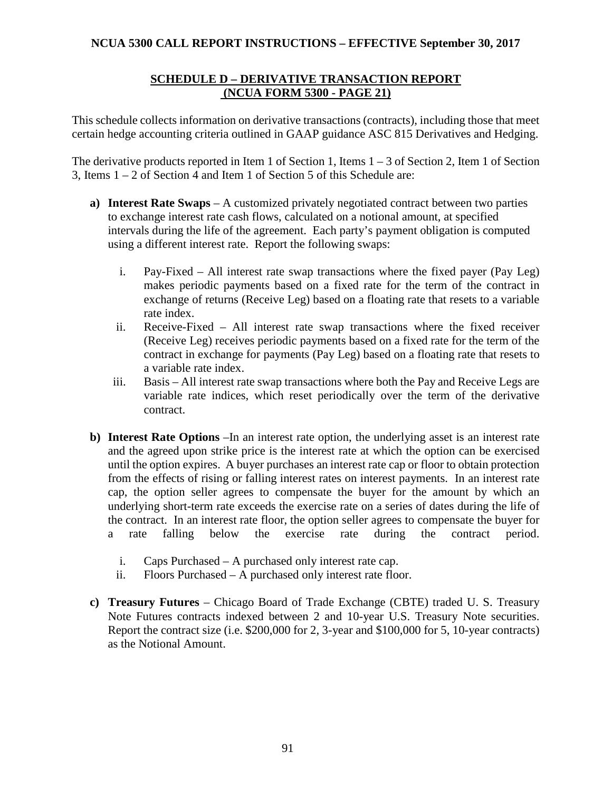## **SCHEDULE D – DERIVATIVE TRANSACTION REPORT (NCUA FORM 5300 - PAGE 21)**

This schedule collects information on derivative transactions (contracts), including those that meet certain hedge accounting criteria outlined in GAAP guidance ASC 815 Derivatives and Hedging.

The derivative products reported in Item 1 of Section 1, Items  $1 - 3$  of Section 2, Item 1 of Section 3, Items 1 – 2 of Section 4 and Item 1 of Section 5 of this Schedule are:

- **a) Interest Rate Swaps** A customized privately negotiated contract between two parties to exchange interest rate cash flows, calculated on a notional amount, at specified intervals during the life of the agreement. Each party's payment obligation is computed using a different interest rate. Report the following swaps:
	- i. Pay-Fixed All interest rate swap transactions where the fixed payer (Pay Leg) makes periodic payments based on a fixed rate for the term of the contract in exchange of returns (Receive Leg) based on a floating rate that resets to a variable rate index.
	- ii. Receive-Fixed All interest rate swap transactions where the fixed receiver (Receive Leg) receives periodic payments based on a fixed rate for the term of the contract in exchange for payments (Pay Leg) based on a floating rate that resets to a variable rate index.
	- iii. Basis All interest rate swap transactions where both the Pay and Receive Legs are variable rate indices, which reset periodically over the term of the derivative contract.
- **b) Interest Rate Options** –In an interest rate option, the underlying asset is an interest rate and the agreed upon strike price is the interest rate at which the option can be exercised until the option expires. A buyer purchases an interest rate cap or floor to obtain protection from the effects of rising or falling interest rates on interest payments. In an interest rate cap, the option seller agrees to compensate the buyer for the amount by which an underlying short-term rate exceeds the exercise rate on a series of dates during the life of the contract. In an interest rate floor, the option seller agrees to compensate the buyer for a rate falling below the exercise rate during the contract period.
	- i. Caps Purchased A purchased only interest rate cap.
	- ii. Floors Purchased A purchased only interest rate floor.
- **c) Treasury Futures** Chicago Board of Trade Exchange (CBTE) traded U. S. Treasury Note Futures contracts indexed between 2 and 10-year U.S. Treasury Note securities. Report the contract size (i.e. \$200,000 for 2, 3-year and \$100,000 for 5, 10-year contracts) as the Notional Amount.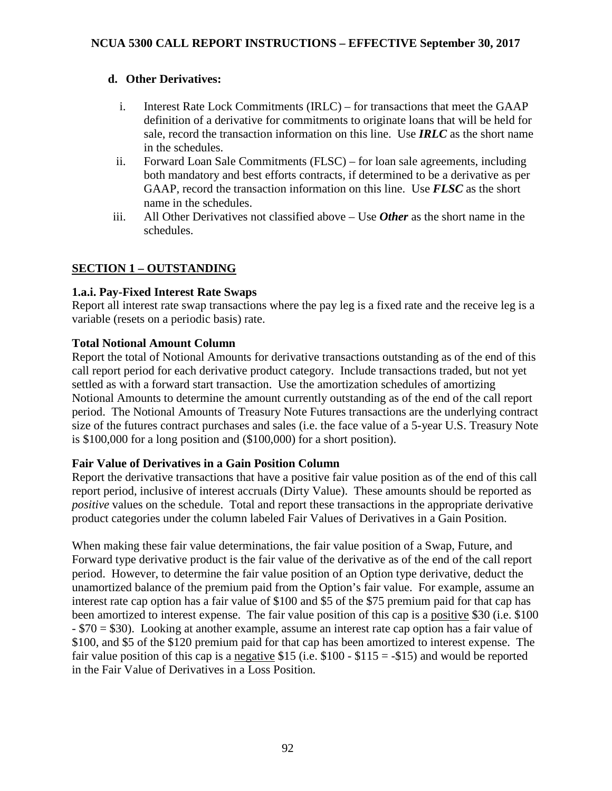# **d. Other Derivatives:**

- i. Interest Rate Lock Commitments (IRLC) for transactions that meet the GAAP definition of a derivative for commitments to originate loans that will be held for sale, record the transaction information on this line. Use *IRLC* as the short name in the schedules.
- ii. Forward Loan Sale Commitments (FLSC) for loan sale agreements, including both mandatory and best efforts contracts, if determined to be a derivative as per GAAP, record the transaction information on this line. Use *FLSC* as the short name in the schedules.
- iii. All Other Derivatives not classified above Use *Other* as the short name in the schedules.

# **SECTION 1 – OUTSTANDING**

# **1.a.i. Pay-Fixed Interest Rate Swaps**

Report all interest rate swap transactions where the pay leg is a fixed rate and the receive leg is a variable (resets on a periodic basis) rate.

# **Total Notional Amount Column**

Report the total of Notional Amounts for derivative transactions outstanding as of the end of this call report period for each derivative product category. Include transactions traded, but not yet settled as with a forward start transaction. Use the amortization schedules of amortizing Notional Amounts to determine the amount currently outstanding as of the end of the call report period. The Notional Amounts of Treasury Note Futures transactions are the underlying contract size of the futures contract purchases and sales (i.e. the face value of a 5-year U.S. Treasury Note is \$100,000 for a long position and (\$100,000) for a short position).

# **Fair Value of Derivatives in a Gain Position Column**

Report the derivative transactions that have a positive fair value position as of the end of this call report period, inclusive of interest accruals (Dirty Value). These amounts should be reported as *positive* values on the schedule. Total and report these transactions in the appropriate derivative product categories under the column labeled Fair Values of Derivatives in a Gain Position.

When making these fair value determinations, the fair value position of a Swap, Future, and Forward type derivative product is the fair value of the derivative as of the end of the call report period. However, to determine the fair value position of an Option type derivative, deduct the unamortized balance of the premium paid from the Option's fair value. For example, assume an interest rate cap option has a fair value of \$100 and \$5 of the \$75 premium paid for that cap has been amortized to interest expense. The fair value position of this cap is a positive \$30 (i.e. \$100) - \$70 = \$30). Looking at another example, assume an interest rate cap option has a fair value of \$100, and \$5 of the \$120 premium paid for that cap has been amortized to interest expense. The fair value position of this cap is a negative \$15 (i.e.  $$100 - $115 = - $15$ ) and would be reported in the Fair Value of Derivatives in a Loss Position.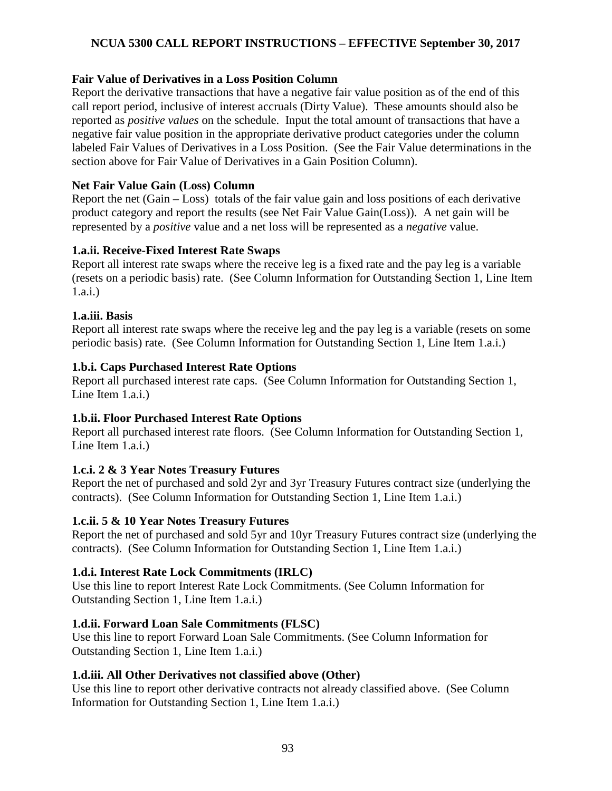# **Fair Value of Derivatives in a Loss Position Column**

Report the derivative transactions that have a negative fair value position as of the end of this call report period, inclusive of interest accruals (Dirty Value). These amounts should also be reported as *positive values* on the schedule. Input the total amount of transactions that have a negative fair value position in the appropriate derivative product categories under the column labeled Fair Values of Derivatives in a Loss Position. (See the Fair Value determinations in the section above for Fair Value of Derivatives in a Gain Position Column).

## **Net Fair Value Gain (Loss) Column**

Report the net (Gain – Loss) totals of the fair value gain and loss positions of each derivative product category and report the results (see Net Fair Value Gain(Loss)). A net gain will be represented by a *positive* value and a net loss will be represented as a *negative* value.

## **1.a.ii. Receive-Fixed Interest Rate Swaps**

Report all interest rate swaps where the receive leg is a fixed rate and the pay leg is a variable (resets on a periodic basis) rate. (See Column Information for Outstanding Section 1, Line Item 1.a.i.)

## **1.a.iii. Basis**

Report all interest rate swaps where the receive leg and the pay leg is a variable (resets on some periodic basis) rate. (See Column Information for Outstanding Section 1, Line Item 1.a.i.)

## **1.b.i. Caps Purchased Interest Rate Options**

Report all purchased interest rate caps. (See Column Information for Outstanding Section 1, Line Item 1.a.i.)

# **1.b.ii. Floor Purchased Interest Rate Options**

Report all purchased interest rate floors. (See Column Information for Outstanding Section 1, Line Item 1.a.i.)

# **1.c.i. 2 & 3 Year Notes Treasury Futures**

Report the net of purchased and sold 2yr and 3yr Treasury Futures contract size (underlying the contracts). (See Column Information for Outstanding Section 1, Line Item 1.a.i.)

### **1.c.ii. 5 & 10 Year Notes Treasury Futures**

Report the net of purchased and sold 5yr and 10yr Treasury Futures contract size (underlying the contracts). (See Column Information for Outstanding Section 1, Line Item 1.a.i.)

# **1.d.i. Interest Rate Lock Commitments (IRLC)**

Use this line to report Interest Rate Lock Commitments. (See Column Information for Outstanding Section 1, Line Item 1.a.i.)

# **1.d.ii. Forward Loan Sale Commitments (FLSC)**

Use this line to report Forward Loan Sale Commitments. (See Column Information for Outstanding Section 1, Line Item 1.a.i.)

# **1.d.iii. All Other Derivatives not classified above (Other)**

Use this line to report other derivative contracts not already classified above. (See Column Information for Outstanding Section 1, Line Item 1.a.i.)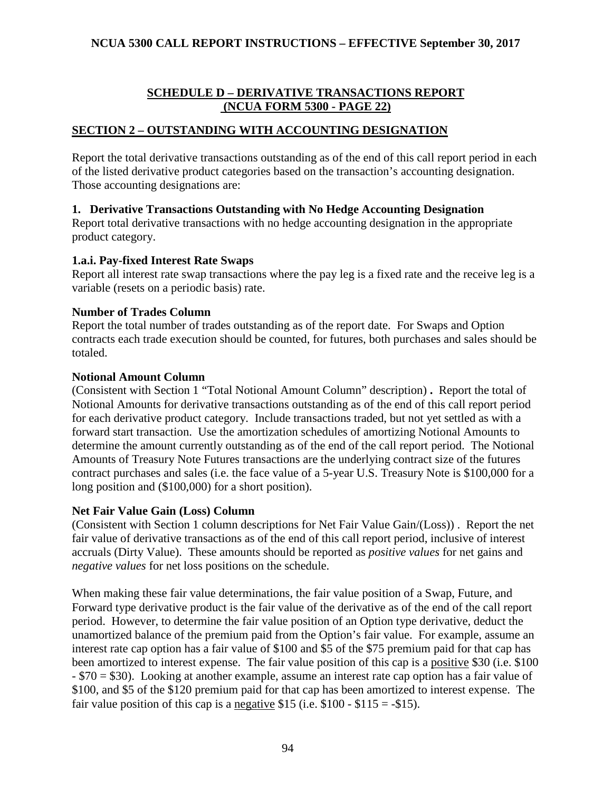# **SCHEDULE D – DERIVATIVE TRANSACTIONS REPORT (NCUA FORM 5300 - PAGE 22)**

## **SECTION 2 – OUTSTANDING WITH ACCOUNTING DESIGNATION**

Report the total derivative transactions outstanding as of the end of this call report period in each of the listed derivative product categories based on the transaction's accounting designation. Those accounting designations are:

## **1. Derivative Transactions Outstanding with No Hedge Accounting Designation**

Report total derivative transactions with no hedge accounting designation in the appropriate product category.

### **1.a.i. Pay-fixed Interest Rate Swaps**

Report all interest rate swap transactions where the pay leg is a fixed rate and the receive leg is a variable (resets on a periodic basis) rate.

#### **Number of Trades Column**

Report the total number of trades outstanding as of the report date. For Swaps and Option contracts each trade execution should be counted, for futures, both purchases and sales should be totaled.

#### **Notional Amount Column**

(Consistent with Section 1 "Total Notional Amount Column" description) **.** Report the total of Notional Amounts for derivative transactions outstanding as of the end of this call report period for each derivative product category. Include transactions traded, but not yet settled as with a forward start transaction. Use the amortization schedules of amortizing Notional Amounts to determine the amount currently outstanding as of the end of the call report period. The Notional Amounts of Treasury Note Futures transactions are the underlying contract size of the futures contract purchases and sales (i.e. the face value of a 5-year U.S. Treasury Note is \$100,000 for a long position and (\$100,000) for a short position).

### **Net Fair Value Gain (Loss) Column**

(Consistent with Section 1 column descriptions for Net Fair Value Gain/(Loss)) . Report the net fair value of derivative transactions as of the end of this call report period, inclusive of interest accruals (Dirty Value). These amounts should be reported as *positive values* for net gains and *negative values* for net loss positions on the schedule.

When making these fair value determinations, the fair value position of a Swap, Future, and Forward type derivative product is the fair value of the derivative as of the end of the call report period. However, to determine the fair value position of an Option type derivative, deduct the unamortized balance of the premium paid from the Option's fair value. For example, assume an interest rate cap option has a fair value of \$100 and \$5 of the \$75 premium paid for that cap has been amortized to interest expense. The fair value position of this cap is a positive \$30 (i.e. \$100 - \$70 = \$30). Looking at another example, assume an interest rate cap option has a fair value of \$100, and \$5 of the \$120 premium paid for that cap has been amortized to interest expense. The fair value position of this cap is a negative \$15 (i.e.  $$100 - $115 = -$15$ ).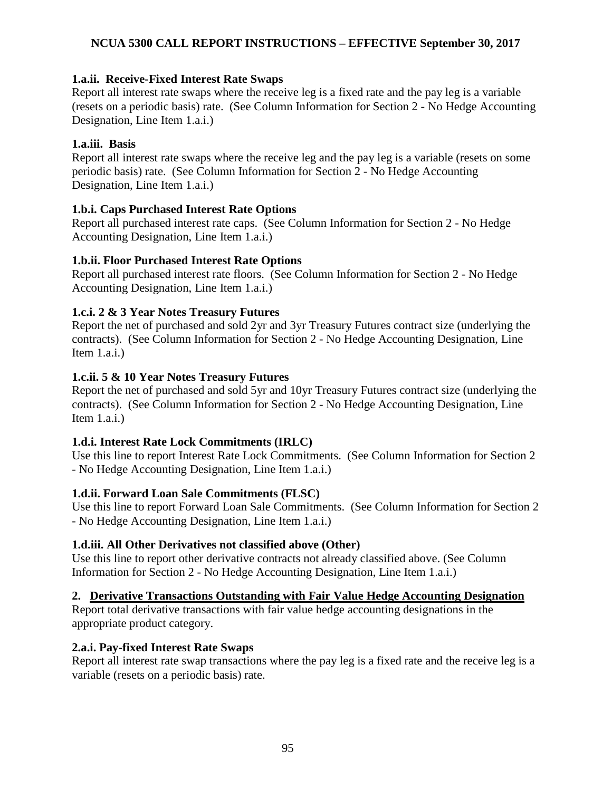## **1.a.ii. Receive-Fixed Interest Rate Swaps**

Report all interest rate swaps where the receive leg is a fixed rate and the pay leg is a variable (resets on a periodic basis) rate. (See Column Information for Section 2 - No Hedge Accounting Designation, Line Item 1.a.i.)

## **1.a.iii. Basis**

Report all interest rate swaps where the receive leg and the pay leg is a variable (resets on some periodic basis) rate. (See Column Information for Section 2 - No Hedge Accounting Designation, Line Item 1.a.i.)

## **1.b.i. Caps Purchased Interest Rate Options**

Report all purchased interest rate caps. (See Column Information for Section 2 - No Hedge Accounting Designation, Line Item 1.a.i.)

## **1.b.ii. Floor Purchased Interest Rate Options**

Report all purchased interest rate floors. (See Column Information for Section 2 - No Hedge Accounting Designation, Line Item 1.a.i.)

## **1.c.i. 2 & 3 Year Notes Treasury Futures**

Report the net of purchased and sold 2yr and 3yr Treasury Futures contract size (underlying the contracts). (See Column Information for Section 2 - No Hedge Accounting Designation, Line Item 1.a.i.)

## **1.c.ii. 5 & 10 Year Notes Treasury Futures**

Report the net of purchased and sold 5yr and 10yr Treasury Futures contract size (underlying the contracts). (See Column Information for Section 2 - No Hedge Accounting Designation, Line Item  $1.a.i.$ )

# **1.d.i. Interest Rate Lock Commitments (IRLC)**

Use this line to report Interest Rate Lock Commitments. (See Column Information for Section 2 - No Hedge Accounting Designation, Line Item 1.a.i.)

### **1.d.ii. Forward Loan Sale Commitments (FLSC)**

Use this line to report Forward Loan Sale Commitments. (See Column Information for Section 2 - No Hedge Accounting Designation, Line Item 1.a.i.)

### **1.d.iii. All Other Derivatives not classified above (Other)**

Use this line to report other derivative contracts not already classified above. (See Column Information for Section 2 - No Hedge Accounting Designation, Line Item 1.a.i.)

# **2. Derivative Transactions Outstanding with Fair Value Hedge Accounting Designation**

Report total derivative transactions with fair value hedge accounting designations in the appropriate product category.

### **2.a.i. Pay-fixed Interest Rate Swaps**

Report all interest rate swap transactions where the pay leg is a fixed rate and the receive leg is a variable (resets on a periodic basis) rate.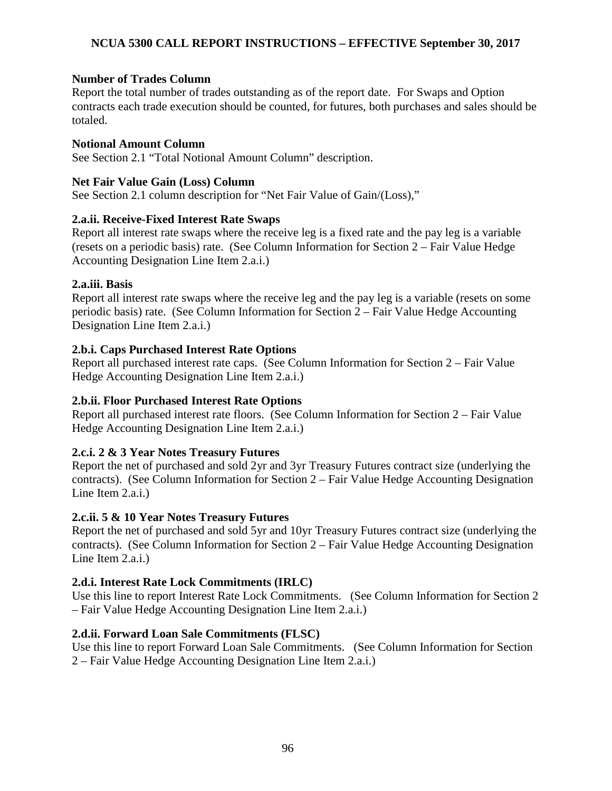## **Number of Trades Column**

Report the total number of trades outstanding as of the report date. For Swaps and Option contracts each trade execution should be counted, for futures, both purchases and sales should be totaled.

### **Notional Amount Column**

See Section 2.1 "Total Notional Amount Column" description.

### **Net Fair Value Gain (Loss) Column**

See Section 2.1 column description for "Net Fair Value of Gain/(Loss),"

## **2.a.ii. Receive-Fixed Interest Rate Swaps**

Report all interest rate swaps where the receive leg is a fixed rate and the pay leg is a variable (resets on a periodic basis) rate. (See Column Information for Section 2 – Fair Value Hedge Accounting Designation Line Item 2.a.i.)

## **2.a.iii. Basis**

Report all interest rate swaps where the receive leg and the pay leg is a variable (resets on some periodic basis) rate. (See Column Information for Section 2 – Fair Value Hedge Accounting Designation Line Item 2.a.i.)

## **2.b.i. Caps Purchased Interest Rate Options**

Report all purchased interest rate caps. (See Column Information for Section 2 – Fair Value Hedge Accounting Designation Line Item 2.a.i.)

# **2.b.ii. Floor Purchased Interest Rate Options**

Report all purchased interest rate floors. (See Column Information for Section 2 – Fair Value Hedge Accounting Designation Line Item 2.a.i.)

# **2.c.i. 2 & 3 Year Notes Treasury Futures**

Report the net of purchased and sold 2yr and 3yr Treasury Futures contract size (underlying the contracts). (See Column Information for Section 2 – Fair Value Hedge Accounting Designation Line Item 2.a.i.)

# **2.c.ii. 5 & 10 Year Notes Treasury Futures**

Report the net of purchased and sold 5yr and 10yr Treasury Futures contract size (underlying the contracts). (See Column Information for Section 2 – Fair Value Hedge Accounting Designation Line Item 2.a.i.)

# **2.d.i. Interest Rate Lock Commitments (IRLC)**

Use this line to report Interest Rate Lock Commitments. (See Column Information for Section 2 – Fair Value Hedge Accounting Designation Line Item 2.a.i.)

# **2.d.ii. Forward Loan Sale Commitments (FLSC)**

Use this line to report Forward Loan Sale Commitments. (See Column Information for Section 2 – Fair Value Hedge Accounting Designation Line Item 2.a.i.)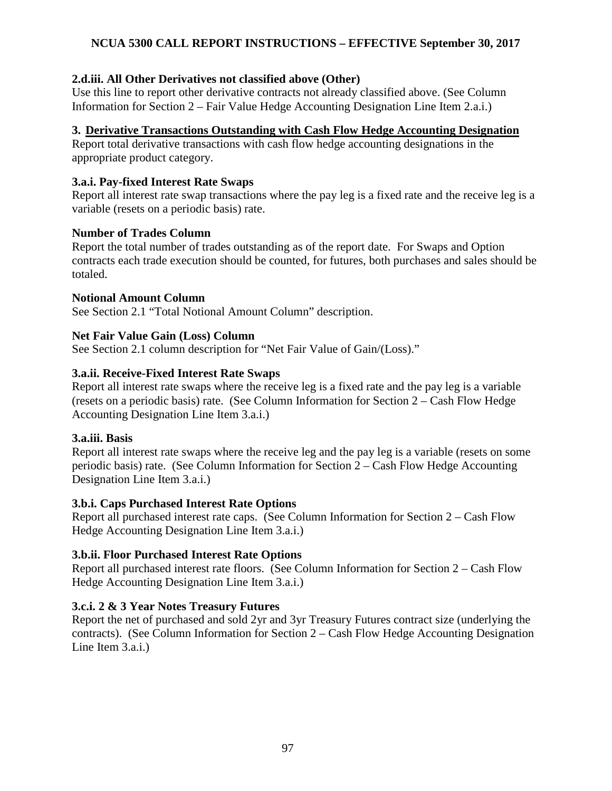## **2.d.iii. All Other Derivatives not classified above (Other)**

Use this line to report other derivative contracts not already classified above. (See Column Information for Section 2 – Fair Value Hedge Accounting Designation Line Item 2.a.i.)

### **3. Derivative Transactions Outstanding with Cash Flow Hedge Accounting Designation**

Report total derivative transactions with cash flow hedge accounting designations in the appropriate product category.

### **3.a.i. Pay-fixed Interest Rate Swaps**

Report all interest rate swap transactions where the pay leg is a fixed rate and the receive leg is a variable (resets on a periodic basis) rate.

### **Number of Trades Column**

Report the total number of trades outstanding as of the report date. For Swaps and Option contracts each trade execution should be counted, for futures, both purchases and sales should be totaled.

### **Notional Amount Column**

See Section 2.1 "Total Notional Amount Column" description.

## **Net Fair Value Gain (Loss) Column**

See Section 2.1 column description for "Net Fair Value of Gain/(Loss)."

## **3.a.ii. Receive-Fixed Interest Rate Swaps**

Report all interest rate swaps where the receive leg is a fixed rate and the pay leg is a variable (resets on a periodic basis) rate. (See Column Information for Section 2 – Cash Flow Hedge Accounting Designation Line Item 3.a.i.)

### **3.a.iii. Basis**

Report all interest rate swaps where the receive leg and the pay leg is a variable (resets on some periodic basis) rate. (See Column Information for Section 2 – Cash Flow Hedge Accounting Designation Line Item 3.a.i.)

### **3.b.i. Caps Purchased Interest Rate Options**

Report all purchased interest rate caps. (See Column Information for Section 2 – Cash Flow Hedge Accounting Designation Line Item 3.a.i.)

### **3.b.ii. Floor Purchased Interest Rate Options**

Report all purchased interest rate floors. (See Column Information for Section 2 – Cash Flow Hedge Accounting Designation Line Item 3.a.i.)

### **3.c.i. 2 & 3 Year Notes Treasury Futures**

Report the net of purchased and sold 2yr and 3yr Treasury Futures contract size (underlying the contracts). (See Column Information for Section 2 – Cash Flow Hedge Accounting Designation Line Item 3.a.i.)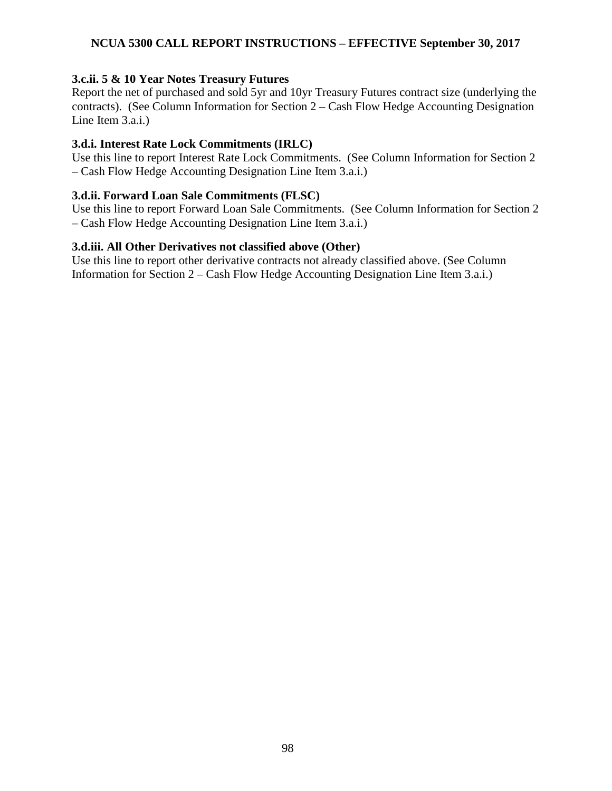#### **3.c.ii. 5 & 10 Year Notes Treasury Futures**

Report the net of purchased and sold 5yr and 10yr Treasury Futures contract size (underlying the contracts). (See Column Information for Section 2 – Cash Flow Hedge Accounting Designation Line Item 3.a.i.)

### **3.d.i. Interest Rate Lock Commitments (IRLC)**

Use this line to report Interest Rate Lock Commitments. (See Column Information for Section 2 – Cash Flow Hedge Accounting Designation Line Item 3.a.i.)

#### **3.d.ii. Forward Loan Sale Commitments (FLSC)**

Use this line to report Forward Loan Sale Commitments. (See Column Information for Section 2 – Cash Flow Hedge Accounting Designation Line Item 3.a.i.)

#### **3.d.iii. All Other Derivatives not classified above (Other)**

Use this line to report other derivative contracts not already classified above. (See Column Information for Section 2 – Cash Flow Hedge Accounting Designation Line Item 3.a.i.)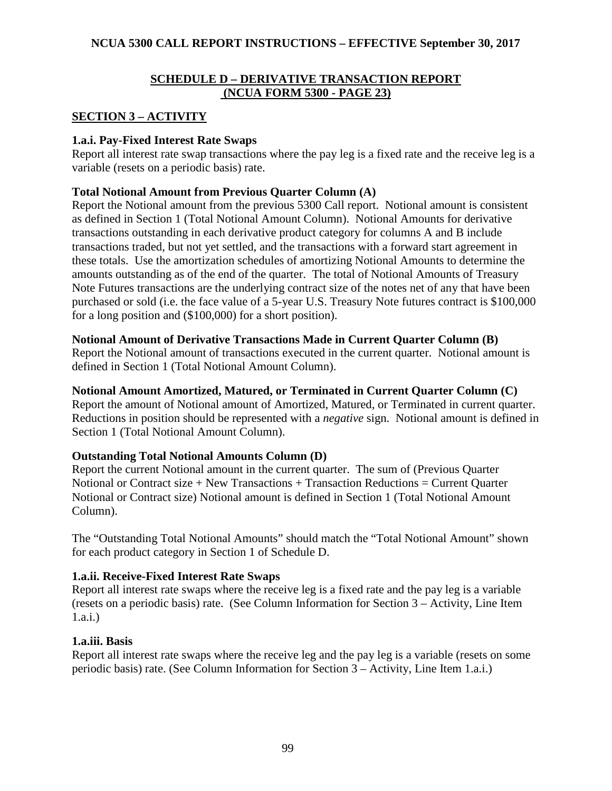## **SCHEDULE D – DERIVATIVE TRANSACTION REPORT (NCUA FORM 5300 - PAGE 23)**

# **SECTION 3 – ACTIVITY**

### **1.a.i. Pay-Fixed Interest Rate Swaps**

Report all interest rate swap transactions where the pay leg is a fixed rate and the receive leg is a variable (resets on a periodic basis) rate.

### **Total Notional Amount from Previous Quarter Column (A)**

Report the Notional amount from the previous 5300 Call report. Notional amount is consistent as defined in Section 1 (Total Notional Amount Column). Notional Amounts for derivative transactions outstanding in each derivative product category for columns A and B include transactions traded, but not yet settled, and the transactions with a forward start agreement in these totals. Use the amortization schedules of amortizing Notional Amounts to determine the amounts outstanding as of the end of the quarter. The total of Notional Amounts of Treasury Note Futures transactions are the underlying contract size of the notes net of any that have been purchased or sold (i.e. the face value of a 5-year U.S. Treasury Note futures contract is \$100,000 for a long position and (\$100,000) for a short position).

### **Notional Amount of Derivative Transactions Made in Current Quarter Column (B)**

Report the Notional amount of transactions executed in the current quarter. Notional amount is defined in Section 1 (Total Notional Amount Column).

# **Notional Amount Amortized, Matured, or Terminated in Current Quarter Column (C)**

Report the amount of Notional amount of Amortized, Matured, or Terminated in current quarter. Reductions in position should be represented with a *negative* sign. Notional amount is defined in Section 1 (Total Notional Amount Column).

### **Outstanding Total Notional Amounts Column (D)**

Report the current Notional amount in the current quarter. The sum of (Previous Quarter Notional or Contract size + New Transactions + Transaction Reductions = Current Quarter Notional or Contract size) Notional amount is defined in Section 1 (Total Notional Amount Column).

The "Outstanding Total Notional Amounts" should match the "Total Notional Amount" shown for each product category in Section 1 of Schedule D.

### **1.a.ii. Receive-Fixed Interest Rate Swaps**

Report all interest rate swaps where the receive leg is a fixed rate and the pay leg is a variable (resets on a periodic basis) rate. (See Column Information for Section 3 – Activity, Line Item 1.a.i.)

# **1.a.iii. Basis**

Report all interest rate swaps where the receive leg and the pay leg is a variable (resets on some periodic basis) rate. (See Column Information for Section 3 – Activity, Line Item 1.a.i.)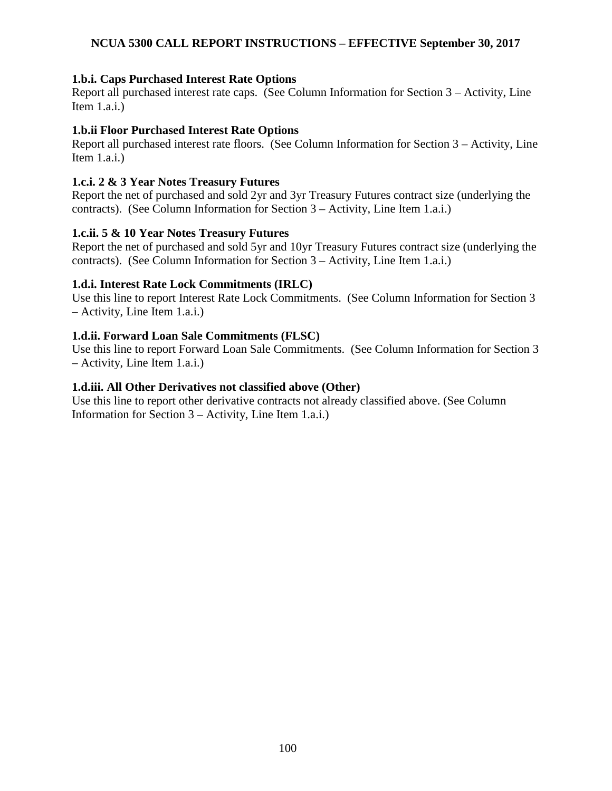## **1.b.i. Caps Purchased Interest Rate Options**

Report all purchased interest rate caps. (See Column Information for Section 3 – Activity, Line Item  $1.a.i.$ )

### **1.b.ii Floor Purchased Interest Rate Options**

Report all purchased interest rate floors. (See Column Information for Section 3 – Activity, Line Item 1.a.i.)

## **1.c.i. 2 & 3 Year Notes Treasury Futures**

Report the net of purchased and sold 2yr and 3yr Treasury Futures contract size (underlying the contracts). (See Column Information for Section 3 – Activity, Line Item 1.a.i.)

## **1.c.ii. 5 & 10 Year Notes Treasury Futures**

Report the net of purchased and sold 5yr and 10yr Treasury Futures contract size (underlying the contracts). (See Column Information for Section 3 – Activity, Line Item 1.a.i.)

## **1.d.i. Interest Rate Lock Commitments (IRLC)**

Use this line to report Interest Rate Lock Commitments. (See Column Information for Section 3 – Activity, Line Item 1.a.i.)

## **1.d.ii. Forward Loan Sale Commitments (FLSC)**

Use this line to report Forward Loan Sale Commitments. (See Column Information for Section 3 – Activity, Line Item 1.a.i.)

## **1.d.iii. All Other Derivatives not classified above (Other)**

Use this line to report other derivative contracts not already classified above. (See Column Information for Section 3 – Activity, Line Item 1.a.i.)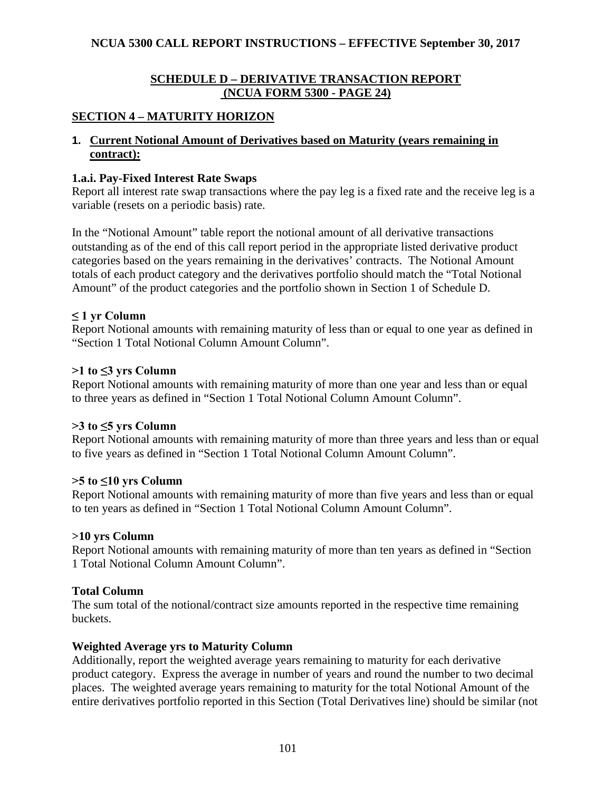## **SCHEDULE D – DERIVATIVE TRANSACTION REPORT (NCUA FORM 5300 - PAGE 24)**

## **SECTION 4 – MATURITY HORIZON**

### **1. Current Notional Amount of Derivatives based on Maturity (years remaining in contract):**

#### **1.a.i. Pay-Fixed Interest Rate Swaps**

Report all interest rate swap transactions where the pay leg is a fixed rate and the receive leg is a variable (resets on a periodic basis) rate.

In the "Notional Amount" table report the notional amount of all derivative transactions outstanding as of the end of this call report period in the appropriate listed derivative product categories based on the years remaining in the derivatives' contracts. The Notional Amount totals of each product category and the derivatives portfolio should match the "Total Notional Amount" of the product categories and the portfolio shown in Section 1 of Schedule D.

### **≤ 1 yr Column**

Report Notional amounts with remaining maturity of less than or equal to one year as defined in "Section 1 Total Notional Column Amount Column".

#### **>1 to ≤3 yrs Column**

Report Notional amounts with remaining maturity of more than one year and less than or equal to three years as defined in "Section 1 Total Notional Column Amount Column".

#### **>3 to ≤5 yrs Column**

Report Notional amounts with remaining maturity of more than three years and less than or equal to five years as defined in "Section 1 Total Notional Column Amount Column".

### **>5 to ≤10 yrs Column**

Report Notional amounts with remaining maturity of more than five years and less than or equal to ten years as defined in "Section 1 Total Notional Column Amount Column".

#### **>10 yrs Column**

Report Notional amounts with remaining maturity of more than ten years as defined in "Section 1 Total Notional Column Amount Column".

### **Total Column**

The sum total of the notional/contract size amounts reported in the respective time remaining buckets.

### **Weighted Average yrs to Maturity Column**

Additionally, report the weighted average years remaining to maturity for each derivative product category. Express the average in number of years and round the number to two decimal places. The weighted average years remaining to maturity for the total Notional Amount of the entire derivatives portfolio reported in this Section (Total Derivatives line) should be similar (not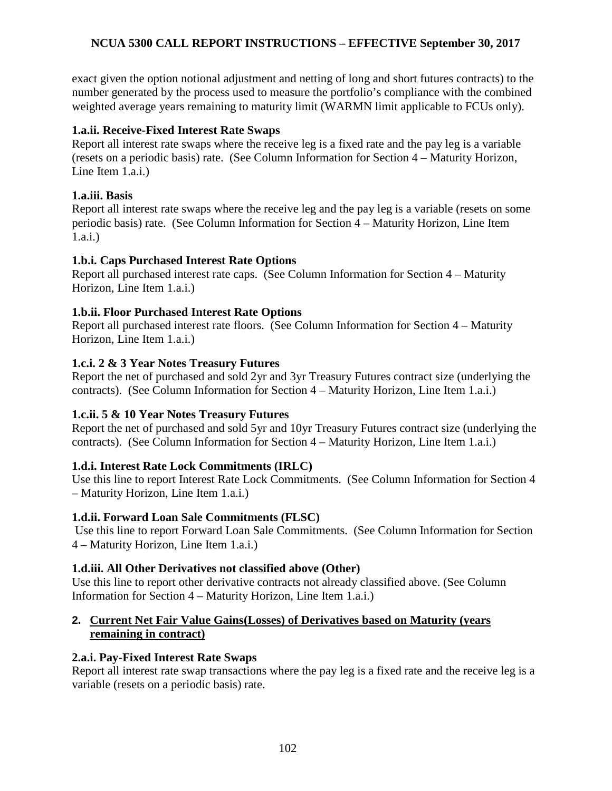exact given the option notional adjustment and netting of long and short futures contracts) to the number generated by the process used to measure the portfolio's compliance with the combined weighted average years remaining to maturity limit (WARMN limit applicable to FCUs only).

## **1.a.ii. Receive-Fixed Interest Rate Swaps**

Report all interest rate swaps where the receive leg is a fixed rate and the pay leg is a variable (resets on a periodic basis) rate. (See Column Information for Section 4 – Maturity Horizon, Line Item 1.a.i.)

## **1.a.iii. Basis**

Report all interest rate swaps where the receive leg and the pay leg is a variable (resets on some periodic basis) rate. (See Column Information for Section 4 – Maturity Horizon, Line Item 1.a.i.)

## **1.b.i. Caps Purchased Interest Rate Options**

Report all purchased interest rate caps. (See Column Information for Section 4 – Maturity Horizon, Line Item 1.a.i.)

## **1.b.ii. Floor Purchased Interest Rate Options**

Report all purchased interest rate floors. (See Column Information for Section 4 – Maturity Horizon, Line Item 1.a.i.)

## **1.c.i. 2 & 3 Year Notes Treasury Futures**

Report the net of purchased and sold 2yr and 3yr Treasury Futures contract size (underlying the contracts). (See Column Information for Section 4 – Maturity Horizon, Line Item 1.a.i.)

# **1.c.ii. 5 & 10 Year Notes Treasury Futures**

Report the net of purchased and sold 5yr and 10yr Treasury Futures contract size (underlying the contracts). (See Column Information for Section 4 – Maturity Horizon, Line Item 1.a.i.)

# **1.d.i. Interest Rate Lock Commitments (IRLC)**

Use this line to report Interest Rate Lock Commitments. (See Column Information for Section 4 – Maturity Horizon, Line Item 1.a.i.)

# **1.d.ii. Forward Loan Sale Commitments (FLSC)**

Use this line to report Forward Loan Sale Commitments. (See Column Information for Section 4 – Maturity Horizon, Line Item 1.a.i.)

# **1.d.iii. All Other Derivatives not classified above (Other)**

Use this line to report other derivative contracts not already classified above. (See Column Information for Section 4 – Maturity Horizon, Line Item 1.a.i.)

# **2. Current Net Fair Value Gains(Losses) of Derivatives based on Maturity (years remaining in contract)**

### **2.a.i. Pay-Fixed Interest Rate Swaps**

Report all interest rate swap transactions where the pay leg is a fixed rate and the receive leg is a variable (resets on a periodic basis) rate.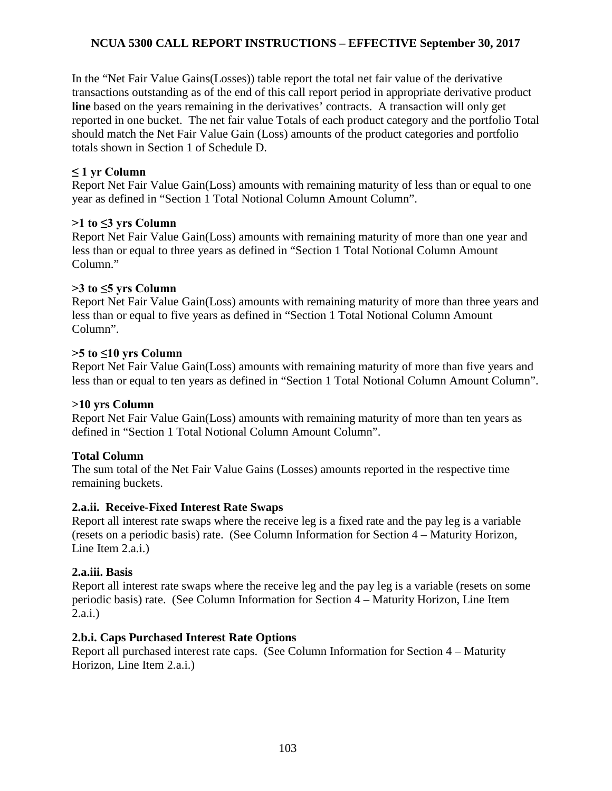In the "Net Fair Value Gains(Losses)) table report the total net fair value of the derivative transactions outstanding as of the end of this call report period in appropriate derivative product **line** based on the years remaining in the derivatives' contracts. A transaction will only get reported in one bucket. The net fair value Totals of each product category and the portfolio Total should match the Net Fair Value Gain (Loss) amounts of the product categories and portfolio totals shown in Section 1 of Schedule D.

## **≤ 1 yr Column**

Report Net Fair Value Gain(Loss) amounts with remaining maturity of less than or equal to one year as defined in "Section 1 Total Notional Column Amount Column".

## **>1 to ≤3 yrs Column**

Report Net Fair Value Gain(Loss) amounts with remaining maturity of more than one year and less than or equal to three years as defined in "Section 1 Total Notional Column Amount Column."

# **>3 to ≤5 yrs Column**

Report Net Fair Value Gain(Loss) amounts with remaining maturity of more than three years and less than or equal to five years as defined in "Section 1 Total Notional Column Amount Column".

## **>5 to ≤10 yrs Column**

Report Net Fair Value Gain(Loss) amounts with remaining maturity of more than five years and less than or equal to ten years as defined in "Section 1 Total Notional Column Amount Column".

### **>10 yrs Column**

Report Net Fair Value Gain(Loss) amounts with remaining maturity of more than ten years as defined in "Section 1 Total Notional Column Amount Column".

# **Total Column**

The sum total of the Net Fair Value Gains (Losses) amounts reported in the respective time remaining buckets.

### **2.a.ii. Receive-Fixed Interest Rate Swaps**

Report all interest rate swaps where the receive leg is a fixed rate and the pay leg is a variable (resets on a periodic basis) rate. (See Column Information for Section 4 – Maturity Horizon, Line Item 2.a.i.)

### **2.a.iii. Basis**

Report all interest rate swaps where the receive leg and the pay leg is a variable (resets on some periodic basis) rate. (See Column Information for Section 4 – Maturity Horizon, Line Item 2.a.i.)

# **2.b.i. Caps Purchased Interest Rate Options**

Report all purchased interest rate caps. (See Column Information for Section 4 – Maturity Horizon, Line Item 2.a.i.)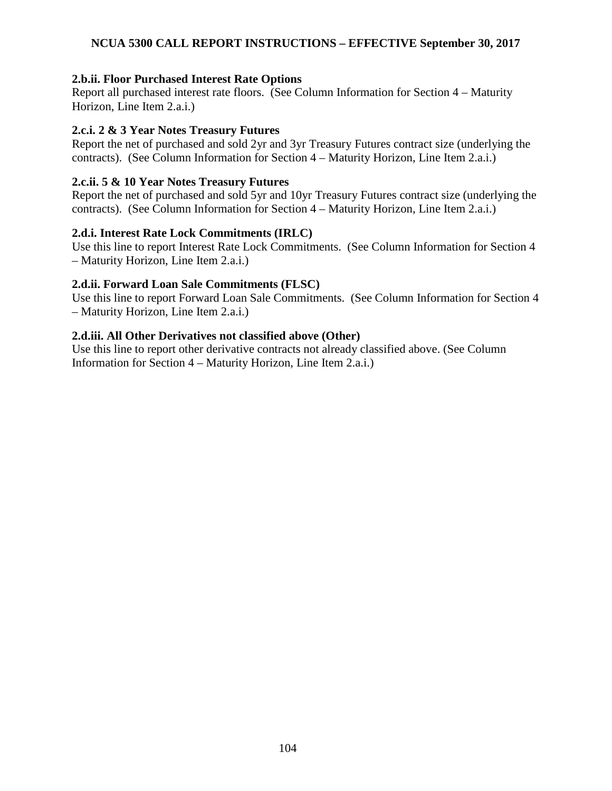## **2.b.ii. Floor Purchased Interest Rate Options**

Report all purchased interest rate floors. (See Column Information for Section 4 – Maturity Horizon, Line Item 2.a.i.)

#### **2.c.i. 2 & 3 Year Notes Treasury Futures**

Report the net of purchased and sold 2yr and 3yr Treasury Futures contract size (underlying the contracts). (See Column Information for Section 4 – Maturity Horizon, Line Item 2.a.i.)

### **2.c.ii. 5 & 10 Year Notes Treasury Futures**

Report the net of purchased and sold 5yr and 10yr Treasury Futures contract size (underlying the contracts). (See Column Information for Section 4 – Maturity Horizon, Line Item 2.a.i.)

### **2.d.i. Interest Rate Lock Commitments (IRLC)**

Use this line to report Interest Rate Lock Commitments. (See Column Information for Section 4 – Maturity Horizon, Line Item 2.a.i.)

### **2.d.ii. Forward Loan Sale Commitments (FLSC)**

Use this line to report Forward Loan Sale Commitments. (See Column Information for Section 4 – Maturity Horizon, Line Item 2.a.i.)

### **2.d.iii. All Other Derivatives not classified above (Other)**

Use this line to report other derivative contracts not already classified above. (See Column Information for Section 4 – Maturity Horizon, Line Item 2.a.i.)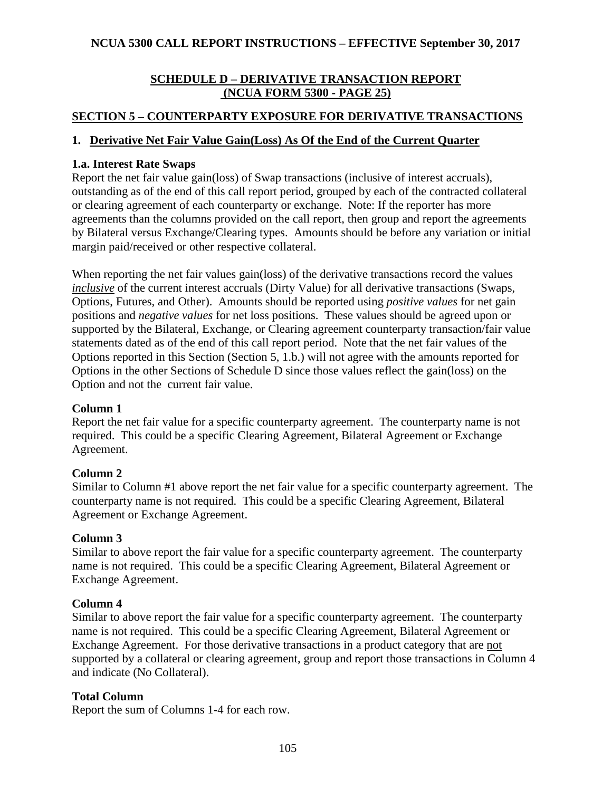# **SCHEDULE D – DERIVATIVE TRANSACTION REPORT (NCUA FORM 5300 - PAGE 25)**

# **SECTION 5 – COUNTERPARTY EXPOSURE FOR DERIVATIVE TRANSACTIONS**

## **1. Derivative Net Fair Value Gain(Loss) As Of the End of the Current Quarter**

## **1.a. Interest Rate Swaps**

Report the net fair value gain(loss) of Swap transactions (inclusive of interest accruals), outstanding as of the end of this call report period, grouped by each of the contracted collateral or clearing agreement of each counterparty or exchange. Note: If the reporter has more agreements than the columns provided on the call report, then group and report the agreements by Bilateral versus Exchange/Clearing types. Amounts should be before any variation or initial margin paid/received or other respective collateral.

When reporting the net fair values gain(loss) of the derivative transactions record the values *inclusive* of the current interest accruals (Dirty Value) for all derivative transactions (Swaps, Options, Futures, and Other). Amounts should be reported using *positive values* for net gain positions and *negative values* for net loss positions. These values should be agreed upon or supported by the Bilateral, Exchange, or Clearing agreement counterparty transaction/fair value statements dated as of the end of this call report period. Note that the net fair values of the Options reported in this Section (Section 5, 1.b.) will not agree with the amounts reported for Options in the other Sections of Schedule D since those values reflect the gain(loss) on the Option and not the current fair value.

### **Column 1**

Report the net fair value for a specific counterparty agreement. The counterparty name is not required. This could be a specific Clearing Agreement, Bilateral Agreement or Exchange Agreement.

### **Column 2**

Similar to Column #1 above report the net fair value for a specific counterparty agreement. The counterparty name is not required. This could be a specific Clearing Agreement, Bilateral Agreement or Exchange Agreement.

### **Column 3**

Similar to above report the fair value for a specific counterparty agreement. The counterparty name is not required. This could be a specific Clearing Agreement, Bilateral Agreement or Exchange Agreement.

# **Column 4**

Similar to above report the fair value for a specific counterparty agreement. The counterparty name is not required. This could be a specific Clearing Agreement, Bilateral Agreement or Exchange Agreement. For those derivative transactions in a product category that are not supported by a collateral or clearing agreement, group and report those transactions in Column 4 and indicate (No Collateral).

# **Total Column**

Report the sum of Columns 1-4 for each row.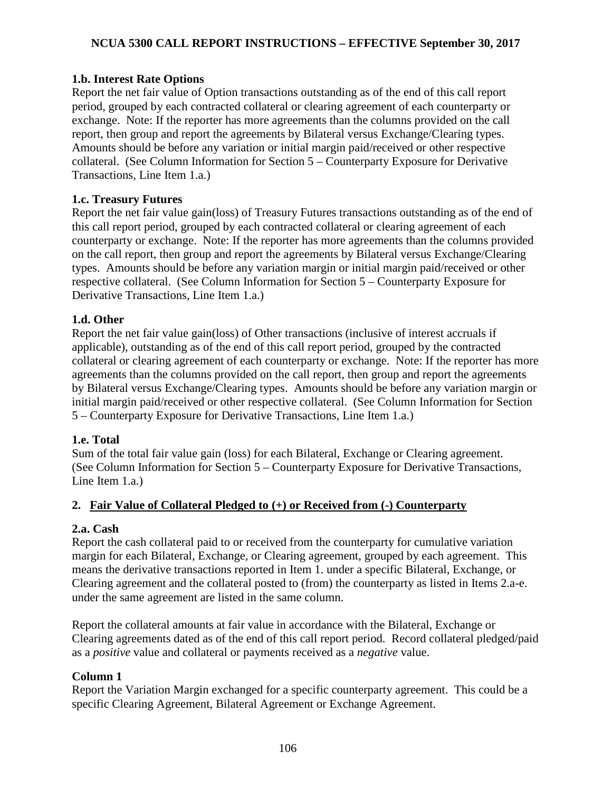# **1.b. Interest Rate Options**

Report the net fair value of Option transactions outstanding as of the end of this call report period, grouped by each contracted collateral or clearing agreement of each counterparty or exchange. Note: If the reporter has more agreements than the columns provided on the call report, then group and report the agreements by Bilateral versus Exchange/Clearing types. Amounts should be before any variation or initial margin paid/received or other respective collateral. (See Column Information for Section 5 – Counterparty Exposure for Derivative Transactions, Line Item 1.a.)

### **1.c. Treasury Futures**

Report the net fair value gain(loss) of Treasury Futures transactions outstanding as of the end of this call report period, grouped by each contracted collateral or clearing agreement of each counterparty or exchange. Note: If the reporter has more agreements than the columns provided on the call report, then group and report the agreements by Bilateral versus Exchange/Clearing types. Amounts should be before any variation margin or initial margin paid/received or other respective collateral. (See Column Information for Section 5 – Counterparty Exposure for Derivative Transactions, Line Item 1.a.)

## **1.d. Other**

Report the net fair value gain(loss) of Other transactions (inclusive of interest accruals if applicable), outstanding as of the end of this call report period, grouped by the contracted collateral or clearing agreement of each counterparty or exchange. Note: If the reporter has more agreements than the columns provided on the call report, then group and report the agreements by Bilateral versus Exchange/Clearing types. Amounts should be before any variation margin or initial margin paid/received or other respective collateral. (See Column Information for Section 5 – Counterparty Exposure for Derivative Transactions, Line Item 1.a.)

### **1.e. Total**

Sum of the total fair value gain (loss) for each Bilateral, Exchange or Clearing agreement. (See Column Information for Section 5 – Counterparty Exposure for Derivative Transactions, Line Item 1.a.)

# **2. Fair Value of Collateral Pledged to (+) or Received from (-) Counterparty**

### **2.a. Cash**

Report the cash collateral paid to or received from the counterparty for cumulative variation margin for each Bilateral, Exchange, or Clearing agreement, grouped by each agreement. This means the derivative transactions reported in Item 1. under a specific Bilateral, Exchange, or Clearing agreement and the collateral posted to (from) the counterparty as listed in Items 2.a-e. under the same agreement are listed in the same column.

Report the collateral amounts at fair value in accordance with the Bilateral, Exchange or Clearing agreements dated as of the end of this call report period. Record collateral pledged/paid as a *positive* value and collateral or payments received as a *negative* value.

### **Column 1**

Report the Variation Margin exchanged for a specific counterparty agreement. This could be a specific Clearing Agreement, Bilateral Agreement or Exchange Agreement.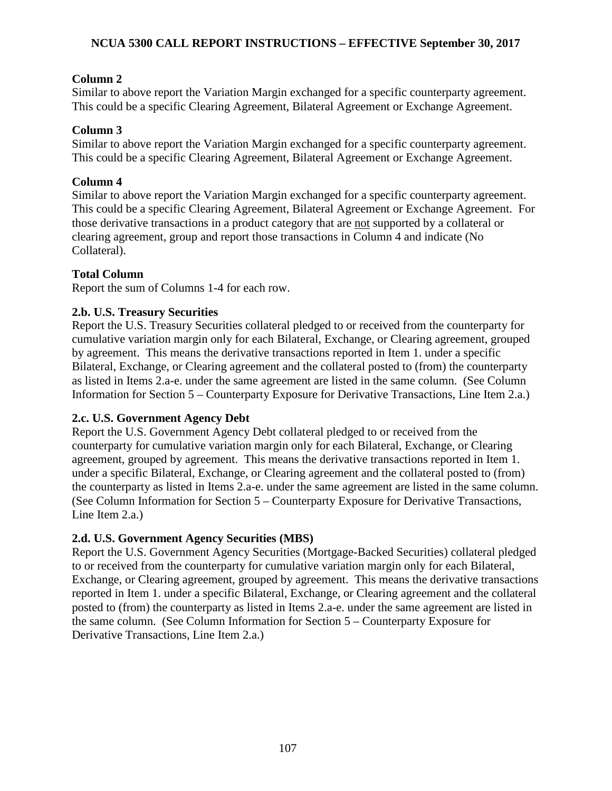# **Column 2**

Similar to above report the Variation Margin exchanged for a specific counterparty agreement. This could be a specific Clearing Agreement, Bilateral Agreement or Exchange Agreement.

# **Column 3**

Similar to above report the Variation Margin exchanged for a specific counterparty agreement. This could be a specific Clearing Agreement, Bilateral Agreement or Exchange Agreement.

# **Column 4**

Similar to above report the Variation Margin exchanged for a specific counterparty agreement. This could be a specific Clearing Agreement, Bilateral Agreement or Exchange Agreement. For those derivative transactions in a product category that are not supported by a collateral or clearing agreement, group and report those transactions in Column 4 and indicate (No Collateral).

# **Total Column**

Report the sum of Columns 1-4 for each row.

# **2.b. U.S. Treasury Securities**

Report the U.S. Treasury Securities collateral pledged to or received from the counterparty for cumulative variation margin only for each Bilateral, Exchange, or Clearing agreement, grouped by agreement. This means the derivative transactions reported in Item 1. under a specific Bilateral, Exchange, or Clearing agreement and the collateral posted to (from) the counterparty as listed in Items 2.a-e. under the same agreement are listed in the same column. (See Column Information for Section 5 – Counterparty Exposure for Derivative Transactions, Line Item 2.a.)

# **2.c. U.S. Government Agency Debt**

Report the U.S. Government Agency Debt collateral pledged to or received from the counterparty for cumulative variation margin only for each Bilateral, Exchange, or Clearing agreement, grouped by agreement. This means the derivative transactions reported in Item 1. under a specific Bilateral, Exchange, or Clearing agreement and the collateral posted to (from) the counterparty as listed in Items 2.a-e. under the same agreement are listed in the same column. (See Column Information for Section 5 – Counterparty Exposure for Derivative Transactions, Line Item 2.a.)

# **2.d. U.S. Government Agency Securities (MBS)**

Report the U.S. Government Agency Securities (Mortgage-Backed Securities) collateral pledged to or received from the counterparty for cumulative variation margin only for each Bilateral, Exchange, or Clearing agreement, grouped by agreement. This means the derivative transactions reported in Item 1. under a specific Bilateral, Exchange, or Clearing agreement and the collateral posted to (from) the counterparty as listed in Items 2.a-e. under the same agreement are listed in the same column. (See Column Information for Section 5 – Counterparty Exposure for Derivative Transactions, Line Item 2.a.)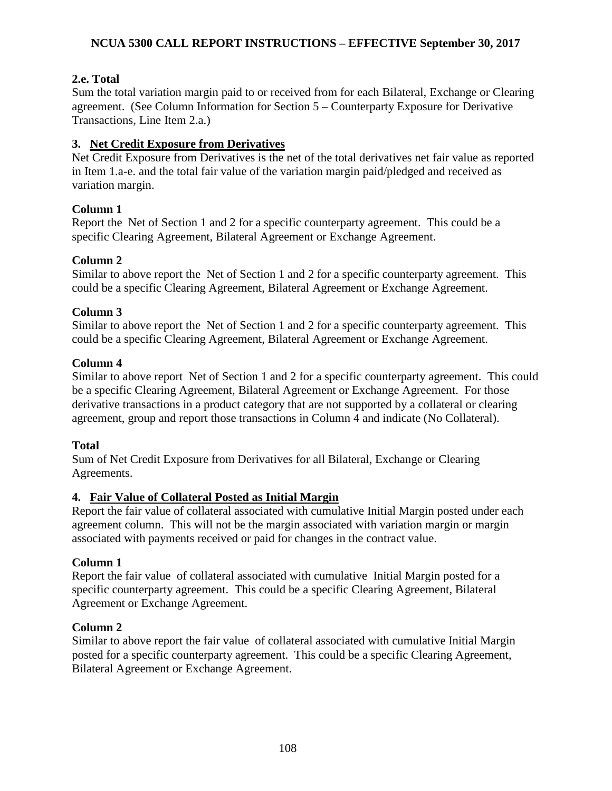# **2.e. Total**

Sum the total variation margin paid to or received from for each Bilateral, Exchange or Clearing agreement. (See Column Information for Section 5 – Counterparty Exposure for Derivative Transactions, Line Item 2.a.)

# **3. Net Credit Exposure from Derivatives**

Net Credit Exposure from Derivatives is the net of the total derivatives net fair value as reported in Item 1.a-e. and the total fair value of the variation margin paid/pledged and received as variation margin.

# **Column 1**

Report the Net of Section 1 and 2 for a specific counterparty agreement. This could be a specific Clearing Agreement, Bilateral Agreement or Exchange Agreement.

# **Column 2**

Similar to above report the Net of Section 1 and 2 for a specific counterparty agreement. This could be a specific Clearing Agreement, Bilateral Agreement or Exchange Agreement.

# **Column 3**

Similar to above report the Net of Section 1 and 2 for a specific counterparty agreement. This could be a specific Clearing Agreement, Bilateral Agreement or Exchange Agreement.

# **Column 4**

Similar to above report Net of Section 1 and 2 for a specific counterparty agreement. This could be a specific Clearing Agreement, Bilateral Agreement or Exchange Agreement. For those derivative transactions in a product category that are not supported by a collateral or clearing agreement, group and report those transactions in Column 4 and indicate (No Collateral).

# **Total**

Sum of Net Credit Exposure from Derivatives for all Bilateral, Exchange or Clearing Agreements.

# **4. Fair Value of Collateral Posted as Initial Margin**

Report the fair value of collateral associated with cumulative Initial Margin posted under each agreement column. This will not be the margin associated with variation margin or margin associated with payments received or paid for changes in the contract value.

# **Column 1**

Report the fair value of collateral associated with cumulative Initial Margin posted for a specific counterparty agreement. This could be a specific Clearing Agreement, Bilateral Agreement or Exchange Agreement.

# **Column 2**

Similar to above report the fair value of collateral associated with cumulative Initial Margin posted for a specific counterparty agreement. This could be a specific Clearing Agreement, Bilateral Agreement or Exchange Agreement.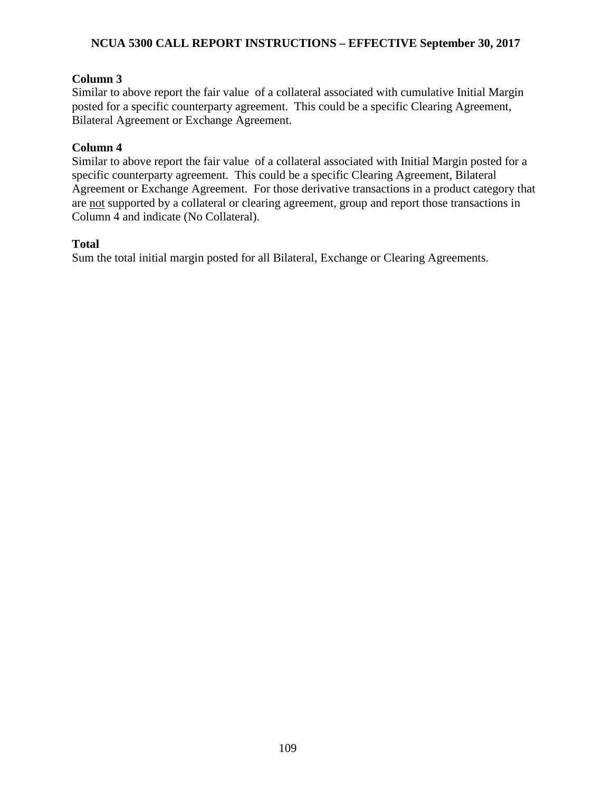# **NCUA 5300 CALL REPORT INSTRUCTIONS – EFFECTIVE September 30, 2017**

# **Column 3**

Similar to above report the fair value of a collateral associated with cumulative Initial Margin posted for a specific counterparty agreement. This could be a specific Clearing Agreement, Bilateral Agreement or Exchange Agreement.

# **Column 4**

Similar to above report the fair value of a collateral associated with Initial Margin posted for a specific counterparty agreement. This could be a specific Clearing Agreement, Bilateral Agreement or Exchange Agreement. For those derivative transactions in a product category that are not supported by a collateral or clearing agreement, group and report those transactions in Column 4 and indicate (No Collateral).

## **Total**

Sum the total initial margin posted for all Bilateral, Exchange or Clearing Agreements.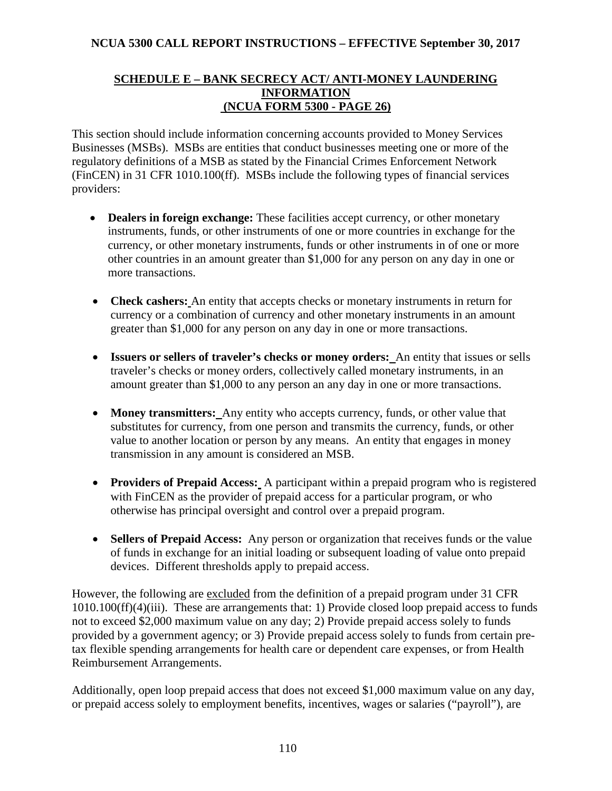## **SCHEDULE E – BANK SECRECY ACT/ ANTI-MONEY LAUNDERING INFORMATION (NCUA FORM 5300 - PAGE 26)**

This section should include information concerning accounts provided to Money Services Businesses (MSBs). MSBs are entities that conduct businesses meeting one or more of the regulatory definitions of a MSB as stated by the Financial Crimes Enforcement Network (FinCEN) in 31 CFR 1010.100(ff). MSBs include the following types of financial services providers:

- **Dealers in foreign exchange:** These facilities accept currency, or other monetary instruments, funds, or other instruments of one or more countries in exchange for the currency, or other monetary instruments, funds or other instruments in of one or more other countries in an amount greater than \$1,000 for any person on any day in one or more transactions.
- **Check cashers:** An entity that accepts checks or monetary instruments in return for currency or a combination of currency and other monetary instruments in an amount greater than \$1,000 for any person on any day in one or more transactions.
- **Issuers or sellers of traveler's checks or money orders:** An entity that issues or sells traveler's checks or money orders, collectively called monetary instruments, in an amount greater than \$1,000 to any person an any day in one or more transactions.
- **Money transmitters:** Any entity who accepts currency, funds, or other value that substitutes for currency, from one person and transmits the currency, funds, or other value to another location or person by any means. An entity that engages in money transmission in any amount is considered an MSB.
- **Providers of Prepaid Access:** A participant within a prepaid program who is registered with FinCEN as the provider of prepaid access for a particular program, or who otherwise has principal oversight and control over a prepaid program.
- **Sellers of Prepaid Access:** Any person or organization that receives funds or the value of funds in exchange for an initial loading or subsequent loading of value onto prepaid devices. Different thresholds apply to prepaid access.

However, the following are excluded from the definition of a prepaid program under 31 CFR 1010.100(ff)(4)(iii). These are arrangements that: 1) Provide closed loop prepaid access to funds not to exceed \$2,000 maximum value on any day; 2) Provide prepaid access solely to funds provided by a government agency; or 3) Provide prepaid access solely to funds from certain pretax flexible spending arrangements for health care or dependent care expenses, or from Health Reimbursement Arrangements.

Additionally, open loop prepaid access that does not exceed \$1,000 maximum value on any day, or prepaid access solely to employment benefits, incentives, wages or salaries ("payroll"), are